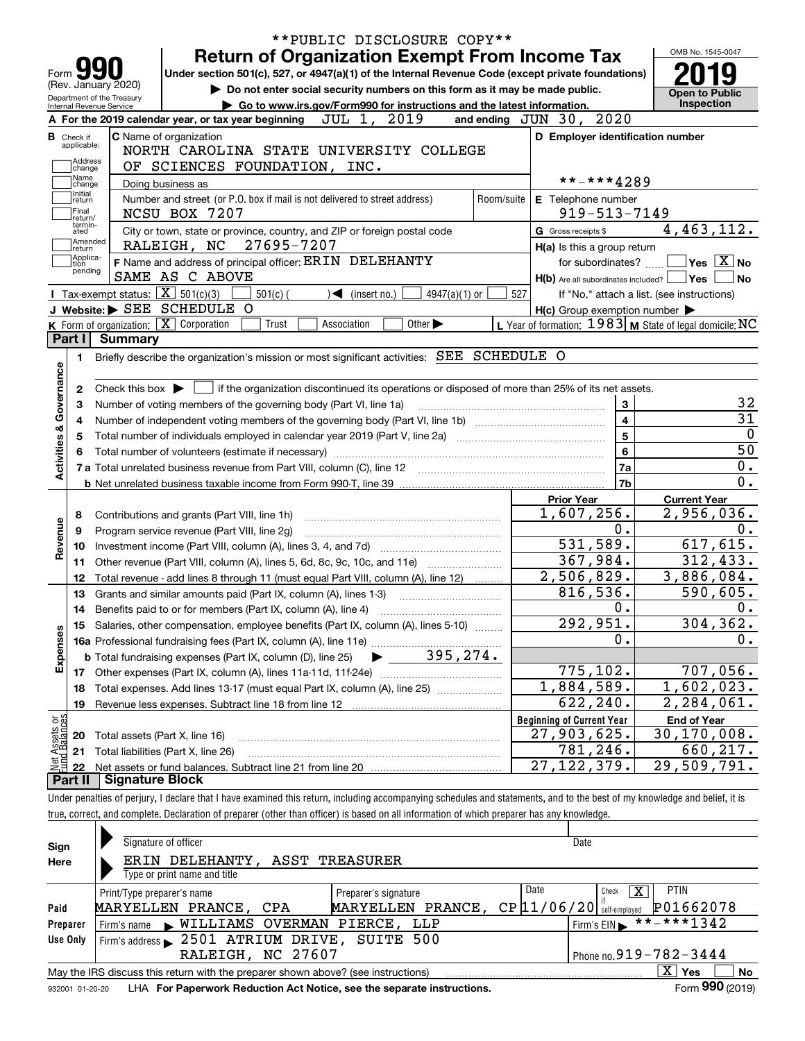|                                  |                    |                            | **PUBLIC DISCLOSURE COPY**                                                                                                                                                 |                                                           |                                            |
|----------------------------------|--------------------|----------------------------|----------------------------------------------------------------------------------------------------------------------------------------------------------------------------|-----------------------------------------------------------|--------------------------------------------|
|                                  |                    |                            | <b>Return of Organization Exempt From Income Tax</b>                                                                                                                       |                                                           | OMB No. 1545-0047                          |
| Form J.                          |                    |                            | Under section 501(c), 527, or 4947(a)(1) of the Internal Revenue Code (except private foundations)                                                                         |                                                           |                                            |
| (Rev. January 2020)              |                    | Department of the Treasury | Do not enter social security numbers on this form as it may be made public.                                                                                                |                                                           | <b>Open to Public</b>                      |
| Internal Revenue Service         |                    |                            | Go to www.irs.gov/Form990 for instructions and the latest information.                                                                                                     |                                                           | Inspection                                 |
|                                  |                    |                            | A For the 2019 calendar year, or tax year beginning $JUL$ 1, $2019$                                                                                                        | 2020<br>and ending $JUN$ 30,                              |                                            |
| <b>B</b> Check if<br>applicable: |                    |                            | C Name of organization                                                                                                                                                     | D Employer identification number                          |                                            |
|                                  | Address            |                            | NORTH CAROLINA STATE UNIVERSITY COLLEGE                                                                                                                                    |                                                           |                                            |
| Name                             | change             |                            | OF SCIENCES FOUNDATION, INC.                                                                                                                                               | **-***4289                                                |                                            |
| Initial                          | change             |                            | Doing business as                                                                                                                                                          |                                                           |                                            |
| return<br>Final                  |                    |                            | Number and street (or P.O. box if mail is not delivered to street address)<br>Room/suite<br>NCSU BOX 7207                                                                  | E Telephone number<br>$919 - 513 - 7149$                  |                                            |
|                                  | return/<br>termin- |                            |                                                                                                                                                                            |                                                           | 4,463,112.                                 |
| ated                             | Amended            |                            | City or town, state or province, country, and ZIP or foreign postal code<br>27695-7207<br>RALEIGH, NC                                                                      | G Gross receipts \$                                       |                                            |
| return                           | Applica-           |                            | F Name and address of principal officer: ERIN DELEHANTY                                                                                                                    | H(a) Is this a group return<br>for subordinates?          | $\sqrt{}$ Yes $\sqrt{}$ X $\sqrt{}$ No     |
| tion                             | pending            |                            | SAME AS C ABOVE                                                                                                                                                            | $H(b)$ Are all subordinates included? $\Box$ Yes          | <b>No</b>                                  |
|                                  |                    | Tax-exempt status:         | $\boxed{\mathbf{X}}$ 501(c)(3)<br>$501(c)$ (<br>$\sqrt{\frac{1}{1}}$ (insert no.)<br>$4947(a)(1)$ or                                                                       | 527                                                       | If "No," attach a list. (see instructions) |
|                                  |                    |                            | J Website: > SEE SCHEDULE O                                                                                                                                                | $H(c)$ Group exemption number $\blacktriangleright$       |                                            |
|                                  |                    |                            | K Form of organization: X Corporation<br>Association<br>Other $\blacktriangleright$<br>Trust                                                                               | L Year of formation: $1983$ M State of legal domicile: NC |                                            |
| Part I                           |                    | <b>Summary</b>             |                                                                                                                                                                            |                                                           |                                            |
| 1.                               |                    |                            | Briefly describe the organization's mission or most significant activities: SEE SCHEDULE O                                                                                 |                                                           |                                            |
|                                  |                    |                            |                                                                                                                                                                            |                                                           |                                            |
| Governance<br>2                  |                    |                            | Check this box $\blacktriangleright$ $\blacksquare$ if the organization discontinued its operations or disposed of more than 25% of its net assets.                        |                                                           |                                            |
| з                                |                    |                            | Number of voting members of the governing body (Part VI, line 1a)                                                                                                          | 3                                                         | 32                                         |
|                                  |                    |                            |                                                                                                                                                                            | $\overline{4}$                                            | $\overline{31}$                            |
| 4                                |                    |                            |                                                                                                                                                                            | $\overline{5}$                                            | $\mathbf 0$                                |
| <b>Activities &amp;</b><br>5     |                    |                            |                                                                                                                                                                            | 6                                                         | $\overline{50}$                            |
|                                  |                    |                            | 7 a Total unrelated business revenue from Part VIII, column (C), line 12                                                                                                   | 7a                                                        | 0.                                         |
|                                  |                    |                            |                                                                                                                                                                            | 7b                                                        | 0.                                         |
|                                  |                    |                            |                                                                                                                                                                            | <b>Prior Year</b>                                         | <b>Current Year</b>                        |
| 8                                |                    |                            | Contributions and grants (Part VIII, line 1h)                                                                                                                              | 1,607,256.                                                | 2,956,036.                                 |
| 9                                |                    |                            | Program service revenue (Part VIII, line 2g)                                                                                                                               | 0.                                                        | 0.                                         |
| Revenue<br>10                    |                    |                            |                                                                                                                                                                            | 531,589.                                                  | 617,615.                                   |
| 11                               |                    |                            | Other revenue (Part VIII, column (A), lines 5, 6d, 8c, 9c, 10c, and 11e)                                                                                                   | 367,984.                                                  | 312, 433.                                  |
| 12                               |                    |                            | Total revenue - add lines 8 through 11 (must equal Part VIII, column (A), line 12)                                                                                         | 2,506,829.                                                | 3,886,084.                                 |
| 13                               |                    |                            | Grants and similar amounts paid (Part IX, column (A), lines 1-3)                                                                                                           | 816,536.                                                  | 590,605.                                   |
| 14                               |                    |                            | Benefits paid to or for members (Part IX, column (A), line 4)                                                                                                              | 0.                                                        | 0.                                         |
| 15                               |                    |                            | Salaries, other compensation, employee benefits (Part IX, column (A), lines 5-10)                                                                                          | 292,951.                                                  | 304,362.                                   |
|                                  |                    |                            |                                                                                                                                                                            | Ο.                                                        | 0.                                         |
| Expenses                         |                    |                            |                                                                                                                                                                            |                                                           |                                            |
| 17                               |                    |                            |                                                                                                                                                                            | 775,102.                                                  | 707,056.                                   |
| 18                               |                    |                            | Total expenses. Add lines 13-17 (must equal Part IX, column (A), line 25)                                                                                                  | 1,884,589.                                                | 1,602,023.                                 |
| 19                               |                    |                            |                                                                                                                                                                            | 622, 240.                                                 | 2,284,061.                                 |
|                                  |                    |                            |                                                                                                                                                                            | <b>Beginning of Current Year</b>                          | <b>End of Year</b>                         |
| t Assets or<br>d Balances<br>20  |                    |                            | Total assets (Part X, line 16)                                                                                                                                             | 27,903,625.                                               | 30, 170, 008.                              |
| 21                               |                    |                            | Total liabilities (Part X, line 26)                                                                                                                                        | 781,246.                                                  | 660,217.                                   |
| 22                               |                    |                            |                                                                                                                                                                            | 27, 122, 379.                                             | 29,509,791.                                |
| Part II                          |                    | <b>Signature Block</b>     |                                                                                                                                                                            |                                                           |                                            |
|                                  |                    |                            | Under penalties of perjury, I declare that I have examined this return, including accompanying schedules and statements, and to the best of my knowledge and belief, it is |                                                           |                                            |
|                                  |                    |                            | true, correct, and complete. Declaration of preparer (other than officer) is based on all information of which preparer has any knowledge.                                 |                                                           |                                            |
|                                  |                    |                            |                                                                                                                                                                            |                                                           |                                            |
| Sign                             |                    |                            | Signature of officer                                                                                                                                                       | Date                                                      |                                            |
|                                  |                    |                            |                                                                                                                                                                            |                                                           |                                            |

| $-1$     |                                                                                   |                      |                                              |              |
|----------|-----------------------------------------------------------------------------------|----------------------|----------------------------------------------|--------------|
| Here     | ERIN DELEHANTY, ASST TREASURER                                                    |                      |                                              |              |
|          | Type or print name and title                                                      |                      |                                              |              |
|          | Print/Type preparer's name                                                        | Preparer's signature | Date<br><b>PTIN</b><br>Check                 |              |
| Paid     | MARYELLEN PRANCE, CPA                                                             | MARYELLEN PRANCE,    | P01662078<br>$CP$ $[11/06/20]$ self-employed |              |
| Preparer | Firm's name WILLIAMS OVERMAN PIERCE, LLP                                          |                      | $1$ Firm's EIN $\triangleright$ **-***1342   |              |
| Use Only | Firm's address > 2501 ATRIUM DRIVE, SUITE 500                                     |                      |                                              |              |
|          | RALEIGH, NC 27607                                                                 |                      | Phone no. $919 - 782 - 3444$                 |              |
|          | May the IRS discuss this return with the preparer shown above? (see instructions) |                      | x<br>Yes                                     | <b>No</b>    |
|          |                                                                                   |                      |                                              | $\mathbf{a}$ |

932001 01-20-20 **For Paperwork Reduction Act Notice, see the separate instructions.** LHA Form (2019)

**990**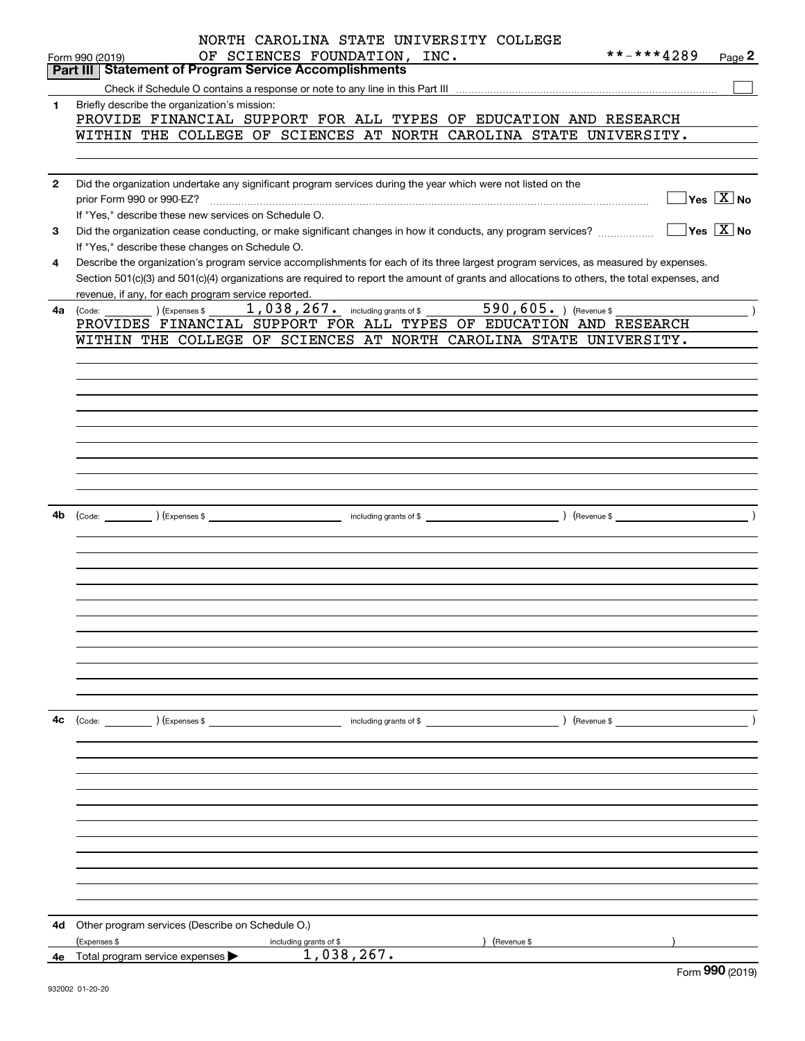|              | NORTH CAROLINA STATE UNIVERSITY COLLEGE                                                                                                      |
|--------------|----------------------------------------------------------------------------------------------------------------------------------------------|
|              | **-***4289<br>OF SCIENCES FOUNDATION, INC.<br>Page 2<br>Form 990 (2019)                                                                      |
|              | <b>Part III Statement of Program Service Accomplishments</b>                                                                                 |
|              |                                                                                                                                              |
| 1            | Briefly describe the organization's mission:                                                                                                 |
|              | PROVIDE FINANCIAL SUPPORT FOR ALL TYPES OF EDUCATION AND RESEARCH                                                                            |
|              | WITHIN THE COLLEGE OF SCIENCES AT NORTH CAROLINA STATE UNIVERSITY.                                                                           |
|              |                                                                                                                                              |
|              |                                                                                                                                              |
| $\mathbf{2}$ | Did the organization undertake any significant program services during the year which were not listed on the                                 |
|              | $\sqrt{}$ Yes $\sqrt{X}$ No                                                                                                                  |
|              | If "Yes," describe these new services on Schedule O.                                                                                         |
| 3            |                                                                                                                                              |
|              | If "Yes," describe these changes on Schedule O.                                                                                              |
| 4            | Describe the organization's program service accomplishments for each of its three largest program services, as measured by expenses.         |
|              | Section 501(c)(3) and 501(c)(4) organizations are required to report the amount of grants and allocations to others, the total expenses, and |
|              | revenue, if any, for each program service reported.                                                                                          |
| 4a           | (Code:                                                                                                                                       |
|              | PROVIDES FINANCIAL SUPPORT FOR ALL TYPES OF EDUCATION AND RESEARCH                                                                           |
|              | WITHIN THE COLLEGE OF SCIENCES AT NORTH CAROLINA STATE UNIVERSITY.                                                                           |
|              |                                                                                                                                              |
|              |                                                                                                                                              |
|              |                                                                                                                                              |
|              |                                                                                                                                              |
|              |                                                                                                                                              |
|              |                                                                                                                                              |
|              |                                                                                                                                              |
|              |                                                                                                                                              |
|              |                                                                                                                                              |
|              |                                                                                                                                              |
|              |                                                                                                                                              |
| 4b           |                                                                                                                                              |
|              |                                                                                                                                              |
|              |                                                                                                                                              |
|              |                                                                                                                                              |
|              |                                                                                                                                              |
|              |                                                                                                                                              |
|              |                                                                                                                                              |
|              |                                                                                                                                              |
|              |                                                                                                                                              |
|              |                                                                                                                                              |
|              |                                                                                                                                              |
|              |                                                                                                                                              |
|              |                                                                                                                                              |
| 4с           | (Code: ) (Expenses \$<br>) (Revenue \$<br>including grants of \$                                                                             |
|              |                                                                                                                                              |
|              |                                                                                                                                              |
|              |                                                                                                                                              |
|              |                                                                                                                                              |
|              |                                                                                                                                              |
|              |                                                                                                                                              |
|              |                                                                                                                                              |
|              |                                                                                                                                              |
|              |                                                                                                                                              |
|              |                                                                                                                                              |
|              |                                                                                                                                              |
|              |                                                                                                                                              |
|              |                                                                                                                                              |
| 4d           | Other program services (Describe on Schedule O.)                                                                                             |
|              | (Expenses \$<br>including grants of \$<br>) (Revenue \$                                                                                      |
| 4е           | 1,038,267.<br>Total program service expenses >                                                                                               |

Form (2019) **990**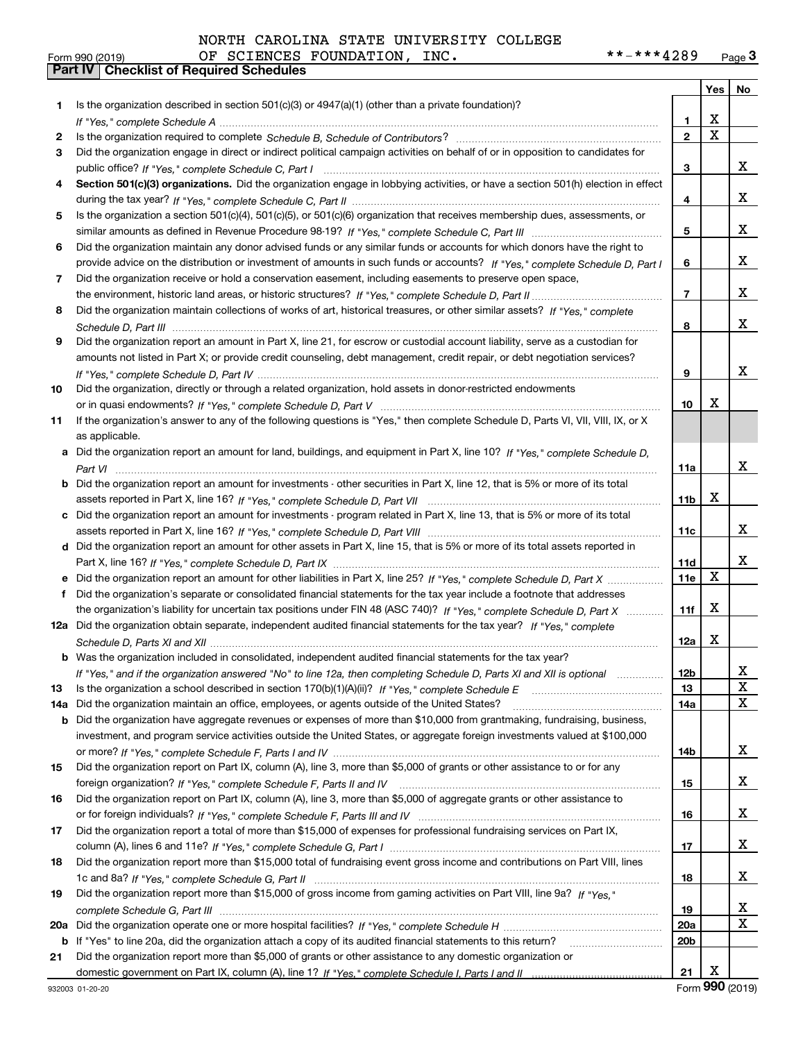| NORTH CAROLINA STATE UNIVERSITY COLLEGE |  |
|-----------------------------------------|--|
|-----------------------------------------|--|

|     |                                                                                                                                                                                                                                |                 | Yes                     | No                      |
|-----|--------------------------------------------------------------------------------------------------------------------------------------------------------------------------------------------------------------------------------|-----------------|-------------------------|-------------------------|
| 1   | Is the organization described in section 501(c)(3) or 4947(a)(1) (other than a private foundation)?                                                                                                                            |                 |                         |                         |
|     |                                                                                                                                                                                                                                | 1               | X                       |                         |
| 2   | Is the organization required to complete Schedule B, Schedule of Contributors? [11] Content of Content of Content of Contributors? [11] All of Contributors and Content of Content of the Organization required to complete th | $\mathbf{2}$    | $\overline{\mathtt{x}}$ |                         |
| 3   | Did the organization engage in direct or indirect political campaign activities on behalf of or in opposition to candidates for                                                                                                |                 |                         |                         |
|     |                                                                                                                                                                                                                                | 3               |                         | X.                      |
| 4   | Section 501(c)(3) organizations. Did the organization engage in lobbying activities, or have a section 501(h) election in effect                                                                                               |                 |                         |                         |
|     |                                                                                                                                                                                                                                | 4               |                         | X.                      |
| 5   | Is the organization a section 501(c)(4), 501(c)(5), or 501(c)(6) organization that receives membership dues, assessments, or                                                                                                   |                 |                         |                         |
|     |                                                                                                                                                                                                                                | 5               |                         | X.                      |
| 6   | Did the organization maintain any donor advised funds or any similar funds or accounts for which donors have the right to                                                                                                      |                 |                         |                         |
|     | provide advice on the distribution or investment of amounts in such funds or accounts? If "Yes," complete Schedule D, Part I                                                                                                   | 6               |                         | X.                      |
| 7   | Did the organization receive or hold a conservation easement, including easements to preserve open space,                                                                                                                      |                 |                         |                         |
|     |                                                                                                                                                                                                                                | 7               |                         | X.                      |
| 8   | Did the organization maintain collections of works of art, historical treasures, or other similar assets? If "Yes," complete                                                                                                   |                 |                         |                         |
|     |                                                                                                                                                                                                                                | 8               |                         | x                       |
| 9   | Did the organization report an amount in Part X, line 21, for escrow or custodial account liability, serve as a custodian for                                                                                                  |                 |                         |                         |
|     | amounts not listed in Part X; or provide credit counseling, debt management, credit repair, or debt negotiation services?                                                                                                      |                 |                         |                         |
|     |                                                                                                                                                                                                                                | 9               |                         | x                       |
| 10  | Did the organization, directly or through a related organization, hold assets in donor-restricted endowments                                                                                                                   |                 |                         |                         |
|     |                                                                                                                                                                                                                                | 10              | х                       |                         |
| 11  | If the organization's answer to any of the following questions is "Yes," then complete Schedule D, Parts VI, VII, VIII, IX, or X                                                                                               |                 |                         |                         |
|     | as applicable.                                                                                                                                                                                                                 |                 |                         |                         |
| a   | Did the organization report an amount for land, buildings, and equipment in Part X, line 10? If "Yes," complete Schedule D,                                                                                                    |                 |                         |                         |
|     |                                                                                                                                                                                                                                | 11a             |                         | x                       |
| b   | Did the organization report an amount for investments - other securities in Part X, line 12, that is 5% or more of its total                                                                                                   |                 |                         |                         |
|     |                                                                                                                                                                                                                                | 11b             | x                       |                         |
| с   | Did the organization report an amount for investments - program related in Part X, line 13, that is 5% or more of its total                                                                                                    |                 |                         |                         |
|     |                                                                                                                                                                                                                                | 11c             |                         | X.                      |
|     | d Did the organization report an amount for other assets in Part X, line 15, that is 5% or more of its total assets reported in                                                                                                |                 |                         |                         |
|     |                                                                                                                                                                                                                                | 11d             |                         | x                       |
| е   | Did the organization report an amount for other liabilities in Part X, line 25? If "Yes," complete Schedule D, Part X                                                                                                          | 11e             | X                       |                         |
| f   | Did the organization's separate or consolidated financial statements for the tax year include a footnote that addresses                                                                                                        |                 |                         |                         |
|     | the organization's liability for uncertain tax positions under FIN 48 (ASC 740)? If "Yes," complete Schedule D, Part X                                                                                                         | 11f             | X                       |                         |
|     | 12a Did the organization obtain separate, independent audited financial statements for the tax year? If "Yes," complete                                                                                                        |                 |                         |                         |
|     |                                                                                                                                                                                                                                | 12a             | х                       |                         |
|     | <b>b</b> Was the organization included in consolidated, independent audited financial statements for the tax year?                                                                                                             |                 |                         |                         |
|     | If "Yes," and if the organization answered "No" to line 12a, then completing Schedule D, Parts XI and XII is optional                                                                                                          | 12 <sub>b</sub> |                         | X                       |
| 13  |                                                                                                                                                                                                                                | 13              |                         | X                       |
| 14a | Did the organization maintain an office, employees, or agents outside of the United States?                                                                                                                                    | 14a             |                         | X                       |
| b   | Did the organization have aggregate revenues or expenses of more than \$10,000 from grantmaking, fundraising, business,                                                                                                        |                 |                         |                         |
|     | investment, and program service activities outside the United States, or aggregate foreign investments valued at \$100,000                                                                                                     |                 |                         |                         |
|     |                                                                                                                                                                                                                                | 14b             |                         | X.                      |
| 15  | Did the organization report on Part IX, column (A), line 3, more than \$5,000 of grants or other assistance to or for any                                                                                                      |                 |                         |                         |
|     |                                                                                                                                                                                                                                | 15              |                         | X.                      |
| 16  | Did the organization report on Part IX, column (A), line 3, more than \$5,000 of aggregate grants or other assistance to                                                                                                       |                 |                         |                         |
|     |                                                                                                                                                                                                                                | 16              |                         | X.                      |
| 17  | Did the organization report a total of more than \$15,000 of expenses for professional fundraising services on Part IX,                                                                                                        |                 |                         |                         |
|     |                                                                                                                                                                                                                                | 17              |                         | X.                      |
| 18  | Did the organization report more than \$15,000 total of fundraising event gross income and contributions on Part VIII, lines                                                                                                   |                 |                         |                         |
|     |                                                                                                                                                                                                                                | 18              |                         | X.                      |
| 19  | Did the organization report more than \$15,000 of gross income from gaming activities on Part VIII, line 9a? If "Yes."                                                                                                         |                 |                         |                         |
|     |                                                                                                                                                                                                                                | 19              |                         | X                       |
| 20a |                                                                                                                                                                                                                                | 20a             |                         | $\overline{\mathbf{X}}$ |
| b   | If "Yes" to line 20a, did the organization attach a copy of its audited financial statements to this return?                                                                                                                   | 20 <sub>b</sub> |                         |                         |
| 21  | Did the organization report more than \$5,000 of grants or other assistance to any domestic organization or                                                                                                                    |                 |                         |                         |
|     |                                                                                                                                                                                                                                | 21              | X                       |                         |

Form (2019) **990**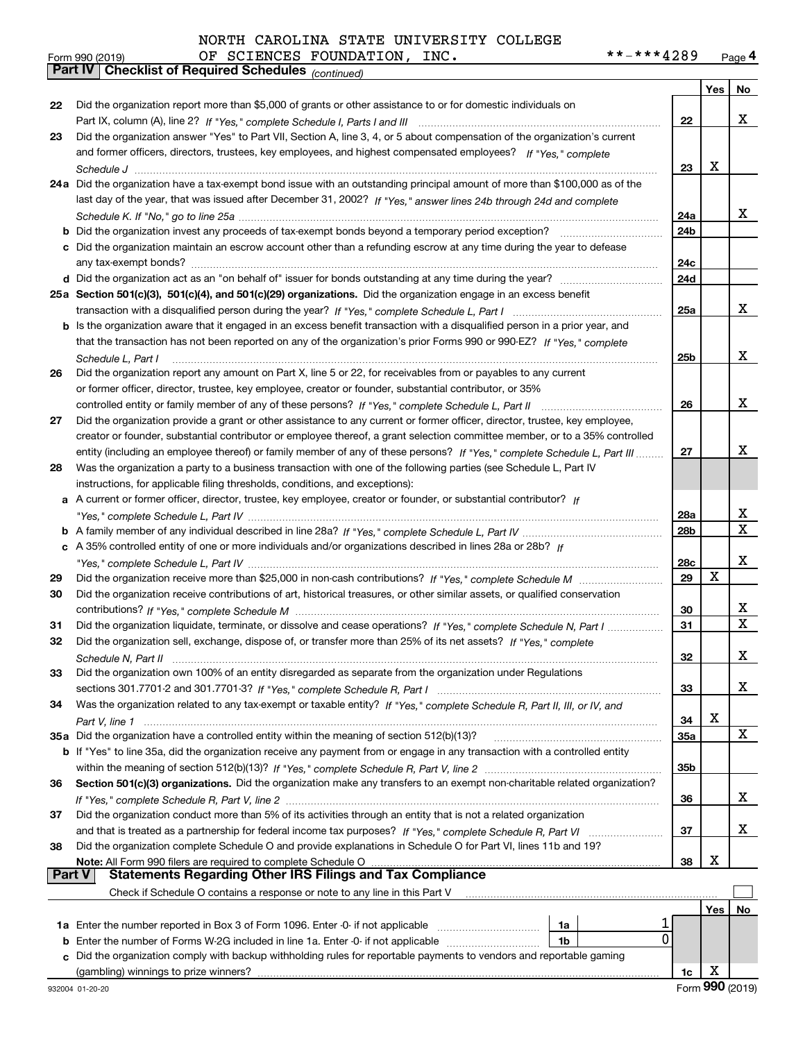#### **Yes No 222324a**Did the organization have a tax-exempt bond issue with an outstanding principal amount of more than \$100,000 as of the **25aSection 501(c)(3), 501(c)(4), and 501(c)(29) organizations.**  Did the organization engage in an excess benefit **26272829303132333435a** Did the organization have a controlled entity within the meaning of section 512(b)(13)? **363738222324a24b24c24d25a25b262728a28b28c29303132333435a35b363738b** Did the organization invest any proceeds of tax-exempt bonds beyond a temporary period exception? \_\_\_\_\_\_\_\_\_\_\_\_\_\_\_\_\_ **c**Did the organization maintain an escrow account other than a refunding escrow at any time during the year to defease **d** Did the organization act as an "on behalf of" issuer for bonds outstanding at any time during the year? \_\_\_\_\_\_\_\_\_\_\_\_\_\_\_\_\_\_\_\_\_ **b** Is the organization aware that it engaged in an excess benefit transaction with a disqualified person in a prior year, and **a** A current or former officer, director, trustee, key employee, creator or founder, or substantial contributor? If **b***If "Yes," complete Schedule L, Part IV* A family member of any individual described in line 28a? ~~~~~~~~~~~~~~~ **c***If* A 35% controlled entity of one or more individuals and/or organizations described in lines 28a or 28b? **b** If "Yes" to line 35a, did the organization receive any payment from or engage in any transaction with a controlled entity **Section 501(c)(3) organizations.** Did the organization make any transfers to an exempt non-charitable related organization? **Note:**  All Form 990 filers are required to complete Schedule O **Yes No 1a** Enter the number reported in Box 3 of Form 1096. Enter -0- if not applicable  $\ldots$  $\ldots$  $\ldots$  $\ldots$  $\ldots$ **b** Enter the number of Forms W-2G included in line 1a. Enter -0- if not applicable  $\ldots$  $\ldots$  $\ldots$  $\ldots$ **1a1b**orm 990 (2019) OF SCIENCES FOUNDATION, INC**. \* \* – \* \* \* 4** 2 8 9 <sub>Page</sub> 4<br><mark>Part IV | Checklist of Required Schedules</mark> <sub>(continued)</sub> Part IX, column (A), line 2? H "Yes," complete Schedule I, Parts I and III **www.www.www.www.www.www.www.ww** *If "Yes," complete* and former officers, directors, trustees, key employees, and highest compensated employees? *Schedule J* last day of the year, that was issued after December 31, 2002? If "Yes," answer lines 24b through 24d and complete *Schedule K. If "No," go to line 25a* ~~~~~~~~~~~~~~~~~~~~~~~~~~~~~~~~~~~~~~~~~~~~~ transaction with a disqualified person during the year? If "Yes," complete Schedule L, Part I multimated and the *If "Yes," complete* that the transaction has not been reported on any of the organization's prior Forms 990 or 990-EZ? *Schedule L, Part I* controlled entity or family member of any of these persons?  $H$  "Yes," complete Schedule L, Part II www.www.www.www. entity (including an employee thereof) or family member of any of these persons? If "Yes," c*omplete Schedule L, Part III* ......... *"Yes," complete Schedule L, Part IV* ~~~~~~~~~~~~~~~~~~~~~~~~~~~~~~~~~~~~~~~~~~~~*"Yes," complete Schedule L, Part IV* ~~~~~~~~~~~~~~~~~~~~~~~~~~~~~~~~~~~~~~~~~~~~ Did the organization receive more than \$25,000 in non-cash contributions? If "Yes," complete Schedule M ........................... *If "Yes," complete Schedule M* contributions? ~~~~~~~~~~~~~~~~~~~~~~~~~~~~~~~~~~~~~~~ Did the organization liquidate, terminate, or dissolve and cease operations? If "Yes," c*omplete Schedule N, Part I If "Yes," complete* Did the organization sell, exchange, dispose of, or transfer more than 25% of its net assets? *Schedule N, Part II* ~~~~~~~~~~~~~~~~~~~~~~~~~~~~~~~~~~~~~~~~~~~~~~~~~~~~ *If "Yes," complete Schedule R, Part I* sections 301.7701-2 and 301.7701-3? ~~~~~~~~~~~~~~~~~~~~~~~~ Was the organization related to any tax-exempt or taxable entity? If "Yes," complete Schedule R, Part II, III, or IV, and *Part V, line 1* within the meaning of section 512(b)(13)? If "Yes," complete Schedule R, Part V, line 2 ……………………………………………… If "Yes," complete Schedule R, Part V, line 2 …………………………………………………………………………………………… and that is treated as a partnership for federal income tax purposes? *H* "Yes," complete Schedule R, Part VI ......................... Did the organization report more than \$5,000 of grants or other assistance to or for domestic individuals on Did the organization answer "Yes" to Part VII, Section A, line 3, 4, or 5 about compensation of the organization's current any tax-exempt bonds? ~~~~~~~~~~~~~~~~~~~~~~~~~~~~~~~~~~~~~~~~~~~~~~~~~~ Did the organization report any amount on Part X, line 5 or 22, for receivables from or payables to any current or former officer, director, trustee, key employee, creator or founder, substantial contributor, or 35% Did the organization provide a grant or other assistance to any current or former officer, director, trustee, key employee, creator or founder, substantial contributor or employee thereof, a grant selection committee member, or to a 35% controlled Was the organization a party to a business transaction with one of the following parties (see Schedule L, Part IV instructions, for applicable filing thresholds, conditions, and exceptions): Did the organization receive contributions of art, historical treasures, or other similar assets, or qualified conservation Did the organization own 100% of an entity disregarded as separate from the organization under Regulations Did the organization conduct more than 5% of its activities through an entity that is not a related organization Did the organization complete Schedule O and provide explanations in Schedule O for Part VI, lines 11b and 19? Check if Schedule O contains a response or note to any line in this Part V **Part V** Statements Regarding Other IRS Filings and Tax Compliance  $\mathcal{L}^{\text{max}}$ X X X X X X X X X X X X 1  $\overline{0}$ X X X X X X X X

 ${\bf c}$  Did the organization comply with backup withholding rules for reportable payments to vendors and reportable gaming (gambling) winnings to prize winners?

**1c**

| Form aan (50.1a)     |  |
|----------------------|--|
| <b>Part IV   Che</b> |  |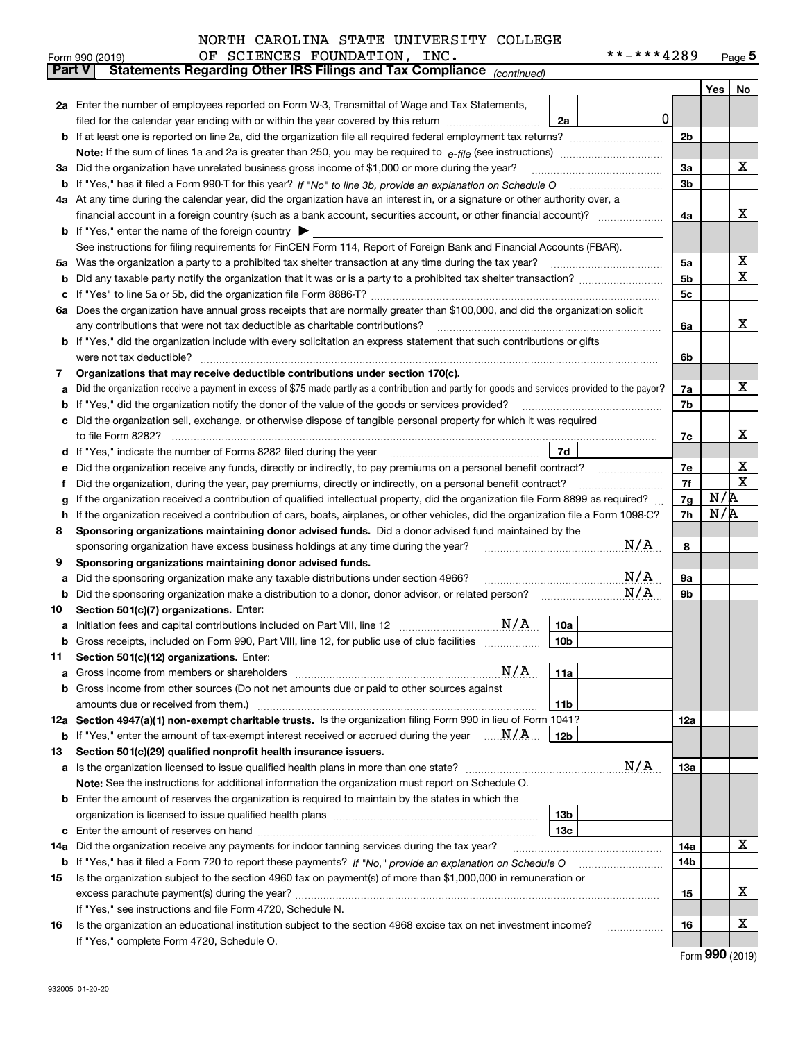|               | **-***4289<br>OF SCIENCES FOUNDATION, INC.<br>Form 990 (2019)                                                                                    |                |     | <u>Page 5</u> |  |  |  |  |  |  |
|---------------|--------------------------------------------------------------------------------------------------------------------------------------------------|----------------|-----|---------------|--|--|--|--|--|--|
| <b>Part V</b> | Statements Regarding Other IRS Filings and Tax Compliance (continued)                                                                            |                |     |               |  |  |  |  |  |  |
|               |                                                                                                                                                  |                | Yes | No            |  |  |  |  |  |  |
|               | 2a Enter the number of employees reported on Form W-3, Transmittal of Wage and Tax Statements,<br> 0                                             |                |     |               |  |  |  |  |  |  |
|               | filed for the calendar year ending with or within the year covered by this return<br>2a                                                          |                |     |               |  |  |  |  |  |  |
|               |                                                                                                                                                  | 2 <sub>b</sub> |     |               |  |  |  |  |  |  |
|               |                                                                                                                                                  |                |     |               |  |  |  |  |  |  |
| За            | Did the organization have unrelated business gross income of \$1,000 or more during the year?                                                    | За             |     | x             |  |  |  |  |  |  |
|               |                                                                                                                                                  | 3b             |     |               |  |  |  |  |  |  |
|               | 4a At any time during the calendar year, did the organization have an interest in, or a signature or other authority over, a                     |                |     |               |  |  |  |  |  |  |
|               |                                                                                                                                                  | 4a             |     | х             |  |  |  |  |  |  |
|               | <b>b</b> If "Yes," enter the name of the foreign country $\blacktriangleright$                                                                   |                |     |               |  |  |  |  |  |  |
|               | See instructions for filing requirements for FinCEN Form 114, Report of Foreign Bank and Financial Accounts (FBAR).                              |                |     |               |  |  |  |  |  |  |
|               | 5a Was the organization a party to a prohibited tax shelter transaction at any time during the tax year?                                         | 5a             |     | х             |  |  |  |  |  |  |
| b             |                                                                                                                                                  | 5b             |     | X             |  |  |  |  |  |  |
| с             |                                                                                                                                                  | 5c             |     |               |  |  |  |  |  |  |
|               | 6a Does the organization have annual gross receipts that are normally greater than \$100,000, and did the organization solicit                   |                |     |               |  |  |  |  |  |  |
|               | any contributions that were not tax deductible as charitable contributions?                                                                      | 6a             |     | x             |  |  |  |  |  |  |
|               | <b>b</b> If "Yes," did the organization include with every solicitation an express statement that such contributions or gifts                    |                |     |               |  |  |  |  |  |  |
|               | were not tax deductible?                                                                                                                         | 6b             |     |               |  |  |  |  |  |  |
| 7             | Organizations that may receive deductible contributions under section 170(c).                                                                    |                |     |               |  |  |  |  |  |  |
| а             | Did the organization receive a payment in excess of \$75 made partly as a contribution and partly for goods and services provided to the payor?  | 7a             |     | x             |  |  |  |  |  |  |
| b             | If "Yes," did the organization notify the donor of the value of the goods or services provided?                                                  | 7b             |     |               |  |  |  |  |  |  |
| c             | Did the organization sell, exchange, or otherwise dispose of tangible personal property for which it was required                                |                |     |               |  |  |  |  |  |  |
|               |                                                                                                                                                  | 7c             |     | х             |  |  |  |  |  |  |
|               | <b>7d</b>                                                                                                                                        |                |     |               |  |  |  |  |  |  |
| е             | Did the organization receive any funds, directly or indirectly, to pay premiums on a personal benefit contract?                                  | 7е             |     | х             |  |  |  |  |  |  |
| f             | Did the organization, during the year, pay premiums, directly or indirectly, on a personal benefit contract?                                     | 7f<br>7g       | N/R | $\mathbf X$   |  |  |  |  |  |  |
|               | If the organization received a contribution of qualified intellectual property, did the organization file Form 8899 as required?<br>g            |                |     |               |  |  |  |  |  |  |
| h             | If the organization received a contribution of cars, boats, airplanes, or other vehicles, did the organization file a Form 1098-C?               | 7h             | N/R |               |  |  |  |  |  |  |
| 8             | Sponsoring organizations maintaining donor advised funds. Did a donor advised fund maintained by the                                             |                |     |               |  |  |  |  |  |  |
|               | N/A<br>sponsoring organization have excess business holdings at any time during the year?                                                        | 8              |     |               |  |  |  |  |  |  |
| 9             | Sponsoring organizations maintaining donor advised funds.                                                                                        |                |     |               |  |  |  |  |  |  |
| а             | N/A<br>Did the sponsoring organization make any taxable distributions under section 4966?<br>N/A                                                 | 9а             |     |               |  |  |  |  |  |  |
| b             |                                                                                                                                                  | 9b             |     |               |  |  |  |  |  |  |
| 10            | Section 501(c)(7) organizations. Enter:<br>N/A<br>10a                                                                                            |                |     |               |  |  |  |  |  |  |
| а             | Gross receipts, included on Form 990, Part VIII, line 12, for public use of club facilities<br>10 <sub>b</sub>                                   |                |     |               |  |  |  |  |  |  |
| 11            | Section 501(c)(12) organizations. Enter:                                                                                                         |                |     |               |  |  |  |  |  |  |
| a             | N/A<br>11a<br>Gross income from members or shareholders                                                                                          |                |     |               |  |  |  |  |  |  |
|               | b Gross income from other sources (Do not net amounts due or paid to other sources against                                                       |                |     |               |  |  |  |  |  |  |
|               | amounts due or received from them.)<br>11b                                                                                                       |                |     |               |  |  |  |  |  |  |
|               | 12a Section 4947(a)(1) non-exempt charitable trusts. Is the organization filing Form 990 in lieu of Form 1041?                                   | 12a            |     |               |  |  |  |  |  |  |
|               | <b>b</b> If "Yes," enter the amount of tax-exempt interest received or accrued during the year $\ldots \mathbf{N}/\mathbf{A}$<br>12 <sub>b</sub> |                |     |               |  |  |  |  |  |  |
| 13            | Section 501(c)(29) qualified nonprofit health insurance issuers.                                                                                 |                |     |               |  |  |  |  |  |  |
| а             | N/A<br>Is the organization licensed to issue qualified health plans in more than one state?                                                      | 13a            |     |               |  |  |  |  |  |  |
|               | Note: See the instructions for additional information the organization must report on Schedule O.                                                |                |     |               |  |  |  |  |  |  |
|               | <b>b</b> Enter the amount of reserves the organization is required to maintain by the states in which the                                        |                |     |               |  |  |  |  |  |  |
|               | 13 <sub>b</sub>                                                                                                                                  |                |     |               |  |  |  |  |  |  |
|               | 13 <sub>c</sub>                                                                                                                                  |                |     |               |  |  |  |  |  |  |
| 14a           | Did the organization receive any payments for indoor tanning services during the tax year?                                                       | 14a            |     | X             |  |  |  |  |  |  |
|               | <b>b</b> If "Yes," has it filed a Form 720 to report these payments? If "No," provide an explanation on Schedule O                               | 14b            |     |               |  |  |  |  |  |  |
| 15            | Is the organization subject to the section 4960 tax on payment(s) of more than \$1,000,000 in remuneration or                                    |                |     |               |  |  |  |  |  |  |
|               |                                                                                                                                                  | 15             |     | х             |  |  |  |  |  |  |
|               | If "Yes," see instructions and file Form 4720, Schedule N.                                                                                       |                |     |               |  |  |  |  |  |  |
| 16            | Is the organization an educational institution subject to the section 4968 excise tax on net investment income?                                  | 16             |     | х             |  |  |  |  |  |  |
|               | If "Yes," complete Form 4720, Schedule O.                                                                                                        |                |     |               |  |  |  |  |  |  |

Form (2019) **990**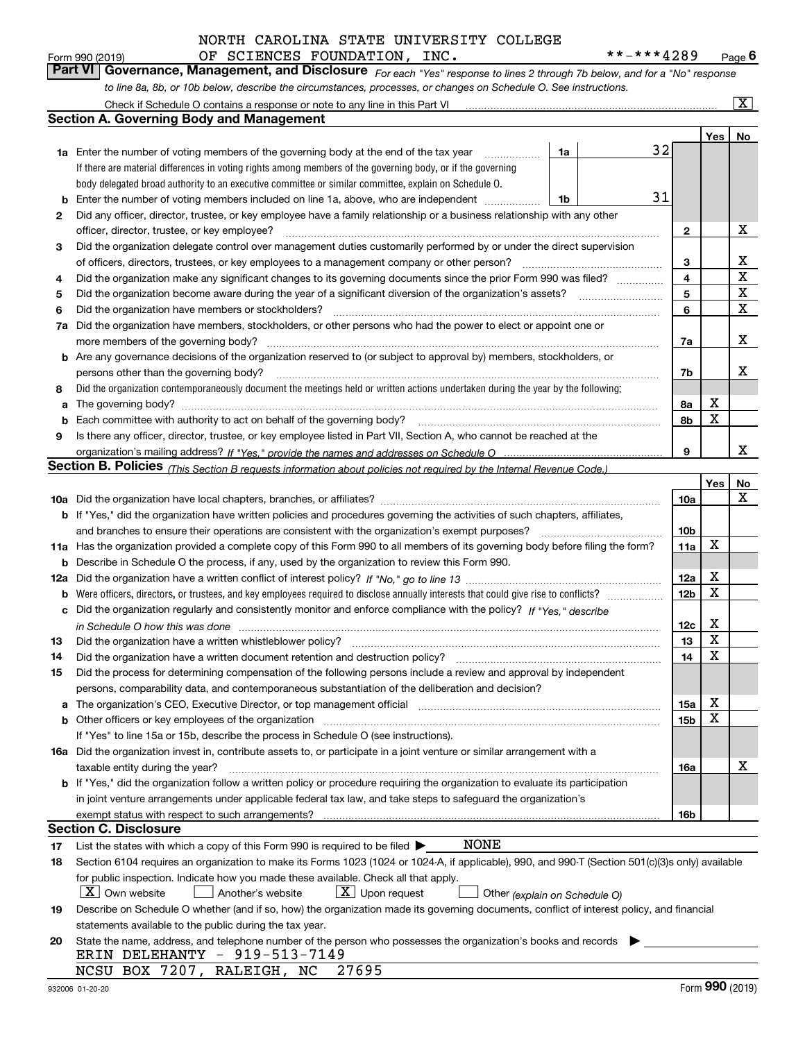| Form 990 (2019) |  | OF SCIENCES FOUNDATION, INC. |  | **-***4289                                                                                                                  | $P$ age $6$ |
|-----------------|--|------------------------------|--|-----------------------------------------------------------------------------------------------------------------------------|-------------|
|                 |  |                              |  | Part VI Governance, Management, and Disclosure For each "Yes" response to lines 2 through 7b below, and for a "No" response |             |
|                 |  |                              |  | to line 8a, 8b, or 10b below, describe the circumstances, processes, or changes on Schedule O. See instructions.            |             |

|     | Check if Schedule O contains a response or note to any line in this Part VI                                                                                                                                                    |                 |             | $\overline{\mathbf{x}}$ |
|-----|--------------------------------------------------------------------------------------------------------------------------------------------------------------------------------------------------------------------------------|-----------------|-------------|-------------------------|
|     | <b>Section A. Governing Body and Management</b>                                                                                                                                                                                |                 |             |                         |
|     |                                                                                                                                                                                                                                |                 | Yes         | No                      |
|     | 32<br><b>1a</b> Enter the number of voting members of the governing body at the end of the tax year<br>1a<br>.                                                                                                                 |                 |             |                         |
|     | If there are material differences in voting rights among members of the governing body, or if the governing                                                                                                                    |                 |             |                         |
|     | body delegated broad authority to an executive committee or similar committee, explain on Schedule O.                                                                                                                          |                 |             |                         |
| b   | 31<br>Enter the number of voting members included on line 1a, above, who are independent<br>1b                                                                                                                                 |                 |             |                         |
| 2   | Did any officer, director, trustee, or key employee have a family relationship or a business relationship with any other                                                                                                       |                 |             |                         |
|     | officer, director, trustee, or key employee?                                                                                                                                                                                   | $\mathbf{2}$    |             | X                       |
| 3   | Did the organization delegate control over management duties customarily performed by or under the direct supervision                                                                                                          |                 |             |                         |
|     | of officers, directors, trustees, or key employees to a management company or other person?                                                                                                                                    | 3               |             | х                       |
| 4   | Did the organization make any significant changes to its governing documents since the prior Form 990 was filed?                                                                                                               | 4               |             | $\mathbf x$             |
| 5   |                                                                                                                                                                                                                                | 5               |             | X                       |
| 6   | Did the organization have members or stockholders?                                                                                                                                                                             | 6               |             | $\mathbf X$             |
| 7a  | Did the organization have members, stockholders, or other persons who had the power to elect or appoint one or                                                                                                                 |                 |             |                         |
|     | more members of the governing body?                                                                                                                                                                                            | 7a              |             | х                       |
|     | <b>b</b> Are any governance decisions of the organization reserved to (or subject to approval by) members, stockholders, or                                                                                                    |                 |             |                         |
|     | persons other than the governing body?                                                                                                                                                                                         | 7b              |             | x                       |
| 8   | Did the organization contemporaneously document the meetings held or written actions undertaken during the year by the following:                                                                                              |                 |             |                         |
| a   | The governing body?                                                                                                                                                                                                            | 8a              | X           |                         |
| b   |                                                                                                                                                                                                                                | 8b              | $\mathbf X$ |                         |
| 9   | Is there any officer, director, trustee, or key employee listed in Part VII, Section A, who cannot be reached at the                                                                                                           |                 |             |                         |
|     |                                                                                                                                                                                                                                | 9               |             | x                       |
|     | Section B. Policies <sub>(This Section B requests information about policies not required by the Internal Revenue Code.)</sub>                                                                                                 |                 |             |                         |
|     |                                                                                                                                                                                                                                |                 | Yes         | No                      |
|     |                                                                                                                                                                                                                                | 10a             |             | х                       |
|     | <b>b</b> If "Yes," did the organization have written policies and procedures governing the activities of such chapters, affiliates,                                                                                            |                 |             |                         |
|     | and branches to ensure their operations are consistent with the organization's exempt purposes?                                                                                                                                | 10b             |             |                         |
|     | 11a Has the organization provided a complete copy of this Form 990 to all members of its governing body before filing the form?                                                                                                | 11a             | $\mathbf X$ |                         |
| b   | Describe in Schedule O the process, if any, used by the organization to review this Form 990.                                                                                                                                  |                 |             |                         |
| 12a |                                                                                                                                                                                                                                | 12a             | X           |                         |
| b   |                                                                                                                                                                                                                                | 12 <sub>b</sub> | X           |                         |
| с   | Did the organization regularly and consistently monitor and enforce compliance with the policy? If "Yes." describe                                                                                                             |                 |             |                         |
|     | in Schedule O how this was done material and the control of the state of the state of the state of the state of the state of the state of the state of the state of the state of the state of the state of the state of the st | 12c             | х           |                         |
| 13  | Did the organization have a written whistleblower policy?                                                                                                                                                                      | 13              | X           |                         |
| 14  | Did the organization have a written document retention and destruction policy?                                                                                                                                                 | 14              | X           |                         |
| 15  | Did the process for determining compensation of the following persons include a review and approval by independent                                                                                                             |                 |             |                         |
|     | persons, comparability data, and contemporaneous substantiation of the deliberation and decision?                                                                                                                              |                 |             |                         |
| a   | The organization's CEO, Executive Director, or top management official manufactured content of the organization's CEO, Executive Director, or top management official                                                          | 15a             | Χ           |                         |
|     | <b>b</b> Other officers or key employees of the organization                                                                                                                                                                   | 15b             | X           |                         |
|     | If "Yes" to line 15a or 15b, describe the process in Schedule O (see instructions).                                                                                                                                            |                 |             |                         |
|     | 16a Did the organization invest in, contribute assets to, or participate in a joint venture or similar arrangement with a                                                                                                      |                 |             |                         |
|     | taxable entity during the year?                                                                                                                                                                                                | 16a             |             | х                       |
|     | b If "Yes," did the organization follow a written policy or procedure requiring the organization to evaluate its participation                                                                                                 |                 |             |                         |
|     | in joint venture arrangements under applicable federal tax law, and take steps to safeguard the organization's                                                                                                                 |                 |             |                         |
|     | exempt status with respect to such arrangements?                                                                                                                                                                               | 16b             |             |                         |
|     | <b>Section C. Disclosure</b>                                                                                                                                                                                                   |                 |             |                         |
| 17  | <b>NONE</b><br>List the states with which a copy of this Form 990 is required to be filed $\blacktriangleright$                                                                                                                |                 |             |                         |
| 18  | Section 6104 requires an organization to make its Forms 1023 (1024 or 1024-A, if applicable), 990, and 990-T (Section 501(c)(3)s only) available                                                                               |                 |             |                         |
|     | for public inspection. Indicate how you made these available. Check all that apply.                                                                                                                                            |                 |             |                         |
|     | $X$ Own website<br>$X$ Upon request<br>Another's website<br>Other (explain on Schedule O)                                                                                                                                      |                 |             |                         |
| 19  | Describe on Schedule O whether (and if so, how) the organization made its governing documents, conflict of interest policy, and financial                                                                                      |                 |             |                         |
|     | statements available to the public during the tax year.                                                                                                                                                                        |                 |             |                         |
| 20  | State the name, address, and telephone number of the person who possesses the organization's books and records                                                                                                                 |                 |             |                         |
|     | ERIN DELEHANTY - 919-513-7149                                                                                                                                                                                                  |                 |             |                         |
|     | NCSU BOX 7207, RALEIGH, NC<br>27695                                                                                                                                                                                            |                 |             |                         |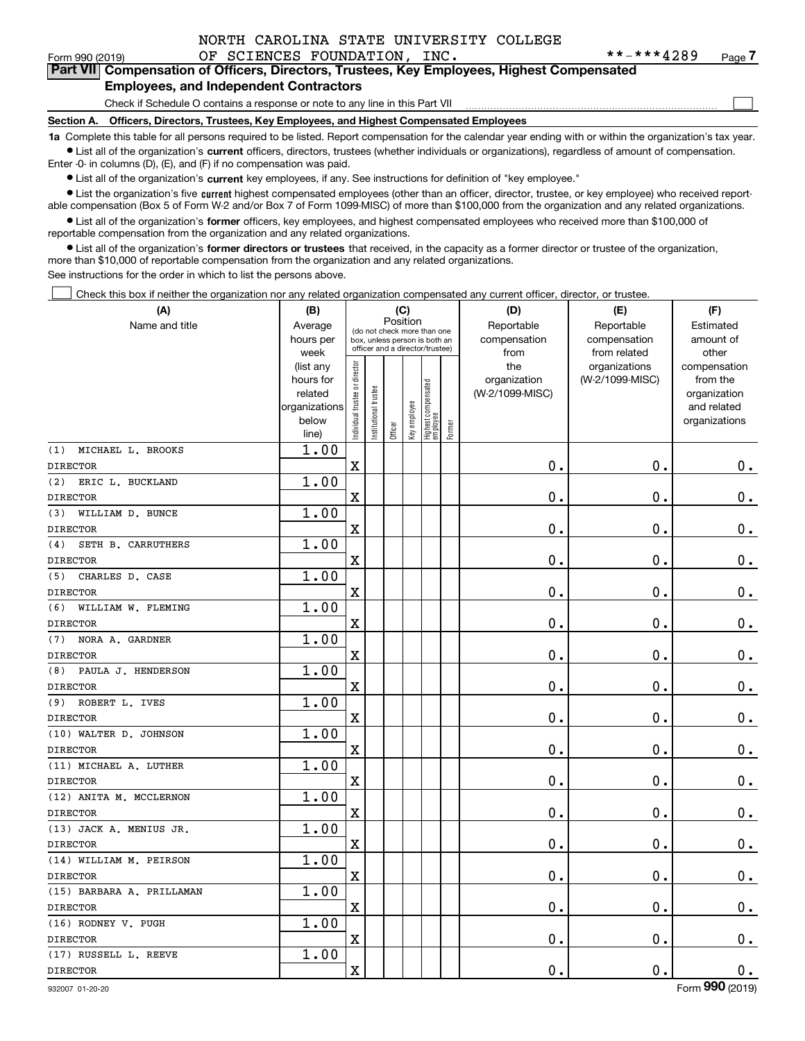$\mathcal{L}^{\text{max}}$ 

### Form 990 (2019) Page OF SCIENCES FOUNDATION, INC. \*\*-\*\*\*4289 Form 990 (2019) **1988** OF SCIENCES FOUNDATION, INC.<br>**Part VII** Compensation of Officers, Directors, Trustees, Key Employees, Highest Compensated **Employees, and Independent Contractors**

Check if Schedule O contains a response or note to any line in this Part VII

**Section A. Officers, Directors, Trustees, Key Employees, and Highest Compensated Employees**

**1a**  Complete this table for all persons required to be listed. Report compensation for the calendar year ending with or within the organization's tax year. **•** List all of the organization's current officers, directors, trustees (whether individuals or organizations), regardless of amount of compensation.

Enter -0- in columns (D), (E), and (F) if no compensation was paid.

 $\bullet$  List all of the organization's  $\,$ current key employees, if any. See instructions for definition of "key employee."

**•** List the organization's five current highest compensated employees (other than an officer, director, trustee, or key employee) who received reportable compensation (Box 5 of Form W-2 and/or Box 7 of Form 1099-MISC) of more than \$100,000 from the organization and any related organizations.

**•** List all of the organization's former officers, key employees, and highest compensated employees who received more than \$100,000 of reportable compensation from the organization and any related organizations.

**former directors or trustees**  ¥ List all of the organization's that received, in the capacity as a former director or trustee of the organization, more than \$10,000 of reportable compensation from the organization and any related organizations.

See instructions for the order in which to list the persons above.

Check this box if neither the organization nor any related organization compensated any current officer, director, or trustee.  $\mathcal{L}^{\text{max}}$ 

| (A)                       | (B)                      |                                |                                                                  | (C)      |              |                                  |        | (D)             | (E)             | (F)                         |
|---------------------------|--------------------------|--------------------------------|------------------------------------------------------------------|----------|--------------|----------------------------------|--------|-----------------|-----------------|-----------------------------|
| Name and title            | Average                  |                                | (do not check more than one                                      | Position |              |                                  |        | Reportable      | Reportable      | Estimated                   |
|                           | hours per                |                                | box, unless person is both an<br>officer and a director/trustee) |          |              |                                  |        | compensation    | compensation    | amount of                   |
|                           | week                     |                                |                                                                  |          |              |                                  |        | from            | from related    | other                       |
|                           | (list any                |                                |                                                                  |          |              |                                  |        | the             | organizations   | compensation                |
|                           | hours for                |                                |                                                                  |          |              |                                  |        | organization    | (W-2/1099-MISC) | from the                    |
|                           | related<br>organizations |                                |                                                                  |          |              |                                  |        | (W-2/1099-MISC) |                 | organization<br>and related |
|                           | below                    |                                |                                                                  |          |              |                                  |        |                 |                 | organizations               |
|                           | line)                    | Individual trustee or director | Institutional trustee                                            | Officer  | Key employee | Highest compensated<br> employee | Former |                 |                 |                             |
| MICHAEL L. BROOKS<br>(1)  | 1.00                     |                                |                                                                  |          |              |                                  |        |                 |                 |                             |
| <b>DIRECTOR</b>           |                          | $\mathbf x$                    |                                                                  |          |              |                                  |        | 0.              | $\mathbf 0$ .   | $0_{.}$                     |
| ERIC L. BUCKLAND<br>(2)   | 1.00                     |                                |                                                                  |          |              |                                  |        |                 |                 |                             |
| <b>DIRECTOR</b>           |                          | X                              |                                                                  |          |              |                                  |        | 0.              | 0.              | $\mathbf 0$ .               |
| WILLIAM D. BUNCE<br>(3)   | 1.00                     |                                |                                                                  |          |              |                                  |        |                 |                 |                             |
| <b>DIRECTOR</b>           |                          | $\mathbf X$                    |                                                                  |          |              |                                  |        | $\mathbf 0$ .   | $\mathbf 0$ .   | $\mathbf 0$ .               |
| SETH B. CARRUTHERS<br>(4) | 1.00                     |                                |                                                                  |          |              |                                  |        |                 |                 |                             |
| <b>DIRECTOR</b>           |                          | X                              |                                                                  |          |              |                                  |        | 0.              | $\mathbf 0$ .   | $\mathbf 0$ .               |
| (5) CHARLES D. CASE       | 1.00                     |                                |                                                                  |          |              |                                  |        |                 |                 |                             |
| <b>DIRECTOR</b>           |                          | $\rm X$                        |                                                                  |          |              |                                  |        | 0.              | $\mathbf 0$ .   | $\mathbf 0$ .               |
| (6) WILLIAM W. FLEMING    | 1.00                     |                                |                                                                  |          |              |                                  |        |                 |                 |                             |
| <b>DIRECTOR</b>           |                          | X                              |                                                                  |          |              |                                  |        | $\mathbf 0$ .   | $\mathbf 0$ .   | $\mathbf 0$ .               |
| (7)<br>NORA A. GARDNER    | 1.00                     |                                |                                                                  |          |              |                                  |        |                 |                 |                             |
| <b>DIRECTOR</b>           |                          | $\overline{\text{X}}$          |                                                                  |          |              |                                  |        | $\mathbf 0$ .   | $\mathbf 0$ .   | $0_{.}$                     |
| (8)<br>PAULA J. HENDERSON | 1.00                     |                                |                                                                  |          |              |                                  |        |                 |                 |                             |
| <b>DIRECTOR</b>           |                          | $\mathbf x$                    |                                                                  |          |              |                                  |        | 0.              | 0.              | $0_{.}$                     |
| (9) ROBERT L. IVES        | 1.00                     |                                |                                                                  |          |              |                                  |        |                 |                 |                             |
| <b>DIRECTOR</b>           |                          | $\rm X$                        |                                                                  |          |              |                                  |        | $0$ .           | 0.              | $\mathbf 0$ .               |
| (10) WALTER D. JOHNSON    | 1.00                     |                                |                                                                  |          |              |                                  |        |                 |                 |                             |
| <b>DIRECTOR</b>           |                          | $\overline{\text{X}}$          |                                                                  |          |              |                                  |        | $\mathbf 0$ .   | $\mathbf 0$ .   | $\mathbf 0$ .               |
| (11) MICHAEL A. LUTHER    | 1.00                     |                                |                                                                  |          |              |                                  |        |                 |                 |                             |
| <b>DIRECTOR</b>           |                          | $\mathbf X$                    |                                                                  |          |              |                                  |        | 0.              | $\mathbf 0$ .   | $\mathbf 0$ .               |
| (12) ANITA M. MCCLERNON   | 1.00                     |                                |                                                                  |          |              |                                  |        |                 |                 |                             |
| <b>DIRECTOR</b>           |                          | $\mathbf X$                    |                                                                  |          |              |                                  |        | 0.              | $\mathbf 0$ .   | $\mathbf 0$ .               |
| (13) JACK A. MENIUS JR.   | 1.00                     |                                |                                                                  |          |              |                                  |        |                 |                 |                             |
| <b>DIRECTOR</b>           |                          | $\mathbf X$                    |                                                                  |          |              |                                  |        | 0.              | $\mathbf 0$ .   | $\mathbf 0$ .               |
| (14) WILLIAM M. PEIRSON   | 1.00                     |                                |                                                                  |          |              |                                  |        |                 |                 |                             |
| <b>DIRECTOR</b>           |                          | $\mathbf X$                    |                                                                  |          |              |                                  |        | $\mathbf 0$ .   | $\mathbf 0$ .   | 0.                          |
| (15) BARBARA A. PRILLAMAN | 1.00                     |                                |                                                                  |          |              |                                  |        |                 |                 |                             |
| <b>DIRECTOR</b>           |                          | X                              |                                                                  |          |              |                                  |        | 0.              | 0.              | $\mathbf 0$ .               |
| (16) RODNEY V. PUGH       | 1.00                     |                                |                                                                  |          |              |                                  |        |                 |                 |                             |
| <b>DIRECTOR</b>           |                          | $\mathbf X$                    |                                                                  |          |              |                                  |        | 0.              | $\mathbf 0$ .   | $0$ .                       |
| (17) RUSSELL L. REEVE     | 1.00                     |                                |                                                                  |          |              |                                  |        |                 |                 |                             |
| <b>DIRECTOR</b>           |                          | $\mathbf X$                    |                                                                  |          |              |                                  |        | 0.              | 0.              | 0.<br>$\overline{2}$        |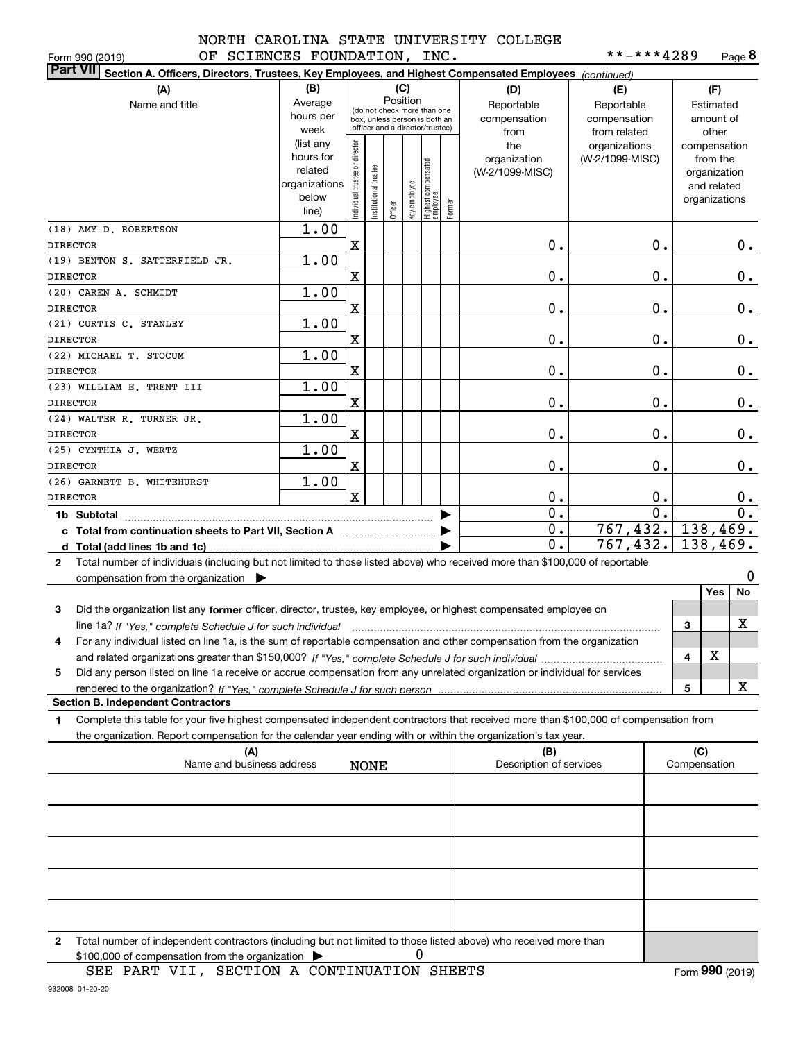#### OF SCIENCES FOUNDATION, INC. NORTH CAROLINA STATE UNIVERSITY COLLEGE

| **-***4289 | Page 8 |
|------------|--------|
|------------|--------|

|                 | Form 990 (2019)<br>OF SCIENCES FOUNDATION, INC.                                                                                                 |                |                               |                      |         |              |                                                              |        |                                | **-***4289      |                     |               | Page <b>ö</b> |
|-----------------|-------------------------------------------------------------------------------------------------------------------------------------------------|----------------|-------------------------------|----------------------|---------|--------------|--------------------------------------------------------------|--------|--------------------------------|-----------------|---------------------|---------------|---------------|
| <b>Part VII</b> | Section A. Officers, Directors, Trustees, Key Employees, and Highest Compensated Employees (continued)                                          |                |                               |                      |         |              |                                                              |        |                                |                 |                     |               |               |
|                 | (A)                                                                                                                                             | (B)            |                               |                      |         | (C)          |                                                              |        | (D)                            | (E)             |                     | (F)           |               |
|                 | Name and title                                                                                                                                  | Average        |                               |                      |         | Position     |                                                              |        | Reportable                     | Reportable      |                     | Estimated     |               |
|                 |                                                                                                                                                 | hours per      |                               |                      |         |              | (do not check more than one<br>box, unless person is both an |        | compensation                   | compensation    |                     | amount of     |               |
|                 |                                                                                                                                                 | week           |                               |                      |         |              | officer and a director/trustee)                              |        | from                           | from related    |                     | other         |               |
|                 |                                                                                                                                                 | (list any      |                               |                      |         |              |                                                              |        | the                            | organizations   |                     | compensation  |               |
|                 |                                                                                                                                                 | hours for      |                               |                      |         |              |                                                              |        | organization                   | (W-2/1099-MISC) |                     | from the      |               |
|                 |                                                                                                                                                 | related        |                               |                      |         |              |                                                              |        | (W-2/1099-MISC)                |                 |                     | organization  |               |
|                 |                                                                                                                                                 | organizations  |                               |                      |         |              |                                                              |        |                                |                 |                     | and related   |               |
|                 |                                                                                                                                                 | below<br>line) | ndividual trustee or director | nstitutional trustee | Officer | Key employee | Highest compensated<br> employee                             | Former |                                |                 |                     | organizations |               |
|                 |                                                                                                                                                 |                |                               |                      |         |              |                                                              |        |                                |                 |                     |               |               |
|                 | (18) AMY D. ROBERTSON                                                                                                                           | 1.00           |                               |                      |         |              |                                                              |        |                                |                 |                     |               |               |
| <b>DIRECTOR</b> |                                                                                                                                                 |                | X                             |                      |         |              |                                                              |        | 0.                             | 0.              |                     |               | 0.            |
| <b>DIRECTOR</b> | (19) BENTON S. SATTERFIELD JR.                                                                                                                  | 1.00           | X                             |                      |         |              |                                                              |        | 0.                             | 0.              |                     |               |               |
|                 | (20) CAREN A. SCHMIDT                                                                                                                           | 1.00           |                               |                      |         |              |                                                              |        |                                |                 |                     |               | 0.            |
| <b>DIRECTOR</b> |                                                                                                                                                 |                | X                             |                      |         |              |                                                              |        | 0.                             | 0.              |                     |               | 0.            |
|                 | (21) CURTIS C. STANLEY                                                                                                                          | 1.00           |                               |                      |         |              |                                                              |        |                                |                 |                     |               |               |
| <b>DIRECTOR</b> |                                                                                                                                                 |                | X                             |                      |         |              |                                                              |        | 0.                             | 0.              |                     |               | 0.            |
|                 | (22) MICHAEL T. STOCUM                                                                                                                          | 1.00           |                               |                      |         |              |                                                              |        |                                |                 |                     |               |               |
| <b>DIRECTOR</b> |                                                                                                                                                 |                | X                             |                      |         |              |                                                              |        | 0.                             | 0.              |                     |               | 0.            |
|                 | (23) WILLIAM E. TRENT III                                                                                                                       | 1.00           |                               |                      |         |              |                                                              |        |                                |                 |                     |               |               |
| <b>DIRECTOR</b> |                                                                                                                                                 |                | X                             |                      |         |              |                                                              |        | 0.                             | 0.              |                     |               | 0.            |
|                 | (24) WALTER R. TURNER JR.                                                                                                                       | 1.00           |                               |                      |         |              |                                                              |        |                                |                 |                     |               |               |
| <b>DIRECTOR</b> |                                                                                                                                                 |                | X                             |                      |         |              |                                                              |        | 0.                             | 0.              |                     |               | 0.            |
|                 | (25) CYNTHIA J. WERTZ                                                                                                                           | 1.00           |                               |                      |         |              |                                                              |        |                                |                 |                     |               |               |
| <b>DIRECTOR</b> |                                                                                                                                                 |                | X                             |                      |         |              |                                                              |        | 0.                             | 0.              |                     |               | 0.            |
|                 | (26) GARNETT B. WHITEHURST                                                                                                                      | 1.00           |                               |                      |         |              |                                                              |        |                                |                 |                     |               |               |
| <b>DIRECTOR</b> |                                                                                                                                                 |                | $\overline{\mathbf{X}}$       |                      |         |              |                                                              |        | 0.                             | 0.              |                     |               | 0.            |
|                 |                                                                                                                                                 |                |                               |                      |         |              |                                                              |        | 0.                             | 0.              |                     |               | 0.            |
|                 |                                                                                                                                                 |                |                               |                      |         |              |                                                              |        | 0.                             | 767, 432.       |                     | 138,469.      |               |
|                 |                                                                                                                                                 |                |                               |                      |         |              |                                                              |        | 0.                             | 767,432.        |                     | 138,469.      |               |
|                 |                                                                                                                                                 |                |                               |                      |         |              |                                                              |        |                                |                 |                     |               |               |
| $\mathbf{2}$    | Total number of individuals (including but not limited to those listed above) who received more than \$100,000 of reportable                    |                |                               |                      |         |              |                                                              |        |                                |                 |                     |               |               |
|                 | compensation from the organization $\blacktriangleright$                                                                                        |                |                               |                      |         |              |                                                              |        |                                |                 |                     | Yes           | 0<br>No       |
|                 |                                                                                                                                                 |                |                               |                      |         |              |                                                              |        |                                |                 |                     |               |               |
| 3               | Did the organization list any former officer, director, trustee, key employee, or highest compensated employee on                               |                |                               |                      |         |              |                                                              |        |                                |                 |                     |               |               |
|                 | line 1a? If "Yes," complete Schedule J for such individual manufactured contained and the 1a? If "Yes," complete Schedule J for such individual |                |                               |                      |         |              |                                                              |        |                                |                 | 3                   |               | х             |
| 4               | For any individual listed on line 1a, is the sum of reportable compensation and other compensation from the organization                        |                |                               |                      |         |              |                                                              |        |                                |                 |                     |               |               |
|                 |                                                                                                                                                 |                |                               |                      |         |              |                                                              |        |                                |                 | 4                   | X             |               |
| 5               | Did any person listed on line 1a receive or accrue compensation from any unrelated organization or individual for services                      |                |                               |                      |         |              |                                                              |        |                                |                 |                     |               |               |
|                 |                                                                                                                                                 |                |                               |                      |         |              |                                                              |        |                                |                 | 5                   |               | x             |
|                 | <b>Section B. Independent Contractors</b>                                                                                                       |                |                               |                      |         |              |                                                              |        |                                |                 |                     |               |               |
| 1               | Complete this table for your five highest compensated independent contractors that received more than \$100,000 of compensation from            |                |                               |                      |         |              |                                                              |        |                                |                 |                     |               |               |
|                 | the organization. Report compensation for the calendar year ending with or within the organization's tax year.                                  |                |                               |                      |         |              |                                                              |        |                                |                 |                     |               |               |
|                 | (A)<br>Name and business address                                                                                                                |                |                               | <b>NONE</b>          |         |              |                                                              |        | (B)<br>Description of services |                 | (C)<br>Compensation |               |               |
|                 |                                                                                                                                                 |                |                               |                      |         |              |                                                              |        |                                |                 |                     |               |               |
|                 |                                                                                                                                                 |                |                               |                      |         |              |                                                              |        |                                |                 |                     |               |               |
|                 |                                                                                                                                                 |                |                               |                      |         |              |                                                              |        |                                |                 |                     |               |               |
|                 |                                                                                                                                                 |                |                               |                      |         |              |                                                              |        |                                |                 |                     |               |               |
|                 |                                                                                                                                                 |                |                               |                      |         |              |                                                              |        |                                |                 |                     |               |               |
|                 |                                                                                                                                                 |                |                               |                      |         |              |                                                              |        |                                |                 |                     |               |               |
|                 |                                                                                                                                                 |                |                               |                      |         |              |                                                              |        |                                |                 |                     |               |               |
|                 |                                                                                                                                                 |                |                               |                      |         |              |                                                              |        |                                |                 |                     |               |               |

**2**Total number of independent contractors (including but not limited to those listed above) who received more than \$100,000 of compensation from the organization  $\blacktriangleright$ 0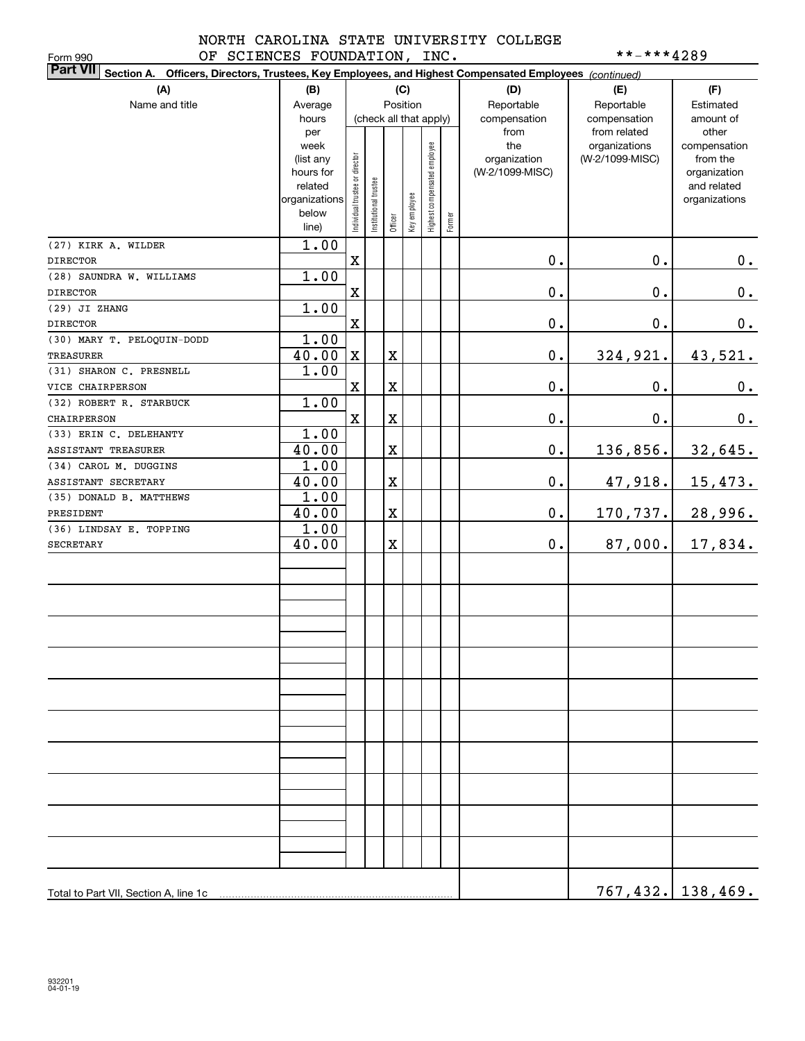Form 990

### NORTH CAROLINA STATE UNIVERSITY COLLEGE OF SCIENCES FOUNDATION, INC. \*\*-\*\*\*\*4289

| <b>Part VII</b> Section A. Officers, Directors, Trustees, Key Employees, and Highest Compensated Employees (continued) |               |                                |                        |             |              |                              |            |                 |                               |                          |
|------------------------------------------------------------------------------------------------------------------------|---------------|--------------------------------|------------------------|-------------|--------------|------------------------------|------------|-----------------|-------------------------------|--------------------------|
| (A)<br>(B)<br>(C)                                                                                                      |               |                                |                        |             |              |                              |            | (D)             | (E)                           | (F)                      |
| Name and title                                                                                                         | Average       | Position                       |                        |             |              | Reportable                   | Reportable | Estimated       |                               |                          |
|                                                                                                                        | hours         |                                | (check all that apply) |             |              |                              |            | compensation    | compensation                  | amount of                |
|                                                                                                                        | per<br>week   |                                |                        |             |              |                              |            | from<br>the     | from related<br>organizations | other                    |
|                                                                                                                        | (list any     |                                |                        |             |              |                              |            | organization    | (W-2/1099-MISC)               | compensation<br>from the |
|                                                                                                                        | hours for     |                                |                        |             |              |                              |            | (W-2/1099-MISC) |                               | organization             |
|                                                                                                                        | related       |                                |                        |             |              |                              |            |                 |                               | and related              |
|                                                                                                                        | organizations |                                |                        |             |              |                              |            |                 |                               | organizations            |
|                                                                                                                        | below         | Individual trustee or director | nstitutional trustee   | Officer     | Key employee | Highest compensated employee | Former     |                 |                               |                          |
|                                                                                                                        | line)         |                                |                        |             |              |                              |            |                 |                               |                          |
| (27) KIRK A. WILDER                                                                                                    | 1.00          |                                |                        |             |              |                              |            |                 |                               |                          |
| <b>DIRECTOR</b>                                                                                                        |               | X                              |                        |             |              |                              |            | 0.              | $\mathbf 0$ .                 | $0_{\cdot}$              |
| (28) SAUNDRA W. WILLIAMS                                                                                               | 1.00          |                                |                        |             |              |                              |            |                 |                               |                          |
| <b>DIRECTOR</b>                                                                                                        |               | X                              |                        |             |              |                              |            | $\mathbf 0$ .   | $\mathbf 0$ .                 | $0_{\cdot}$              |
| (29) JI ZHANG                                                                                                          | 1.00          |                                |                        |             |              |                              |            |                 |                               |                          |
| <b>DIRECTOR</b>                                                                                                        |               | $\mathbf X$                    |                        |             |              |                              |            | $\mathbf 0$ .   | $\mathbf 0$ .                 | $0_{\bullet}$            |
| (30) MARY T. PELOQUIN-DODD                                                                                             | 1.00          |                                |                        |             |              |                              |            |                 |                               |                          |
| TREASURER                                                                                                              | 40.00         | $\mathbf X$                    |                        | $\mathbf X$ |              |                              |            | $\mathbf 0$ .   | 324,921.                      | 43,521.                  |
| (31) SHARON C. PRESNELL                                                                                                | 1.00          |                                |                        |             |              |                              |            |                 |                               |                          |
| VICE CHAIRPERSON                                                                                                       | 1.00          | $\mathbf X$                    |                        | $\mathbf X$ |              |                              |            | $\mathbf 0$ .   | $\mathbf 0$ .                 | $0_{.}$                  |
| (32) ROBERT R. STARBUCK<br>CHAIRPERSON                                                                                 |               | $\mathbf X$                    |                        |             |              |                              |            | $0$ .           | $\mathbf 0$ .                 |                          |
| (33) ERIN C. DELEHANTY                                                                                                 | 1.00          |                                |                        | $\mathbf X$ |              |                              |            |                 |                               | 0.                       |
| <b>ASSISTANT TREASURER</b>                                                                                             | 40.00         |                                |                        | X           |              |                              |            | $\mathbf 0$ .   | 136,856.                      | 32,645.                  |
| (34) CAROL M. DUGGINS                                                                                                  | 1.00          |                                |                        |             |              |                              |            |                 |                               |                          |
| ASSISTANT SECRETARY                                                                                                    | 40.00         |                                |                        | X           |              |                              |            | $0$ .           | 47,918.                       | 15,473.                  |
| (35) DONALD B. MATTHEWS                                                                                                | 1.00          |                                |                        |             |              |                              |            |                 |                               |                          |
| PRESIDENT                                                                                                              | 40.00         |                                |                        | X           |              |                              |            | $0$ .           | 170,737.                      | 28,996.                  |
| (36) LINDSAY E. TOPPING                                                                                                | 1.00          |                                |                        |             |              |                              |            |                 |                               |                          |
| <b>SECRETARY</b>                                                                                                       | 40.00         |                                |                        | X           |              |                              |            | 0.              | 87,000.                       | 17,834.                  |
|                                                                                                                        |               |                                |                        |             |              |                              |            |                 |                               |                          |
|                                                                                                                        |               |                                |                        |             |              |                              |            |                 |                               |                          |
|                                                                                                                        |               |                                |                        |             |              |                              |            |                 |                               |                          |
|                                                                                                                        |               |                                |                        |             |              |                              |            |                 |                               |                          |
|                                                                                                                        |               |                                |                        |             |              |                              |            |                 |                               |                          |
|                                                                                                                        |               |                                |                        |             |              |                              |            |                 |                               |                          |
|                                                                                                                        |               |                                |                        |             |              |                              |            |                 |                               |                          |
|                                                                                                                        |               |                                |                        |             |              |                              |            |                 |                               |                          |
|                                                                                                                        |               |                                |                        |             |              |                              |            |                 |                               |                          |
|                                                                                                                        |               |                                |                        |             |              |                              |            |                 |                               |                          |
|                                                                                                                        |               |                                |                        |             |              |                              |            |                 |                               |                          |
|                                                                                                                        |               |                                |                        |             |              |                              |            |                 |                               |                          |
|                                                                                                                        |               |                                |                        |             |              |                              |            |                 |                               |                          |
|                                                                                                                        |               |                                |                        |             |              |                              |            |                 |                               |                          |
|                                                                                                                        |               |                                |                        |             |              |                              |            |                 |                               |                          |
|                                                                                                                        |               |                                |                        |             |              |                              |            |                 |                               |                          |
|                                                                                                                        |               |                                |                        |             |              |                              |            |                 |                               |                          |
|                                                                                                                        |               |                                |                        |             |              |                              |            |                 |                               |                          |
|                                                                                                                        |               |                                |                        |             |              |                              |            |                 |                               |                          |
|                                                                                                                        |               |                                |                        |             |              |                              |            |                 |                               |                          |
|                                                                                                                        |               |                                |                        |             |              |                              |            |                 |                               |                          |
|                                                                                                                        |               |                                |                        |             |              |                              |            |                 |                               | <u>767,432. 138,469.</u> |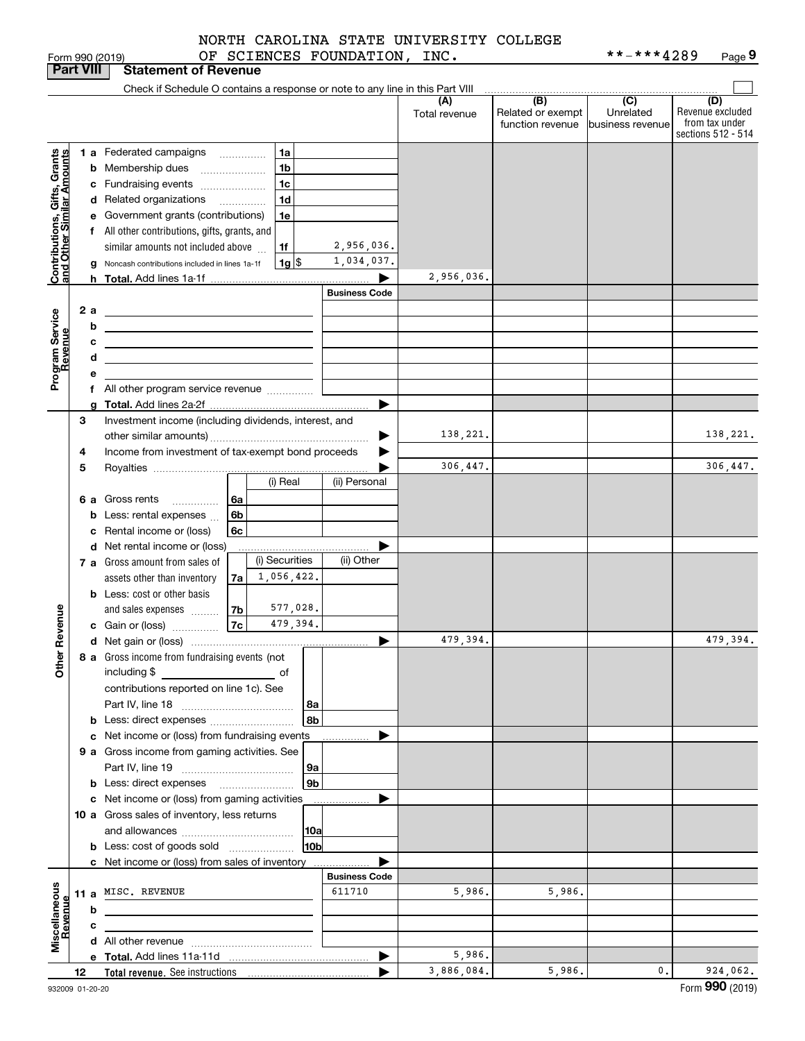|  | NORTH CAROLINA STATE UNIVERSITY COLLEGE |  |
|--|-----------------------------------------|--|
|  |                                         |  |

|                                                           |                  | Form 990 (2019)                                                                                                       |      |                                                        | OF SCIENCES FOUNDATION, INC. |               |                   | **-***4289       | Page 9             |
|-----------------------------------------------------------|------------------|-----------------------------------------------------------------------------------------------------------------------|------|--------------------------------------------------------|------------------------------|---------------|-------------------|------------------|--------------------|
|                                                           | <b>Part VIII</b> | <b>Statement of Revenue</b>                                                                                           |      |                                                        |                              |               |                   |                  |                    |
|                                                           |                  | Check if Schedule O contains a response or note to any line in this Part VIII                                         |      |                                                        |                              |               |                   |                  |                    |
|                                                           |                  |                                                                                                                       |      |                                                        |                              | (A)           | (B)               | $\overline{C}$   | (D)                |
|                                                           |                  |                                                                                                                       |      |                                                        |                              | Total revenue | Related or exempt | Unrelated        | Revenue excluded   |
|                                                           |                  |                                                                                                                       |      |                                                        |                              |               | function revenue  | business revenue | from tax under     |
|                                                           |                  |                                                                                                                       |      |                                                        |                              |               |                   |                  | sections 512 - 514 |
|                                                           |                  | 1 a Federated campaigns                                                                                               |      | 1a                                                     |                              |               |                   |                  |                    |
|                                                           |                  | <b>b</b> Membership dues                                                                                              |      | 1 <sub>b</sub><br>$\ldots \ldots \ldots \ldots \ldots$ |                              |               |                   |                  |                    |
| Contributions, Gifts, Grants<br>and Other Similar Amounts |                  | c Fundraising events                                                                                                  |      | 1 <sub>c</sub>                                         |                              |               |                   |                  |                    |
|                                                           |                  | d Related organizations                                                                                               |      | 1 <sub>d</sub>                                         |                              |               |                   |                  |                    |
|                                                           |                  |                                                                                                                       |      |                                                        |                              |               |                   |                  |                    |
|                                                           |                  | e Government grants (contributions)                                                                                   |      | 1e                                                     |                              |               |                   |                  |                    |
|                                                           |                  | f All other contributions, gifts, grants, and                                                                         |      |                                                        |                              |               |                   |                  |                    |
|                                                           |                  | similar amounts not included above                                                                                    |      | 1f                                                     | 2,956,036.                   |               |                   |                  |                    |
|                                                           |                  | g Noncash contributions included in lines 1a-1f                                                                       |      | 1g  \$                                                 | 1,034,037.                   |               |                   |                  |                    |
|                                                           |                  | <b>h</b> Total. Add lines 1a-1f                                                                                       |      |                                                        |                              | 2,956,036.    |                   |                  |                    |
|                                                           |                  |                                                                                                                       |      |                                                        | <b>Business Code</b>         |               |                   |                  |                    |
|                                                           | 2 a              |                                                                                                                       |      |                                                        |                              |               |                   |                  |                    |
| Program Service<br>Revenue                                |                  | <u> 1989 - Johann Barn, mars ann an t-Amhain Aonaich an t-Aonaich an t-Aonaich an t-Aonaich an t-Aonaich an t-Aon</u> |      |                                                        |                              |               |                   |                  |                    |
|                                                           |                  | b<br><u> 1989 - Johann Barbara, martxa alemaniar a</u>                                                                |      |                                                        |                              |               |                   |                  |                    |
|                                                           |                  | с                                                                                                                     |      |                                                        |                              |               |                   |                  |                    |
|                                                           |                  | d                                                                                                                     |      |                                                        |                              |               |                   |                  |                    |
|                                                           |                  | е                                                                                                                     |      |                                                        |                              |               |                   |                  |                    |
|                                                           |                  |                                                                                                                       |      |                                                        |                              |               |                   |                  |                    |
|                                                           |                  | g                                                                                                                     |      |                                                        |                              |               |                   |                  |                    |
|                                                           | 3                | Investment income (including dividends, interest, and                                                                 |      |                                                        |                              |               |                   |                  |                    |
|                                                           |                  |                                                                                                                       |      |                                                        |                              | 138,221.      |                   |                  | 138,221.           |
|                                                           |                  | Income from investment of tax-exempt bond proceeds                                                                    |      |                                                        |                              |               |                   |                  |                    |
|                                                           | 4                |                                                                                                                       |      |                                                        |                              |               |                   |                  |                    |
|                                                           | 5                |                                                                                                                       |      |                                                        |                              | 306,447.      |                   |                  | 306,447.           |
|                                                           |                  |                                                                                                                       |      | (i) Real                                               | (ii) Personal                |               |                   |                  |                    |
|                                                           |                  | <b>6 a</b> Gross rents                                                                                                | l 6a |                                                        |                              |               |                   |                  |                    |
|                                                           |                  | Less: rental expenses<br>b                                                                                            | 6b   |                                                        |                              |               |                   |                  |                    |
|                                                           |                  | Rental income or (loss)<br>с                                                                                          | 6c   |                                                        |                              |               |                   |                  |                    |
|                                                           |                  |                                                                                                                       |      |                                                        |                              |               |                   |                  |                    |
|                                                           |                  | d Net rental income or (loss)                                                                                         |      |                                                        | ▶                            |               |                   |                  |                    |
|                                                           |                  | 7 a Gross amount from sales of                                                                                        |      | (i) Securities                                         | (ii) Other                   |               |                   |                  |                    |
|                                                           |                  | assets other than inventory                                                                                           | 7a   | 1,056,422.                                             |                              |               |                   |                  |                    |
|                                                           |                  | <b>b</b> Less: cost or other basis                                                                                    |      |                                                        |                              |               |                   |                  |                    |
|                                                           |                  | and sales expenses                                                                                                    | 7b   | 577,028.                                               |                              |               |                   |                  |                    |
| evenue                                                    |                  | c Gain or (loss)                                                                                                      | 7c   | 479,394.                                               |                              |               |                   |                  |                    |
|                                                           |                  |                                                                                                                       |      |                                                        |                              | 479,394.      |                   |                  | 479,394.           |
| Ĕ.                                                        |                  | 8 a Gross income from fundraising events (not                                                                         |      |                                                        |                              |               |                   |                  |                    |
| Other                                                     |                  |                                                                                                                       |      |                                                        |                              |               |                   |                  |                    |
|                                                           |                  | including \$<br>and the contract of the contract of                                                                   |      |                                                        |                              |               |                   |                  |                    |
|                                                           |                  | contributions reported on line 1c). See                                                                               |      |                                                        |                              |               |                   |                  |                    |
|                                                           |                  |                                                                                                                       |      | 8а                                                     |                              |               |                   |                  |                    |
|                                                           |                  |                                                                                                                       |      | 8b                                                     |                              |               |                   |                  |                    |
|                                                           |                  | c Net income or (loss) from fundraising events                                                                        |      |                                                        |                              |               |                   |                  |                    |
|                                                           |                  | 9 a Gross income from gaming activities. See                                                                          |      |                                                        |                              |               |                   |                  |                    |
|                                                           |                  |                                                                                                                       |      | 9а                                                     |                              |               |                   |                  |                    |
|                                                           |                  |                                                                                                                       |      | 9 <sub>b</sub>                                         |                              |               |                   |                  |                    |
|                                                           |                  |                                                                                                                       |      |                                                        |                              |               |                   |                  |                    |
|                                                           |                  | c Net income or (loss) from gaming activities                                                                         |      |                                                        |                              |               |                   |                  |                    |
|                                                           |                  | 10 a Gross sales of inventory, less returns                                                                           |      |                                                        |                              |               |                   |                  |                    |
|                                                           |                  |                                                                                                                       |      | 10a                                                    |                              |               |                   |                  |                    |
|                                                           |                  | <b>b</b> Less: cost of goods sold                                                                                     |      | 10 <sub>b</sub>                                        |                              |               |                   |                  |                    |
|                                                           |                  | c Net income or (loss) from sales of inventory                                                                        |      |                                                        |                              |               |                   |                  |                    |
|                                                           |                  |                                                                                                                       |      |                                                        | <b>Business Code</b>         |               |                   |                  |                    |
|                                                           |                  | 11 a MISC. REVENUE                                                                                                    |      |                                                        | 611710                       | 5,986.        | 5,986.            |                  |                    |
|                                                           |                  |                                                                                                                       |      |                                                        |                              |               |                   |                  |                    |
|                                                           |                  | b                                                                                                                     |      |                                                        |                              |               |                   |                  |                    |
|                                                           |                  | с                                                                                                                     |      |                                                        |                              |               |                   |                  |                    |
| Miscellaneous<br>Revenue                                  |                  |                                                                                                                       |      |                                                        |                              |               |                   |                  |                    |
|                                                           |                  |                                                                                                                       |      |                                                        | ▶                            | 5,986.        |                   |                  |                    |
|                                                           | 12               |                                                                                                                       |      |                                                        |                              | 3,886,084.    | 5,986.            | $\mathbf{0}$ .   | 924,062.           |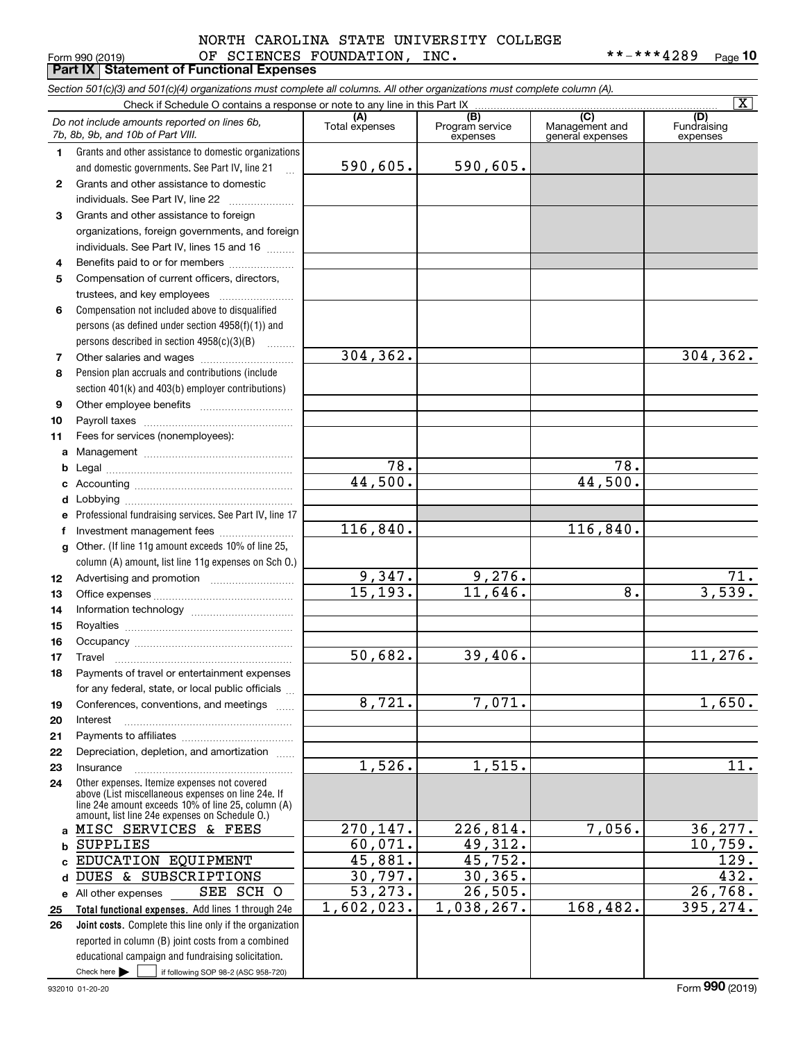### Form 990 (2019) Page **Part IX Statement of Functional Expenses** OF SCIENCES FOUNDATION, INC. \*\*-\*\*\*4289 NORTH CAROLINA STATE UNIVERSITY COLLEGE

\*\*-\*\*\*4289 Page 10

|              | Section 501(c)(3) and 501(c)(4) organizations must complete all columns. All other organizations must complete column (A).<br>Check if Schedule O contains a response or note to any line in this Part IX |                      |                        |                                    | $\overline{\mathbf{X}}$ |
|--------------|-----------------------------------------------------------------------------------------------------------------------------------------------------------------------------------------------------------|----------------------|------------------------|------------------------------------|-------------------------|
|              | Do not include amounts reported on lines 6b,                                                                                                                                                              | (A)                  | (B)<br>Program service | (C)                                | (D)                     |
|              | 7b, 8b, 9b, and 10b of Part VIII.                                                                                                                                                                         | Total expenses       | expenses               | Management and<br>general expenses | Fundraising<br>expenses |
| 1.           | Grants and other assistance to domestic organizations                                                                                                                                                     |                      |                        |                                    |                         |
|              | and domestic governments. See Part IV, line 21<br>$\mathbf{r}$                                                                                                                                            | 590,605.             | 590,605.               |                                    |                         |
| $\mathbf{2}$ | Grants and other assistance to domestic                                                                                                                                                                   |                      |                        |                                    |                         |
|              | individuals. See Part IV, line 22                                                                                                                                                                         |                      |                        |                                    |                         |
| 3            | Grants and other assistance to foreign                                                                                                                                                                    |                      |                        |                                    |                         |
|              | organizations, foreign governments, and foreign                                                                                                                                                           |                      |                        |                                    |                         |
|              | individuals. See Part IV, lines 15 and 16                                                                                                                                                                 |                      |                        |                                    |                         |
| 4            | Benefits paid to or for members                                                                                                                                                                           |                      |                        |                                    |                         |
| 5            | Compensation of current officers, directors,                                                                                                                                                              |                      |                        |                                    |                         |
|              |                                                                                                                                                                                                           |                      |                        |                                    |                         |
| 6            | Compensation not included above to disqualified                                                                                                                                                           |                      |                        |                                    |                         |
|              | persons (as defined under section 4958(f)(1)) and                                                                                                                                                         |                      |                        |                                    |                         |
|              | persons described in section 4958(c)(3)(B)<br>.                                                                                                                                                           |                      |                        |                                    |                         |
| 7            | Other salaries and wages                                                                                                                                                                                  | 304, 362.            |                        |                                    | 304, 362.               |
| 8            | Pension plan accruals and contributions (include                                                                                                                                                          |                      |                        |                                    |                         |
|              | section 401(k) and 403(b) employer contributions)                                                                                                                                                         |                      |                        |                                    |                         |
| 9            |                                                                                                                                                                                                           |                      |                        |                                    |                         |
| 10           |                                                                                                                                                                                                           |                      |                        |                                    |                         |
| 11           | Fees for services (nonemployees):                                                                                                                                                                         |                      |                        |                                    |                         |
| a            |                                                                                                                                                                                                           |                      |                        |                                    |                         |
| b            |                                                                                                                                                                                                           | 78.                  |                        | $\overline{78}$ .                  |                         |
| с            |                                                                                                                                                                                                           | 44,500.              |                        | 44,500.                            |                         |
| d            |                                                                                                                                                                                                           |                      |                        |                                    |                         |
| е            | Professional fundraising services. See Part IV, line 17                                                                                                                                                   |                      |                        |                                    |                         |
| f            | Investment management fees                                                                                                                                                                                | 116,840.             |                        | 116,840.                           |                         |
| g            | Other. (If line 11g amount exceeds 10% of line 25,                                                                                                                                                        |                      |                        |                                    |                         |
|              | column (A) amount, list line 11g expenses on Sch 0.)                                                                                                                                                      |                      |                        |                                    |                         |
| 12           |                                                                                                                                                                                                           | 9,347.<br>15, 193.   | 9,276.<br>11,646.      | 8.                                 | 71.<br>3,539.           |
| 13           |                                                                                                                                                                                                           |                      |                        |                                    |                         |
| 14           |                                                                                                                                                                                                           |                      |                        |                                    |                         |
| 15           |                                                                                                                                                                                                           |                      |                        |                                    |                         |
| 16           |                                                                                                                                                                                                           | 50,682.              | 39,406.                |                                    | 11, 276.                |
| 17           | Payments of travel or entertainment expenses                                                                                                                                                              |                      |                        |                                    |                         |
| 18           | for any federal, state, or local public officials                                                                                                                                                         |                      |                        |                                    |                         |
| 19           | Conferences, conventions, and meetings                                                                                                                                                                    | $\overline{8,721}$ . | 7,071.                 |                                    | 1,650.                  |
| 20           | Interest                                                                                                                                                                                                  |                      |                        |                                    |                         |
| 21           |                                                                                                                                                                                                           |                      |                        |                                    |                         |
| 22           | Depreciation, depletion, and amortization                                                                                                                                                                 |                      |                        |                                    |                         |
| 23           | Insurance                                                                                                                                                                                                 | 1,526.               | 1,515.                 |                                    | $\overline{11}$ .       |
| 24           | Other expenses. Itemize expenses not covered                                                                                                                                                              |                      |                        |                                    |                         |
|              | above (List miscellaneous expenses on line 24e. If                                                                                                                                                        |                      |                        |                                    |                         |
|              | line 24e amount exceeds 10% of line 25, column (A)<br>amount, list line 24e expenses on Schedule O.)                                                                                                      |                      |                        |                                    |                         |
| a            | MISC SERVICES & FEES                                                                                                                                                                                      | 270,147.             | 226,814.               | 7,056.                             | 36, 277.                |
| b            | <b>SUPPLIES</b>                                                                                                                                                                                           | 60,071.              | 49,312.                |                                    | 10,759.                 |
|              | EDUCATION EQUIPMENT                                                                                                                                                                                       | 45,881.              | 45,752.                |                                    | 129.                    |
|              | DUES & SUBSCRIPTIONS                                                                                                                                                                                      | 30,797.              | 30, 365.               |                                    | 432.                    |
|              | SEE SCH O<br>e All other expenses                                                                                                                                                                         | 53,273.              | 26,505.                |                                    | 26,768.                 |
| 25           | Total functional expenses. Add lines 1 through 24e                                                                                                                                                        | 1,602,023.           | 1,038,267.             | 168,482.                           | 395,274.                |
| 26           | Joint costs. Complete this line only if the organization                                                                                                                                                  |                      |                        |                                    |                         |
|              | reported in column (B) joint costs from a combined                                                                                                                                                        |                      |                        |                                    |                         |
|              | educational campaign and fundraising solicitation.                                                                                                                                                        |                      |                        |                                    |                         |
|              | Check here $\blacktriangleright$<br>if following SOP 98-2 (ASC 958-720)                                                                                                                                   |                      |                        |                                    |                         |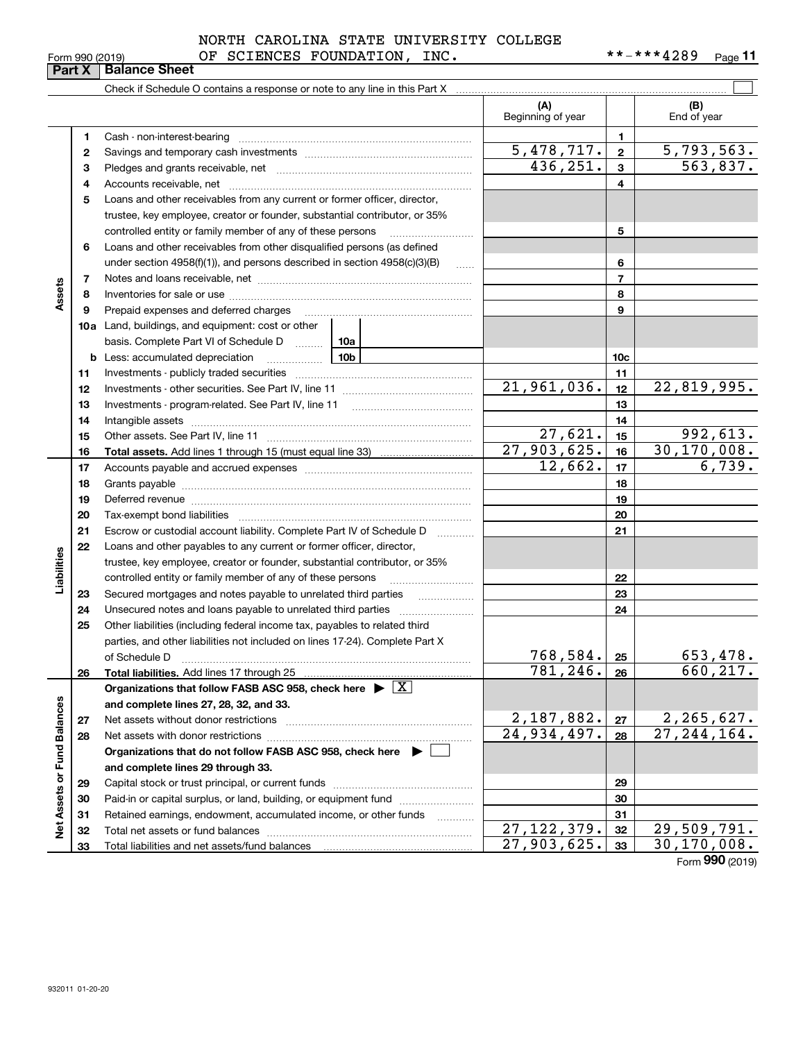|                 | NORTH CAROLINA STATE UNIVERSITY COLLEGE |            |         |
|-----------------|-----------------------------------------|------------|---------|
| Form 990 (2019) | INC.<br>OF SCIENCES FOUNDATION,         | **-***4289 | Page 11 |

|                             |    | Check if Schedule O contains a response or note to any line in this Part X         |                     |                                         |                 |                                           |
|-----------------------------|----|------------------------------------------------------------------------------------|---------------------|-----------------------------------------|-----------------|-------------------------------------------|
|                             |    |                                                                                    |                     | (A)                                     |                 | (B)                                       |
|                             |    |                                                                                    |                     | Beginning of year                       |                 | End of year                               |
|                             | 1  | Cash - non-interest-bearing                                                        |                     |                                         | 1.              |                                           |
|                             | 2  |                                                                                    |                     | 5,478,717.                              | $\overline{2}$  | <u>5,793,563.</u>                         |
|                             | з  |                                                                                    |                     | 436, 251.                               | 3               | 563,837.                                  |
|                             | 4  |                                                                                    |                     |                                         | 4               |                                           |
|                             | 5  | Loans and other receivables from any current or former officer, director,          |                     |                                         |                 |                                           |
|                             |    | trustee, key employee, creator or founder, substantial contributor, or 35%         |                     |                                         |                 |                                           |
|                             |    | controlled entity or family member of any of these persons                         |                     |                                         | 5               |                                           |
|                             | 6  | Loans and other receivables from other disqualified persons (as defined            |                     |                                         |                 |                                           |
|                             |    | under section $4958(f)(1)$ , and persons described in section $4958(c)(3)(B)$      | $\ldots$            |                                         | 6               |                                           |
|                             | 7  |                                                                                    |                     |                                         | $\overline{7}$  |                                           |
| Assets                      | 8  |                                                                                    |                     |                                         | 8               |                                           |
|                             | 9  | Prepaid expenses and deferred charges                                              |                     |                                         | 9               |                                           |
|                             |    | <b>10a</b> Land, buildings, and equipment: cost or other                           |                     |                                         |                 |                                           |
|                             |    | basis. Complete Part VI of Schedule D  [10a                                        |                     |                                         |                 |                                           |
|                             | b  |                                                                                    |                     |                                         | 10 <sub>c</sub> |                                           |
|                             | 11 |                                                                                    |                     |                                         | 11              |                                           |
|                             | 12 |                                                                                    |                     | 21,961,036.                             | 12              | 22,819,995.                               |
|                             | 13 |                                                                                    |                     |                                         | 13              |                                           |
|                             | 14 |                                                                                    |                     |                                         | 14              |                                           |
|                             | 15 |                                                                                    |                     | 27,621.                                 | 15              | 992,613.                                  |
|                             | 16 |                                                                                    |                     | 27,903,625.                             | 16              | 30, 170, 008.                             |
|                             | 17 |                                                                                    |                     | 12,662.                                 | 17              | 6,739.                                    |
|                             | 18 |                                                                                    |                     |                                         | 18              |                                           |
|                             | 19 |                                                                                    |                     | 19                                      |                 |                                           |
|                             | 20 |                                                                                    |                     |                                         | 20              |                                           |
|                             | 21 | Escrow or custodial account liability. Complete Part IV of Schedule D              | 1.1.1.1.1.1.1.1.1.1 |                                         | 21              |                                           |
|                             | 22 | Loans and other payables to any current or former officer, director,               |                     |                                         |                 |                                           |
| Liabilities                 |    | trustee, key employee, creator or founder, substantial contributor, or 35%         |                     |                                         |                 |                                           |
|                             |    | controlled entity or family member of any of these persons                         |                     |                                         | 22              |                                           |
|                             | 23 | Secured mortgages and notes payable to unrelated third parties                     |                     |                                         | 23              |                                           |
|                             | 24 | Unsecured notes and loans payable to unrelated third parties                       |                     |                                         | 24              |                                           |
|                             | 25 | Other liabilities (including federal income tax, payables to related third         |                     |                                         |                 |                                           |
|                             |    | parties, and other liabilities not included on lines 17-24). Complete Part X       |                     |                                         |                 |                                           |
|                             |    | of Schedule D                                                                      |                     | <u>768,584.</u>                         | 25              | <u>653,478.</u>                           |
|                             | 26 | Total liabilities. Add lines 17 through 25                                         |                     | 781, 246.                               | 26              | 660, 217.                                 |
|                             |    | Organizations that follow FASB ASC 958, check here $\blacktriangleright \boxed{X}$ |                     |                                         |                 |                                           |
|                             |    | and complete lines 27, 28, 32, and 33.                                             |                     |                                         |                 |                                           |
|                             | 27 | Net assets without donor restrictions                                              |                     | 2,187,882.<br>$\overline{24,934,497}$ . | 27              | 2, 265, 627.<br>$\overline{27,244,164}$ . |
|                             | 28 | Net assets with donor restrictions                                                 |                     | 28                                      |                 |                                           |
|                             |    | Organizations that do not follow FASB ASC 958, check here $\blacktriangleright$    |                     |                                         |                 |                                           |
|                             |    | and complete lines 29 through 33.                                                  |                     |                                         |                 |                                           |
|                             | 29 |                                                                                    |                     |                                         | 29              |                                           |
|                             | 30 | Paid-in or capital surplus, or land, building, or equipment fund                   |                     |                                         | 30              |                                           |
| Net Assets or Fund Balances | 31 | Retained earnings, endowment, accumulated income, or other funds                   | .                   | 27, 122, 379.                           | 31              | 29,509,791.                               |
|                             | 32 | Total net assets or fund balances                                                  |                     | 27,903,625.                             | 32<br>33        | 30, 170, 008.                             |
|                             | 33 |                                                                                    |                     |                                         |                 |                                           |

**33** 30, 170, 008.<br>Form **990** (2019)

## **Part X Balance Sheet**

|  | Form 990 (2019) |
|--|-----------------|
|  |                 |

 $\overline{\phantom{0}}$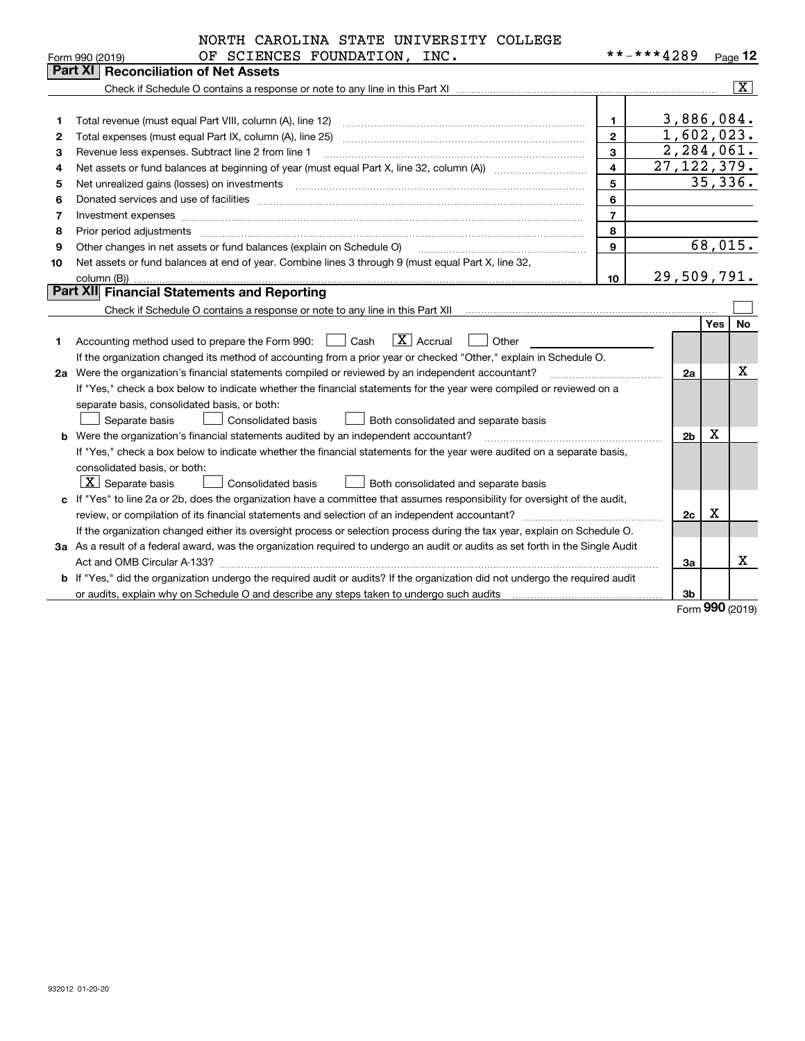|    | NORTH CAROLINA STATE UNIVERSITY COLLEGE                                                                                                                                                                                        |                         |                |             |                |
|----|--------------------------------------------------------------------------------------------------------------------------------------------------------------------------------------------------------------------------------|-------------------------|----------------|-------------|----------------|
|    | OF SCIENCES FOUNDATION, INC.<br>Form 990 (2019)                                                                                                                                                                                |                         | **-***4289     |             | Page $12$      |
|    | Part XI   Reconciliation of Net Assets                                                                                                                                                                                         |                         |                |             |                |
|    |                                                                                                                                                                                                                                |                         |                |             | $ \mathbf{X} $ |
|    |                                                                                                                                                                                                                                |                         |                |             |                |
| 1  | Total revenue (must equal Part VIII, column (A), line 12)                                                                                                                                                                      | $\mathbf{1}$            | 3,886,084.     |             |                |
| 2  | Total expenses (must equal Part IX, column (A), line 25)                                                                                                                                                                       | $\overline{2}$          | 1,602,023.     |             |                |
| 3  | Revenue less expenses. Subtract line 2 from line 1                                                                                                                                                                             | $\overline{3}$          | 2,284,061.     |             |                |
| 4  |                                                                                                                                                                                                                                | $\overline{\mathbf{4}}$ | 27, 122, 379.  |             |                |
| 5  | Net unrealized gains (losses) on investments                                                                                                                                                                                   | 5                       |                |             | 35,336.        |
| 6  | Donated services and use of facilities [111] matter contracts and the service of facilities [11] matter contracts and use of facilities [11] matter contracts and the service of facilities [11] matter contracts and the serv | 6                       |                |             |                |
| 7  | Investment expenses www.communication.com/www.communication.com/www.communication.com/www.com                                                                                                                                  | $\overline{7}$          |                |             |                |
| 8  | Prior period adjustments                                                                                                                                                                                                       | 8                       |                |             |                |
| 9  | Other changes in net assets or fund balances (explain on Schedule O)                                                                                                                                                           | $\mathbf{Q}$            |                |             | 68,015.        |
| 10 | Net assets or fund balances at end of year. Combine lines 3 through 9 (must equal Part X, line 32,                                                                                                                             |                         |                |             |                |
|    | column (B))                                                                                                                                                                                                                    | 10                      | 29,509,791.    |             |                |
|    | Part XII Financial Statements and Reporting                                                                                                                                                                                    |                         |                |             |                |
|    |                                                                                                                                                                                                                                |                         |                |             |                |
|    |                                                                                                                                                                                                                                |                         |                | Yes         | <b>No</b>      |
| 1  | $ X $ Accrual<br>Accounting method used to prepare the Form 990: <u>[16</u> ] Cash<br>Other                                                                                                                                    |                         |                |             |                |
|    | If the organization changed its method of accounting from a prior year or checked "Other," explain in Schedule O.                                                                                                              |                         |                |             |                |
|    | 2a Were the organization's financial statements compiled or reviewed by an independent accountant?                                                                                                                             |                         | 2a             |             | х              |
|    | If "Yes," check a box below to indicate whether the financial statements for the year were compiled or reviewed on a                                                                                                           |                         |                |             |                |
|    | separate basis, consolidated basis, or both:                                                                                                                                                                                   |                         |                |             |                |
|    | Separate basis<br><b>Consolidated basis</b><br>Both consolidated and separate basis                                                                                                                                            |                         |                |             |                |
|    | Were the organization's financial statements audited by an independent accountant?                                                                                                                                             |                         | 2 <sub>b</sub> | х           |                |
|    | If "Yes," check a box below to indicate whether the financial statements for the year were audited on a separate basis,                                                                                                        |                         |                |             |                |
|    | consolidated basis, or both:                                                                                                                                                                                                   |                         |                |             |                |
|    | $\boxed{\textbf{X}}$ Separate basis<br>Consolidated basis<br><b>Both consolidated and separate basis</b>                                                                                                                       |                         |                |             |                |
|    | c If "Yes" to line 2a or 2b, does the organization have a committee that assumes responsibility for oversight of the audit,                                                                                                    |                         |                |             |                |
|    |                                                                                                                                                                                                                                |                         | 2c             | $\mathbf X$ |                |
|    | If the organization changed either its oversight process or selection process during the tax year, explain on Schedule O.                                                                                                      |                         |                |             |                |
|    | 3a As a result of a federal award, was the organization required to undergo an audit or audits as set forth in the Single Audit                                                                                                |                         |                |             |                |
|    |                                                                                                                                                                                                                                |                         | За             |             | x              |
|    | b If "Yes," did the organization undergo the required audit or audits? If the organization did not undergo the required audit                                                                                                  |                         |                |             |                |
|    |                                                                                                                                                                                                                                |                         | 3b             |             |                |

Form (2019) **990**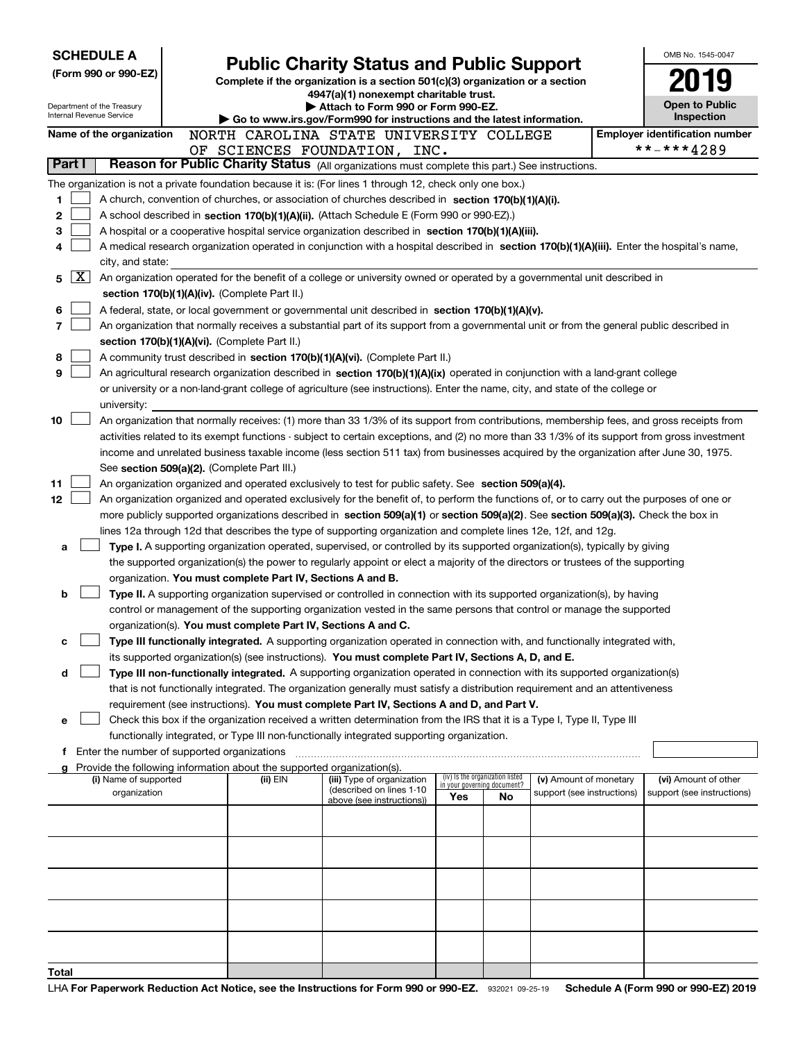| <b>SCHEDULE A</b> |        |                                                        |                                                                        | <b>Public Charity Status and Public Support</b>                                                                                                                                                                                                      |     |                                                                |                                                      | OMB No. 1545-0047                     |
|-------------------|--------|--------------------------------------------------------|------------------------------------------------------------------------|------------------------------------------------------------------------------------------------------------------------------------------------------------------------------------------------------------------------------------------------------|-----|----------------------------------------------------------------|------------------------------------------------------|---------------------------------------|
|                   |        | (Form 990 or 990-EZ)                                   |                                                                        | Complete if the organization is a section 501(c)(3) organization or a section                                                                                                                                                                        |     |                                                                |                                                      |                                       |
|                   |        |                                                        |                                                                        | 4947(a)(1) nonexempt charitable trust.                                                                                                                                                                                                               |     |                                                                |                                                      |                                       |
|                   |        | Department of the Treasury<br>Internal Revenue Service |                                                                        | Attach to Form 990 or Form 990-EZ.                                                                                                                                                                                                                   |     |                                                                |                                                      | <b>Open to Public</b><br>Inspection   |
|                   |        | Name of the organization                               |                                                                        | Go to www.irs.gov/Form990 for instructions and the latest information.<br>NORTH CAROLINA STATE UNIVERSITY COLLEGE                                                                                                                                    |     |                                                                |                                                      | <b>Employer identification number</b> |
|                   |        |                                                        |                                                                        | OF SCIENCES FOUNDATION, INC.                                                                                                                                                                                                                         |     |                                                                |                                                      | **-***4289                            |
|                   | Part I |                                                        |                                                                        | Reason for Public Charity Status (All organizations must complete this part.) See instructions.                                                                                                                                                      |     |                                                                |                                                      |                                       |
|                   |        |                                                        |                                                                        | The organization is not a private foundation because it is: (For lines 1 through 12, check only one box.)                                                                                                                                            |     |                                                                |                                                      |                                       |
| 1                 |        |                                                        |                                                                        | A church, convention of churches, or association of churches described in section 170(b)(1)(A)(i).                                                                                                                                                   |     |                                                                |                                                      |                                       |
| 2                 |        |                                                        |                                                                        | A school described in section 170(b)(1)(A)(ii). (Attach Schedule E (Form 990 or 990-EZ).)                                                                                                                                                            |     |                                                                |                                                      |                                       |
| 3                 |        |                                                        |                                                                        | A hospital or a cooperative hospital service organization described in section 170(b)(1)(A)(iii).                                                                                                                                                    |     |                                                                |                                                      |                                       |
| 4                 |        |                                                        |                                                                        | A medical research organization operated in conjunction with a hospital described in section 170(b)(1)(A)(iii). Enter the hospital's name,                                                                                                           |     |                                                                |                                                      |                                       |
|                   |        | city, and state:                                       |                                                                        |                                                                                                                                                                                                                                                      |     |                                                                |                                                      |                                       |
| 5                 | X      |                                                        |                                                                        | An organization operated for the benefit of a college or university owned or operated by a governmental unit described in                                                                                                                            |     |                                                                |                                                      |                                       |
|                   |        |                                                        | section 170(b)(1)(A)(iv). (Complete Part II.)                          |                                                                                                                                                                                                                                                      |     |                                                                |                                                      |                                       |
| 6                 |        |                                                        |                                                                        | A federal, state, or local government or governmental unit described in section 170(b)(1)(A)(v).                                                                                                                                                     |     |                                                                |                                                      |                                       |
| 7                 |        |                                                        | section 170(b)(1)(A)(vi). (Complete Part II.)                          | An organization that normally receives a substantial part of its support from a governmental unit or from the general public described in                                                                                                            |     |                                                                |                                                      |                                       |
| 8                 |        |                                                        |                                                                        | A community trust described in section 170(b)(1)(A)(vi). (Complete Part II.)                                                                                                                                                                         |     |                                                                |                                                      |                                       |
| 9                 |        |                                                        |                                                                        | An agricultural research organization described in section 170(b)(1)(A)(ix) operated in conjunction with a land-grant college                                                                                                                        |     |                                                                |                                                      |                                       |
|                   |        |                                                        |                                                                        | or university or a non-land-grant college of agriculture (see instructions). Enter the name, city, and state of the college or                                                                                                                       |     |                                                                |                                                      |                                       |
|                   |        | university:                                            |                                                                        |                                                                                                                                                                                                                                                      |     |                                                                |                                                      |                                       |
| 10                |        |                                                        |                                                                        | An organization that normally receives: (1) more than 33 1/3% of its support from contributions, membership fees, and gross receipts from                                                                                                            |     |                                                                |                                                      |                                       |
|                   |        |                                                        |                                                                        | activities related to its exempt functions - subject to certain exceptions, and (2) no more than 33 1/3% of its support from gross investment                                                                                                        |     |                                                                |                                                      |                                       |
|                   |        |                                                        |                                                                        | income and unrelated business taxable income (less section 511 tax) from businesses acquired by the organization after June 30, 1975.                                                                                                                |     |                                                                |                                                      |                                       |
|                   |        |                                                        | See section 509(a)(2). (Complete Part III.)                            |                                                                                                                                                                                                                                                      |     |                                                                |                                                      |                                       |
| 11                |        |                                                        |                                                                        | An organization organized and operated exclusively to test for public safety. See section 509(a)(4).                                                                                                                                                 |     |                                                                |                                                      |                                       |
| 12                |        |                                                        |                                                                        | An organization organized and operated exclusively for the benefit of, to perform the functions of, or to carry out the purposes of one or                                                                                                           |     |                                                                |                                                      |                                       |
|                   |        |                                                        |                                                                        | more publicly supported organizations described in section 509(a)(1) or section 509(a)(2). See section 509(a)(3). Check the box in<br>lines 12a through 12d that describes the type of supporting organization and complete lines 12e, 12f, and 12g. |     |                                                                |                                                      |                                       |
| a                 |        |                                                        |                                                                        | Type I. A supporting organization operated, supervised, or controlled by its supported organization(s), typically by giving                                                                                                                          |     |                                                                |                                                      |                                       |
|                   |        |                                                        |                                                                        | the supported organization(s) the power to regularly appoint or elect a majority of the directors or trustees of the supporting                                                                                                                      |     |                                                                |                                                      |                                       |
|                   |        |                                                        | organization. You must complete Part IV, Sections A and B.             |                                                                                                                                                                                                                                                      |     |                                                                |                                                      |                                       |
| b                 |        |                                                        |                                                                        | Type II. A supporting organization supervised or controlled in connection with its supported organization(s), by having                                                                                                                              |     |                                                                |                                                      |                                       |
|                   |        |                                                        |                                                                        | control or management of the supporting organization vested in the same persons that control or manage the supported                                                                                                                                 |     |                                                                |                                                      |                                       |
|                   |        |                                                        | organization(s). You must complete Part IV, Sections A and C.          |                                                                                                                                                                                                                                                      |     |                                                                |                                                      |                                       |
| с                 |        |                                                        |                                                                        | Type III functionally integrated. A supporting organization operated in connection with, and functionally integrated with,                                                                                                                           |     |                                                                |                                                      |                                       |
|                   |        |                                                        |                                                                        | its supported organization(s) (see instructions). You must complete Part IV, Sections A, D, and E.                                                                                                                                                   |     |                                                                |                                                      |                                       |
| d                 |        |                                                        |                                                                        | Type III non-functionally integrated. A supporting organization operated in connection with its supported organization(s)                                                                                                                            |     |                                                                |                                                      |                                       |
|                   |        |                                                        |                                                                        | that is not functionally integrated. The organization generally must satisfy a distribution requirement and an attentiveness<br>requirement (see instructions). You must complete Part IV, Sections A and D, and Part V.                             |     |                                                                |                                                      |                                       |
| е                 |        |                                                        |                                                                        | Check this box if the organization received a written determination from the IRS that it is a Type I, Type II, Type III                                                                                                                              |     |                                                                |                                                      |                                       |
|                   |        |                                                        |                                                                        | functionally integrated, or Type III non-functionally integrated supporting organization.                                                                                                                                                            |     |                                                                |                                                      |                                       |
|                   |        | f Enter the number of supported organizations          |                                                                        |                                                                                                                                                                                                                                                      |     |                                                                |                                                      |                                       |
|                   |        |                                                        | Provide the following information about the supported organization(s). |                                                                                                                                                                                                                                                      |     |                                                                |                                                      |                                       |
|                   |        | (i) Name of supported                                  | (ii) EIN                                                               | (iii) Type of organization<br>(described on lines 1-10                                                                                                                                                                                               |     | (iv) Is the organization listed<br>in your governing document? | (v) Amount of monetary<br>support (see instructions) | (vi) Amount of other                  |
|                   |        | organization                                           |                                                                        | above (see instructions))                                                                                                                                                                                                                            | Yes | No                                                             |                                                      | support (see instructions)            |
|                   |        |                                                        |                                                                        |                                                                                                                                                                                                                                                      |     |                                                                |                                                      |                                       |
|                   |        |                                                        |                                                                        |                                                                                                                                                                                                                                                      |     |                                                                |                                                      |                                       |
|                   |        |                                                        |                                                                        |                                                                                                                                                                                                                                                      |     |                                                                |                                                      |                                       |
|                   |        |                                                        |                                                                        |                                                                                                                                                                                                                                                      |     |                                                                |                                                      |                                       |
|                   |        |                                                        |                                                                        |                                                                                                                                                                                                                                                      |     |                                                                |                                                      |                                       |
|                   |        |                                                        |                                                                        |                                                                                                                                                                                                                                                      |     |                                                                |                                                      |                                       |
|                   |        |                                                        |                                                                        |                                                                                                                                                                                                                                                      |     |                                                                |                                                      |                                       |
|                   |        |                                                        |                                                                        |                                                                                                                                                                                                                                                      |     |                                                                |                                                      |                                       |
|                   |        |                                                        |                                                                        |                                                                                                                                                                                                                                                      |     |                                                                |                                                      |                                       |
| Total             |        |                                                        |                                                                        |                                                                                                                                                                                                                                                      |     |                                                                |                                                      |                                       |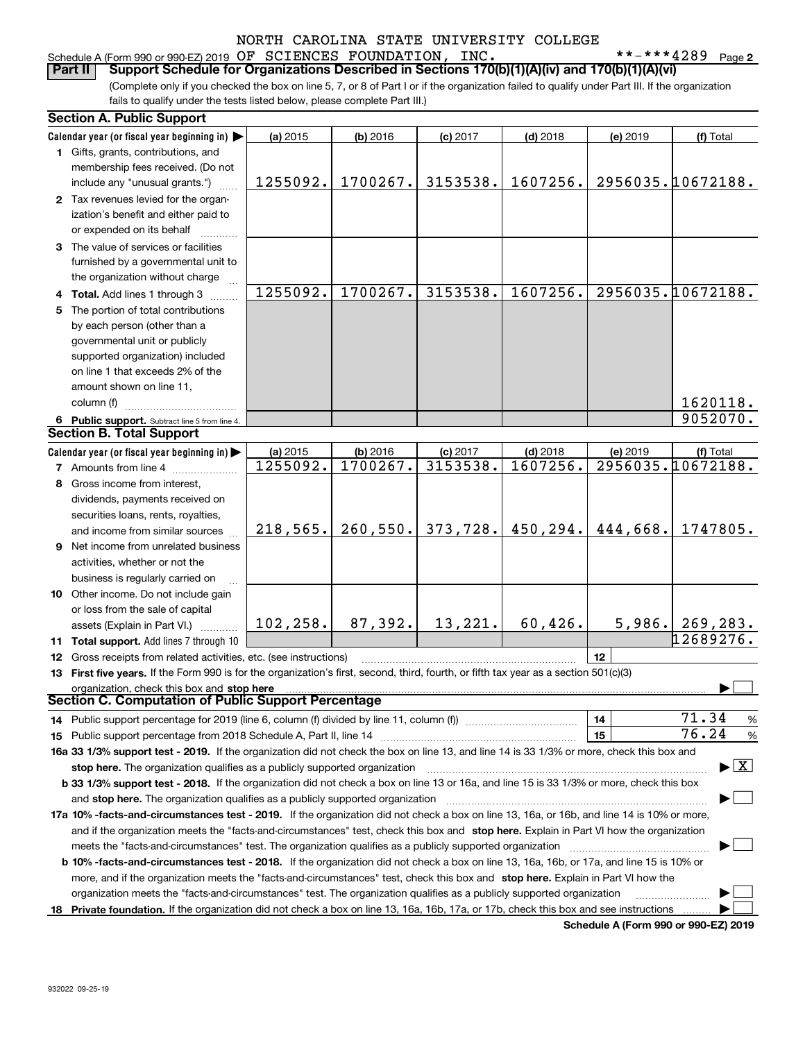### Schedule A (Form 990 or 990-EZ) 2019 Page OF SCIENCES FOUNDATION, INC. \*\*-\*\*\*4289

**2**

(Complete only if you checked the box on line 5, 7, or 8 of Part I or if the organization failed to qualify under Part III. If the organization fails to qualify under the tests listed below, please complete Part III.) **Part II Support Schedule for Organizations Described in Sections 170(b)(1)(A)(iv) and 170(b)(1)(A)(vi)**

|    | <b>Section A. Public Support</b>                                                                                                                                                                                                                                                      |           |            |            |            |          |                                          |
|----|---------------------------------------------------------------------------------------------------------------------------------------------------------------------------------------------------------------------------------------------------------------------------------------|-----------|------------|------------|------------|----------|------------------------------------------|
|    | Calendar year (or fiscal year beginning in)                                                                                                                                                                                                                                           | (a) 2015  | $(b)$ 2016 | $(c)$ 2017 | $(d)$ 2018 | (e) 2019 | (f) Total                                |
|    | 1 Gifts, grants, contributions, and                                                                                                                                                                                                                                                   |           |            |            |            |          |                                          |
|    | membership fees received. (Do not                                                                                                                                                                                                                                                     |           |            |            |            |          |                                          |
|    | include any "unusual grants.")                                                                                                                                                                                                                                                        | 1255092.  | 1700267.   | 3153538.   | 1607256.   |          | 2956035.10672188.                        |
|    | 2 Tax revenues levied for the organ-                                                                                                                                                                                                                                                  |           |            |            |            |          |                                          |
|    | ization's benefit and either paid to                                                                                                                                                                                                                                                  |           |            |            |            |          |                                          |
|    | or expended on its behalf                                                                                                                                                                                                                                                             |           |            |            |            |          |                                          |
|    | 3 The value of services or facilities                                                                                                                                                                                                                                                 |           |            |            |            |          |                                          |
|    | furnished by a governmental unit to                                                                                                                                                                                                                                                   |           |            |            |            |          |                                          |
|    | the organization without charge                                                                                                                                                                                                                                                       |           |            |            |            |          |                                          |
|    | 4 Total. Add lines 1 through 3                                                                                                                                                                                                                                                        | 1255092.  | 1700267.   | 3153538.   | 1607256.   |          | 2956035.10672188.                        |
| 5. | The portion of total contributions                                                                                                                                                                                                                                                    |           |            |            |            |          |                                          |
|    | by each person (other than a                                                                                                                                                                                                                                                          |           |            |            |            |          |                                          |
|    | governmental unit or publicly                                                                                                                                                                                                                                                         |           |            |            |            |          |                                          |
|    | supported organization) included                                                                                                                                                                                                                                                      |           |            |            |            |          |                                          |
|    | on line 1 that exceeds 2% of the                                                                                                                                                                                                                                                      |           |            |            |            |          |                                          |
|    | amount shown on line 11,                                                                                                                                                                                                                                                              |           |            |            |            |          |                                          |
|    | column (f)                                                                                                                                                                                                                                                                            |           |            |            |            |          | 1620118.                                 |
|    | 6 Public support. Subtract line 5 from line 4.                                                                                                                                                                                                                                        |           |            |            |            |          | 9052070.                                 |
|    | <b>Section B. Total Support</b>                                                                                                                                                                                                                                                       |           |            |            |            |          |                                          |
|    | Calendar year (or fiscal year beginning in)                                                                                                                                                                                                                                           | (a) 2015  | (b) 2016   | $(c)$ 2017 | $(d)$ 2018 | (e) 2019 | (f) Total                                |
|    | <b>7</b> Amounts from line 4                                                                                                                                                                                                                                                          | 1255092.  | 1700267.   | 3153538.   | 1607256.   |          | 2956035.10672188.                        |
|    | 8 Gross income from interest,                                                                                                                                                                                                                                                         |           |            |            |            |          |                                          |
|    | dividends, payments received on                                                                                                                                                                                                                                                       |           |            |            |            |          |                                          |
|    | securities loans, rents, royalties,                                                                                                                                                                                                                                                   |           |            |            |            |          |                                          |
|    | and income from similar sources                                                                                                                                                                                                                                                       | 218,565.  | 260, 550.  | 373,728.   | 450,294.   | 444,668. | 1747805.                                 |
|    | 9 Net income from unrelated business                                                                                                                                                                                                                                                  |           |            |            |            |          |                                          |
|    | activities, whether or not the                                                                                                                                                                                                                                                        |           |            |            |            |          |                                          |
|    | business is regularly carried on                                                                                                                                                                                                                                                      |           |            |            |            |          |                                          |
|    | <b>10</b> Other income. Do not include gain                                                                                                                                                                                                                                           |           |            |            |            |          |                                          |
|    | or loss from the sale of capital                                                                                                                                                                                                                                                      |           |            |            |            |          |                                          |
|    | assets (Explain in Part VI.)                                                                                                                                                                                                                                                          | 102, 258. | 87,392.    | 13,221.    | 60,426.    | 5,986.   | 269,283.                                 |
|    | 11 Total support. Add lines 7 through 10                                                                                                                                                                                                                                              |           |            |            |            |          | 12689276.                                |
|    | 12 Gross receipts from related activities, etc. (see instructions)                                                                                                                                                                                                                    |           |            |            |            | 12       |                                          |
|    | 13 First five years. If the Form 990 is for the organization's first, second, third, fourth, or fifth tax year as a section 501(c)(3)                                                                                                                                                 |           |            |            |            |          |                                          |
|    | organization, check this box and stop here                                                                                                                                                                                                                                            |           |            |            |            |          |                                          |
|    | <b>Section C. Computation of Public Support Percentage</b>                                                                                                                                                                                                                            |           |            |            |            |          |                                          |
|    | 14 Public support percentage for 2019 (line 6, column (f) divided by line 11, column (f) <i>manumumumum</i>                                                                                                                                                                           |           |            |            |            | 14       | 71.34<br>%                               |
|    |                                                                                                                                                                                                                                                                                       |           |            |            |            | 15       | 76.24<br>$\%$                            |
|    | 16a 33 1/3% support test - 2019. If the organization did not check the box on line 13, and line 14 is 33 1/3% or more, check this box and                                                                                                                                             |           |            |            |            |          |                                          |
|    | stop here. The organization qualifies as a publicly supported organization                                                                                                                                                                                                            |           |            |            |            |          | $\blacktriangleright$ $\boxed{\text{X}}$ |
|    | b 33 1/3% support test - 2018. If the organization did not check a box on line 13 or 16a, and line 15 is 33 1/3% or more, check this box                                                                                                                                              |           |            |            |            |          |                                          |
|    | and stop here. The organization qualifies as a publicly supported organization                                                                                                                                                                                                        |           |            |            |            |          |                                          |
|    | 17a 10% -facts-and-circumstances test - 2019. If the organization did not check a box on line 13, 16a, or 16b, and line 14 is 10% or more,<br>and if the organization meets the "facts-and-circumstances" test, check this box and stop here. Explain in Part VI how the organization |           |            |            |            |          |                                          |
|    |                                                                                                                                                                                                                                                                                       |           |            |            |            |          |                                          |
|    |                                                                                                                                                                                                                                                                                       |           |            |            |            |          |                                          |
|    | b 10% -facts-and-circumstances test - 2018. If the organization did not check a box on line 13, 16a, 16b, or 17a, and line 15 is 10% or                                                                                                                                               |           |            |            |            |          |                                          |
|    | more, and if the organization meets the "facts-and-circumstances" test, check this box and stop here. Explain in Part VI how the                                                                                                                                                      |           |            |            |            |          |                                          |
|    | organization meets the "facts-and-circumstances" test. The organization qualifies as a publicly supported organization                                                                                                                                                                |           |            |            |            |          |                                          |
|    | 18 Private foundation. If the organization did not check a box on line 13, 16a, 16b, 17a, or 17b, check this box and see instructions                                                                                                                                                 |           |            |            |            |          |                                          |

**Schedule A (Form 990 or 990-EZ) 2019**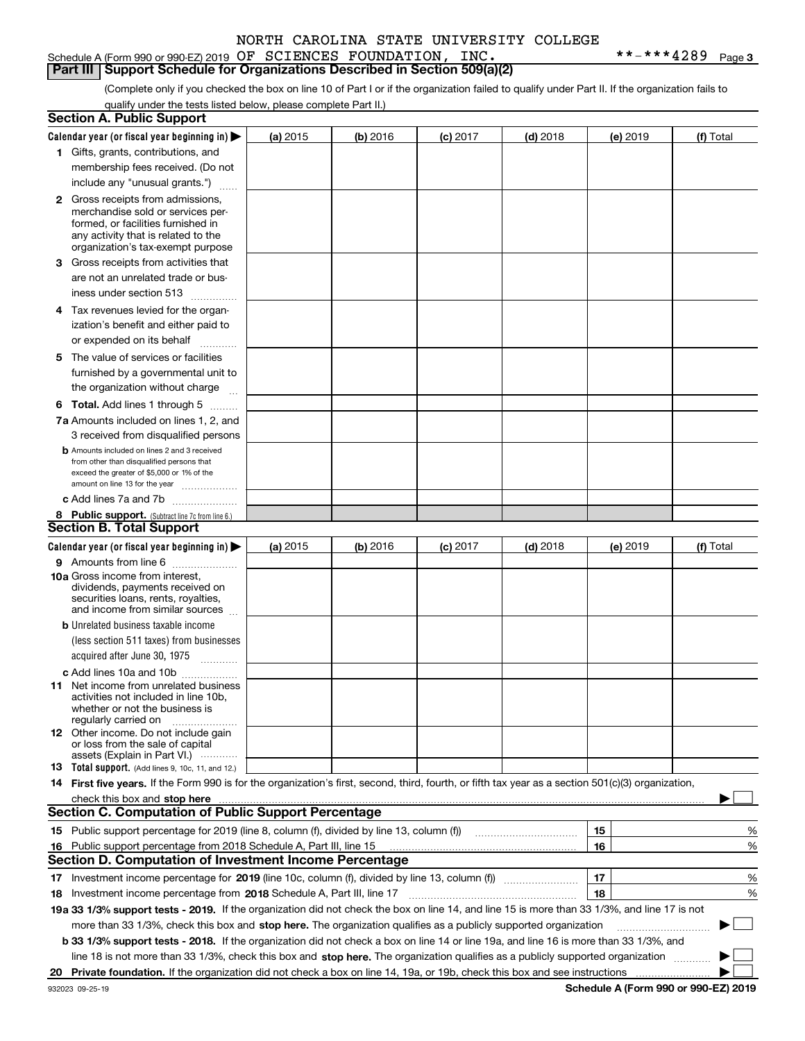### Schedule A (Form 990 or 990-EZ) 2019 Page OF SCIENCES FOUNDATION, INC. \*\*-\*\*\*4289 **Part III Support Schedule for Organizations Described in Section 509(a)(2)**

**3**

(Complete only if you checked the box on line 10 of Part I or if the organization failed to qualify under Part II. If the organization fails to qualify under the tests listed below, please complete Part II.)

| <b>Section A. Public Support</b>                                                                                                                    |          |          |                 |            |          |           |
|-----------------------------------------------------------------------------------------------------------------------------------------------------|----------|----------|-----------------|------------|----------|-----------|
| Calendar year (or fiscal year beginning in) $\blacktriangleright$                                                                                   | (a) 2015 | (b) 2016 | <b>(c)</b> 2017 | $(d)$ 2018 | (e) 2019 | (f) Total |
| 1 Gifts, grants, contributions, and                                                                                                                 |          |          |                 |            |          |           |
| membership fees received. (Do not                                                                                                                   |          |          |                 |            |          |           |
| include any "unusual grants.")                                                                                                                      |          |          |                 |            |          |           |
| <b>2</b> Gross receipts from admissions,                                                                                                            |          |          |                 |            |          |           |
| merchandise sold or services per-                                                                                                                   |          |          |                 |            |          |           |
| formed, or facilities furnished in                                                                                                                  |          |          |                 |            |          |           |
| any activity that is related to the                                                                                                                 |          |          |                 |            |          |           |
| organization's tax-exempt purpose                                                                                                                   |          |          |                 |            |          |           |
| 3 Gross receipts from activities that                                                                                                               |          |          |                 |            |          |           |
| are not an unrelated trade or bus-                                                                                                                  |          |          |                 |            |          |           |
| iness under section 513                                                                                                                             |          |          |                 |            |          |           |
| 4 Tax revenues levied for the organ-                                                                                                                |          |          |                 |            |          |           |
| ization's benefit and either paid to                                                                                                                |          |          |                 |            |          |           |
| or expended on its behalf<br>.                                                                                                                      |          |          |                 |            |          |           |
| 5 The value of services or facilities                                                                                                               |          |          |                 |            |          |           |
| furnished by a governmental unit to                                                                                                                 |          |          |                 |            |          |           |
|                                                                                                                                                     |          |          |                 |            |          |           |
| the organization without charge                                                                                                                     |          |          |                 |            |          |           |
| <b>6 Total.</b> Add lines 1 through 5                                                                                                               |          |          |                 |            |          |           |
| 7a Amounts included on lines 1, 2, and                                                                                                              |          |          |                 |            |          |           |
| 3 received from disqualified persons                                                                                                                |          |          |                 |            |          |           |
| <b>b</b> Amounts included on lines 2 and 3 received                                                                                                 |          |          |                 |            |          |           |
| from other than disqualified persons that<br>exceed the greater of \$5,000 or 1% of the                                                             |          |          |                 |            |          |           |
| amount on line 13 for the year                                                                                                                      |          |          |                 |            |          |           |
| c Add lines 7a and 7b                                                                                                                               |          |          |                 |            |          |           |
| 8 Public support. (Subtract line 7c from line 6.)                                                                                                   |          |          |                 |            |          |           |
| <b>Section B. Total Support</b>                                                                                                                     |          |          |                 |            |          |           |
| Calendar year (or fiscal year beginning in)                                                                                                         | (a) 2015 | (b) 2016 | $(c)$ 2017      | $(d)$ 2018 | (e) 2019 | (f) Total |
| 9 Amounts from line 6                                                                                                                               |          |          |                 |            |          |           |
| 10a Gross income from interest,                                                                                                                     |          |          |                 |            |          |           |
| dividends, payments received on                                                                                                                     |          |          |                 |            |          |           |
| securities loans, rents, royalties,                                                                                                                 |          |          |                 |            |          |           |
| and income from similar sources                                                                                                                     |          |          |                 |            |          |           |
| <b>b</b> Unrelated business taxable income                                                                                                          |          |          |                 |            |          |           |
| (less section 511 taxes) from businesses                                                                                                            |          |          |                 |            |          |           |
| acquired after June 30, 1975                                                                                                                        |          |          |                 |            |          |           |
| c Add lines 10a and 10b                                                                                                                             |          |          |                 |            |          |           |
| 11 Net income from unrelated business                                                                                                               |          |          |                 |            |          |           |
| activities not included in line 10b,                                                                                                                |          |          |                 |            |          |           |
| whether or not the business is<br>regularly carried on                                                                                              |          |          |                 |            |          |           |
| <b>12</b> Other income. Do not include gain                                                                                                         |          |          |                 |            |          |           |
| or loss from the sale of capital                                                                                                                    |          |          |                 |            |          |           |
| assets (Explain in Part VI.)                                                                                                                        |          |          |                 |            |          |           |
| 13 Total support. (Add lines 9, 10c, 11, and 12.)                                                                                                   |          |          |                 |            |          |           |
| 14 First five years. If the Form 990 is for the organization's first, second, third, fourth, or fifth tax year as a section 501(c)(3) organization, |          |          |                 |            |          |           |
| check this box and stop here <i>macuum macuum macuum macuum macuum macuum macuum macuum macuum</i>                                                  |          |          |                 |            |          |           |
| <b>Section C. Computation of Public Support Percentage</b>                                                                                          |          |          |                 |            |          |           |
|                                                                                                                                                     |          |          |                 |            | 15       | %         |
| 16 Public support percentage from 2018 Schedule A, Part III, line 15                                                                                |          |          |                 |            | 16       | %         |
| <b>Section D. Computation of Investment Income Percentage</b>                                                                                       |          |          |                 |            |          |           |
| 17 Investment income percentage for 2019 (line 10c, column (f), divided by line 13, column (f))                                                     |          |          |                 |            | 17       | %         |
| 18 Investment income percentage from 2018 Schedule A, Part III, line 17                                                                             |          |          |                 |            | 18       | %         |
| 19a 33 1/3% support tests - 2019. If the organization did not check the box on line 14, and line 15 is more than 33 1/3%, and line 17 is not        |          |          |                 |            |          |           |
| more than 33 1/3%, check this box and stop here. The organization qualifies as a publicly supported organization                                    |          |          |                 |            |          | $\sim$    |
| b 33 1/3% support tests - 2018. If the organization did not check a box on line 14 or line 19a, and line 16 is more than 33 1/3%, and               |          |          |                 |            |          |           |
| line 18 is not more than 33 1/3%, check this box and stop here. The organization qualifies as a publicly supported organization                     |          |          |                 |            |          |           |
|                                                                                                                                                     |          |          |                 |            |          |           |

**Schedule A (Form 990 or 990-EZ) 2019**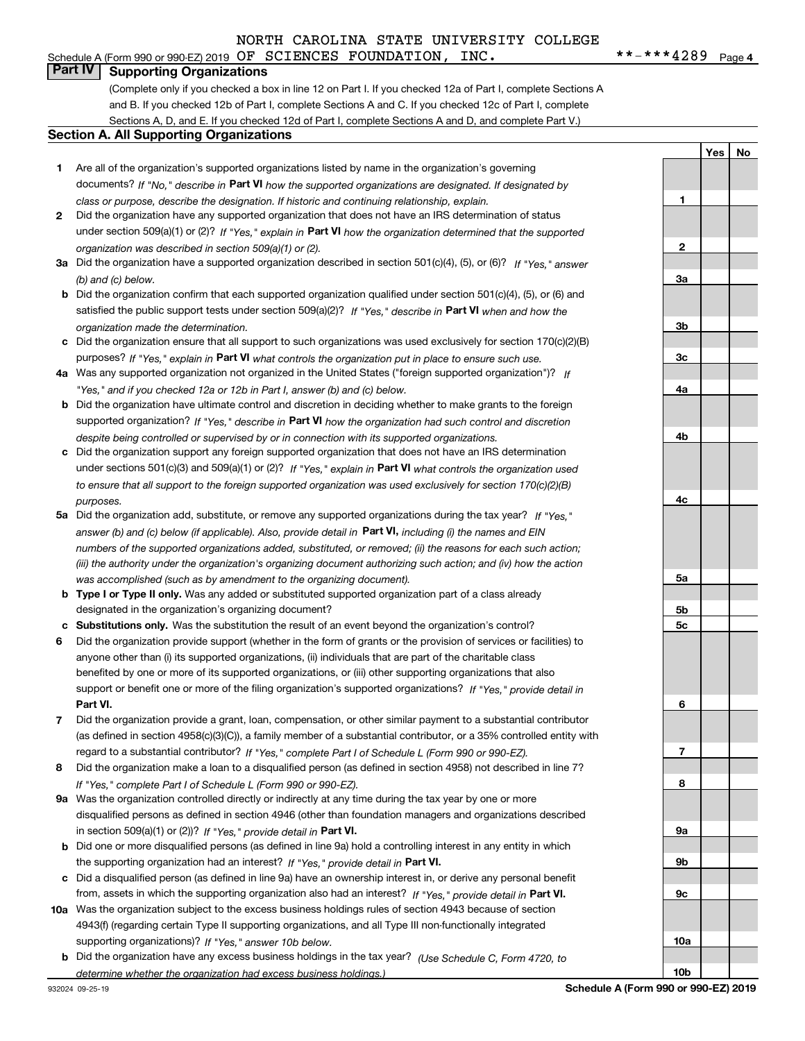### Schedule A (Form 990 or 990-EZ) 2019 Page OF SCIENCES FOUNDATION, INC. \*\*-\*\*\*4289

 $***$   $***$  4289 Page 4

**1**

**2**

**3a**

**3b**

**3c**

**4a**

**4b**

**4c**

**5a**

**5b5c** **YesNo**

### **Part IV Supporting Organizations**

(Complete only if you checked a box in line 12 on Part I. If you checked 12a of Part I, complete Sections A and B. If you checked 12b of Part I, complete Sections A and C. If you checked 12c of Part I, complete Sections A, D, and E. If you checked 12d of Part I, complete Sections A and D, and complete Part V.)

### **Section A. All Supporting Organizations**

- **1** Are all of the organization's supported organizations listed by name in the organization's governing documents? If "No," describe in **Part VI** how the supported organizations are designated. If designated by *class or purpose, describe the designation. If historic and continuing relationship, explain.*
- **2** Did the organization have any supported organization that does not have an IRS determination of status under section 509(a)(1) or (2)? If "Yes," explain in Part VI how the organization determined that the supported *organization was described in section 509(a)(1) or (2).*
- **3a** Did the organization have a supported organization described in section 501(c)(4), (5), or (6)? If "Yes," answer *(b) and (c) below.*
- **b** Did the organization confirm that each supported organization qualified under section 501(c)(4), (5), or (6) and satisfied the public support tests under section 509(a)(2)? If "Yes," describe in **Part VI** when and how the *organization made the determination.*
- **c**Did the organization ensure that all support to such organizations was used exclusively for section 170(c)(2)(B) purposes? If "Yes," explain in **Part VI** what controls the organization put in place to ensure such use.
- **4a***If* Was any supported organization not organized in the United States ("foreign supported organization")? *"Yes," and if you checked 12a or 12b in Part I, answer (b) and (c) below.*
- **b** Did the organization have ultimate control and discretion in deciding whether to make grants to the foreign supported organization? If "Yes," describe in **Part VI** how the organization had such control and discretion *despite being controlled or supervised by or in connection with its supported organizations.*
- **c** Did the organization support any foreign supported organization that does not have an IRS determination under sections 501(c)(3) and 509(a)(1) or (2)? If "Yes," explain in **Part VI** what controls the organization used *to ensure that all support to the foreign supported organization was used exclusively for section 170(c)(2)(B) purposes.*
- **5a***If "Yes,"* Did the organization add, substitute, or remove any supported organizations during the tax year? answer (b) and (c) below (if applicable). Also, provide detail in **Part VI,** including (i) the names and EIN *numbers of the supported organizations added, substituted, or removed; (ii) the reasons for each such action; (iii) the authority under the organization's organizing document authorizing such action; and (iv) how the action was accomplished (such as by amendment to the organizing document).*
- **b** Type I or Type II only. Was any added or substituted supported organization part of a class already designated in the organization's organizing document?
- **cSubstitutions only.**  Was the substitution the result of an event beyond the organization's control?
- **6** Did the organization provide support (whether in the form of grants or the provision of services or facilities) to **Part VI.** *If "Yes," provide detail in* support or benefit one or more of the filing organization's supported organizations? anyone other than (i) its supported organizations, (ii) individuals that are part of the charitable class benefited by one or more of its supported organizations, or (iii) other supporting organizations that also
- **7**Did the organization provide a grant, loan, compensation, or other similar payment to a substantial contributor *If "Yes," complete Part I of Schedule L (Form 990 or 990-EZ).* regard to a substantial contributor? (as defined in section 4958(c)(3)(C)), a family member of a substantial contributor, or a 35% controlled entity with
- **8** Did the organization make a loan to a disqualified person (as defined in section 4958) not described in line 7? *If "Yes," complete Part I of Schedule L (Form 990 or 990-EZ).*
- **9a** Was the organization controlled directly or indirectly at any time during the tax year by one or more in section 509(a)(1) or (2))? If "Yes," *provide detail in* <code>Part VI.</code> disqualified persons as defined in section 4946 (other than foundation managers and organizations described
- **b** Did one or more disqualified persons (as defined in line 9a) hold a controlling interest in any entity in which the supporting organization had an interest? If "Yes," provide detail in P**art VI**.
- **c**Did a disqualified person (as defined in line 9a) have an ownership interest in, or derive any personal benefit from, assets in which the supporting organization also had an interest? If "Yes," provide detail in P**art VI.**
- **10a** Was the organization subject to the excess business holdings rules of section 4943 because of section supporting organizations)? If "Yes," answer 10b below. 4943(f) (regarding certain Type II supporting organizations, and all Type III non-functionally integrated
- **b** Did the organization have any excess business holdings in the tax year? (Use Schedule C, Form 4720, to *determine whether the organization had excess business holdings.)*

**6789a 9b9c10a10bSchedule A (Form 990 or 990-EZ) 2019**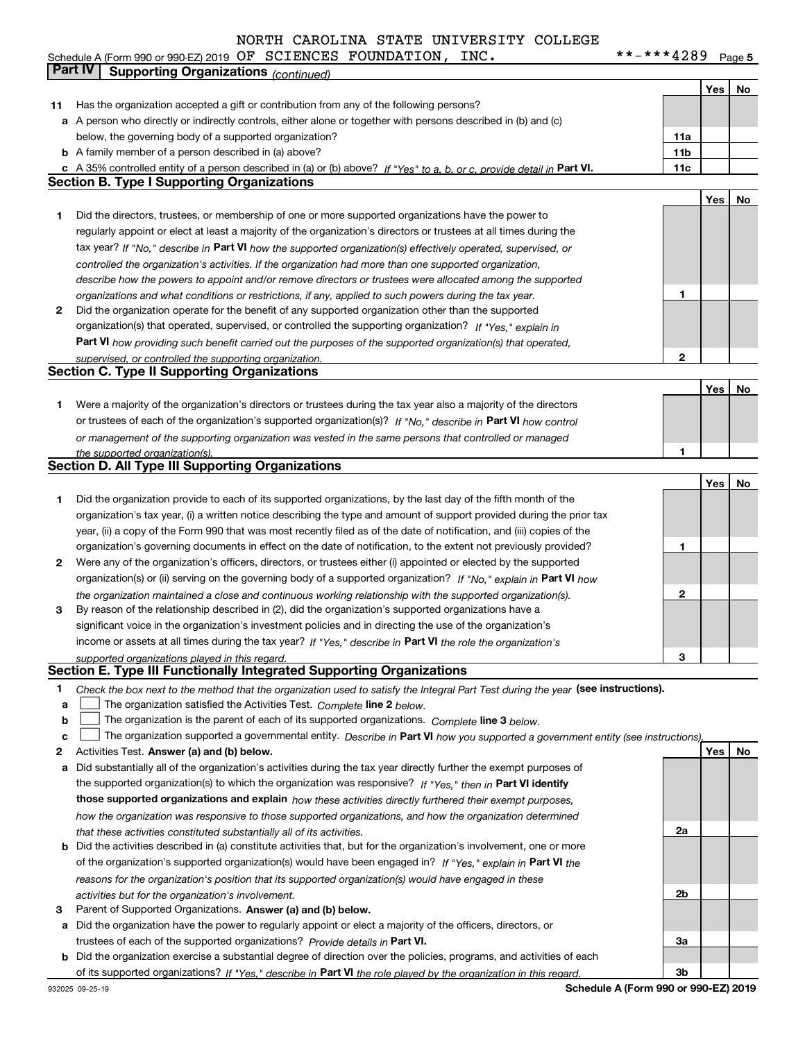#### $***$   $***$  4289 Page 5 **Yes No 11** Has the organization accepted a gift or contribution from any of the following persons? **a** A person who directly or indirectly controls, either alone or together with persons described in (b) and (c) **b** A family member of a person described in (a) above? **c** A 35% controlled entity of a person described in (a) or (b) above? If "Yes" to a, b, or c, provide detail in Part VI. **11c 11a11bYes No 1** Did the directors, trustees, or membership of one or more supported organizations have the power to **2** Did the organization operate for the benefit of any supported organization other than the supported tax year? If "No," describe in Part VI how the supported organization(s) effectively operated, supervised, or **12Part VI**  *how providing such benefit carried out the purposes of the supported organization(s) that operated,* **Yes No 1** Were a majority of the organization's directors or trustees during the tax year also a majority of the directors or trustees of each of the organization's supported organization(s)? If "No," describe in **Part VI** how control **1Yes No 12** Were any of the organization's officers, directors, or trustees either (i) appointed or elected by the supported **3123**organization(s) or (ii) serving on the governing body of a supported organization? If "No," explain in **Part VI** how income or assets at all times during the tax year? If "Yes," describe in **Part VI** the role the organization's **12Answer (a) and (b) below. Yes No** Activities Test. Check the box next to the method that the organization used to satisfy the Integral Part Test during the year (see instructions). **abclinupy** The organization satisfied the Activities Test. Complete line 2 below. The organization is the parent of each of its supported organizations. *Complete* line 3 *below.* The organization supported a governmental entity. *Describe in* Part **VI** how you supported a government entity (see instructions), **a** Did substantially all of the organization's activities during the tax year directly further the exempt purposes of **b** Did the activities described in (a) constitute activities that, but for the organization's involvement, one or more the supported organization(s) to which the organization was responsive? If "Yes," then in **Part VI identify those supported organizations and explain**  *how these activities directly furthered their exempt purposes,* **2a** *controlled the organization's activities. If the organization had more than one supported organization, describe how the powers to appoint and/or remove directors or trustees were allocated among the supported organizations and what conditions or restrictions, if any, applied to such powers during the tax year. If "Yes," explain in* organization(s) that operated, supervised, or controlled the supporting organization? *supervised, or controlled the supporting organization. or management of the supporting organization was vested in the same persons that controlled or managed the supported organization(s). the organization maintained a close and continuous working relationship with the supported organization(s). supported organizations played in this regard. how the organization was responsive to those supported organizations, and how the organization determined that these activities constituted substantially all of its activities.* Schedule A (Form 990 or 990-EZ) 2019 Page OF SCIENCES FOUNDATION, INC. \*\*-\*\*\*4289 below, the governing body of a supported organization? regularly appoint or elect at least a majority of the organization's directors or trustees at all times during the Did the organization provide to each of its supported organizations, by the last day of the fifth month of the organization's tax year, (i) a written notice describing the type and amount of support provided during the prior tax year, (ii) a copy of the Form 990 that was most recently filed as of the date of notification, and (iii) copies of the organization's governing documents in effect on the date of notification, to the extent not previously provided? By reason of the relationship described in (2), did the organization's supported organizations have a significant voice in the organization's investment policies and in directing the use of the organization's **Part IV Supporting Organizations** *(continued)* **Section B. Type I Supporting Organizations Section C. Type II Supporting Organizations Section D. All Type III Supporting Organizations Section E. Type III Functionally Integrated Supporting Organizations**  $\mathcal{L}^{\text{max}}$  $\mathcal{L}^{\text{max}}$

- **3** Parent of Supported Organizations. Answer (a) and (b) below. *activities but for the organization's involvement.*
- **a** Did the organization have the power to regularly appoint or elect a majority of the officers, directors, or trustees of each of the supported organizations? *Provide details in* Part VI.

*reasons for the organization's position that its supported organization(s) would have engaged in these*

**b** Did the organization exercise a substantial degree of direction over the policies, programs, and activities of each of its supported organizations? If "Yes," describe in Part VI the role played by the organization in this regard.

of the organization's supported organization(s) would have been engaged in? If "Yes," explain in **Part VI** the

**Schedule A (Form 990 or 990-EZ) 2019**

**2b**

**3a**

**3b**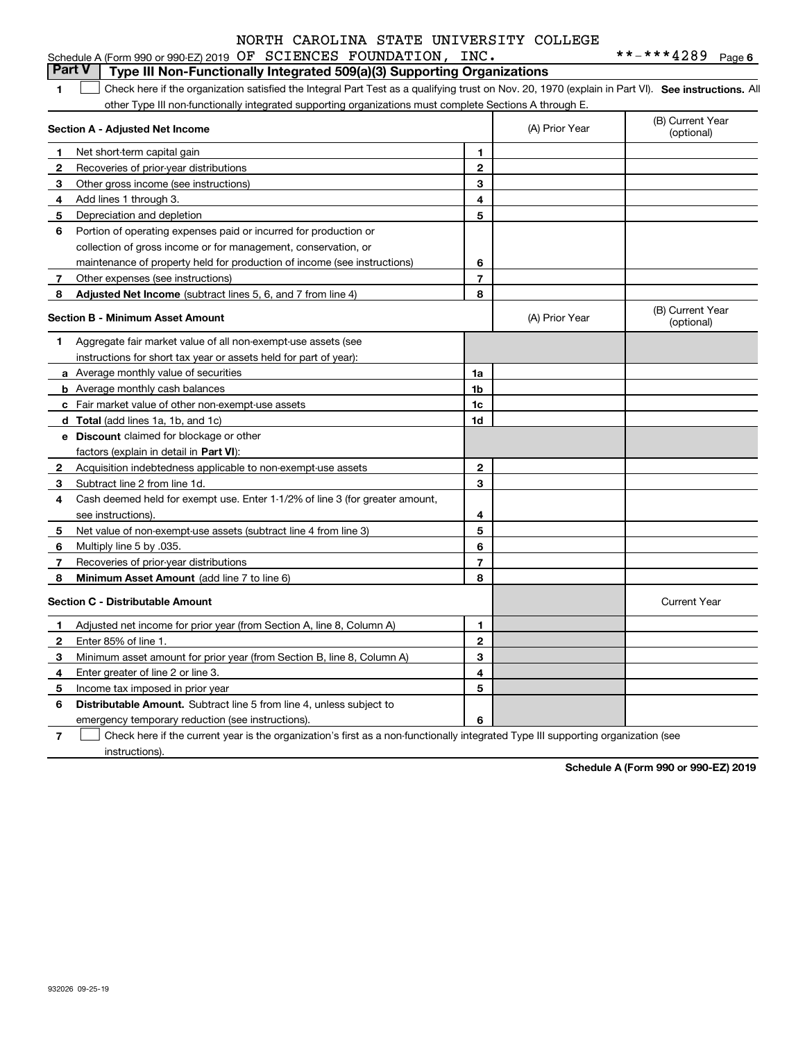|              | Schedule A (Form 990 or 990-EZ) 2019 OF SCIENCES FOUNDATION,                                                                                      | INC.           |                | **-***4289<br>Page 6           |
|--------------|---------------------------------------------------------------------------------------------------------------------------------------------------|----------------|----------------|--------------------------------|
|              | Part V<br>Type III Non-Functionally Integrated 509(a)(3) Supporting Organizations                                                                 |                |                |                                |
| 1            | Check here if the organization satisfied the Integral Part Test as a qualifying trust on Nov. 20, 1970 (explain in Part VI). See instructions. Al |                |                |                                |
|              | other Type III non-functionally integrated supporting organizations must complete Sections A through E.                                           |                |                |                                |
|              | Section A - Adjusted Net Income                                                                                                                   |                | (A) Prior Year | (B) Current Year<br>(optional) |
| $\mathbf 1$  | Net short-term capital gain                                                                                                                       | 1              |                |                                |
| $\mathbf{2}$ | Recoveries of prior-year distributions                                                                                                            | $\overline{2}$ |                |                                |
| 3            | Other gross income (see instructions)                                                                                                             | 3              |                |                                |
| 4            | Add lines 1 through 3.                                                                                                                            | 4              |                |                                |
| 5.           | Depreciation and depletion                                                                                                                        | 5              |                |                                |
| 6            | Portion of operating expenses paid or incurred for production or                                                                                  |                |                |                                |
|              | collection of gross income or for management, conservation, or                                                                                    |                |                |                                |
|              | maintenance of property held for production of income (see instructions)                                                                          | 6              |                |                                |
| $\mathbf{7}$ | Other expenses (see instructions)                                                                                                                 | $\overline{7}$ |                |                                |
| 8            | Adjusted Net Income (subtract lines 5, 6, and 7 from line 4)                                                                                      | 8              |                |                                |
|              | <b>Section B - Minimum Asset Amount</b>                                                                                                           |                | (A) Prior Year | (B) Current Year<br>(optional) |
| 1.           | Aggregate fair market value of all non-exempt-use assets (see                                                                                     |                |                |                                |
|              | instructions for short tax year or assets held for part of year):                                                                                 |                |                |                                |
|              | a Average monthly value of securities                                                                                                             | 1a             |                |                                |
|              | <b>b</b> Average monthly cash balances                                                                                                            | 1b             |                |                                |
|              | c Fair market value of other non-exempt-use assets                                                                                                | 1c             |                |                                |
|              | d Total (add lines 1a, 1b, and 1c)                                                                                                                | 1d             |                |                                |
|              | e Discount claimed for blockage or other                                                                                                          |                |                |                                |
|              | factors (explain in detail in Part VI):                                                                                                           |                |                |                                |
| $\mathbf{2}$ | Acquisition indebtedness applicable to non-exempt-use assets                                                                                      | $\overline{2}$ |                |                                |
| 3            | Subtract line 2 from line 1d.                                                                                                                     | 3              |                |                                |
| 4            | Cash deemed held for exempt use. Enter 1-1/2% of line 3 (for greater amount,                                                                      |                |                |                                |
|              | see instructions).                                                                                                                                | 4              |                |                                |
| 5            | Net value of non-exempt-use assets (subtract line 4 from line 3)                                                                                  | 5              |                |                                |
| 6            | Multiply line 5 by .035.                                                                                                                          | 6              |                |                                |
| 7            | Recoveries of prior-year distributions                                                                                                            | $\overline{7}$ |                |                                |
| 8            | Minimum Asset Amount (add line 7 to line 6)                                                                                                       | 8              |                |                                |
|              | <b>Section C - Distributable Amount</b>                                                                                                           |                |                | <b>Current Year</b>            |
| $\mathbf{1}$ | Adjusted net income for prior year (from Section A, line 8, Column A)                                                                             | $\mathbf{1}$   |                |                                |
| $\mathbf{2}$ | Enter 85% of line 1.                                                                                                                              | $\overline{2}$ |                |                                |
| 3            | Minimum asset amount for prior year (from Section B, line 8, Column A)                                                                            | 3              |                |                                |
| 4            | Enter greater of line 2 or line 3.                                                                                                                | 4              |                |                                |
| 5            | Income tax imposed in prior year                                                                                                                  | 5              |                |                                |
| 6            | <b>Distributable Amount.</b> Subtract line 5 from line 4, unless subject to                                                                       |                |                |                                |

emergency temporary reduction (see instructions).

**7**Check here if the current year is the organization's first as a non-functionally integrated Type III supporting organization (see instructions).

**6**

**Schedule A (Form 990 or 990-EZ) 2019**

932026 09-25-19

**6**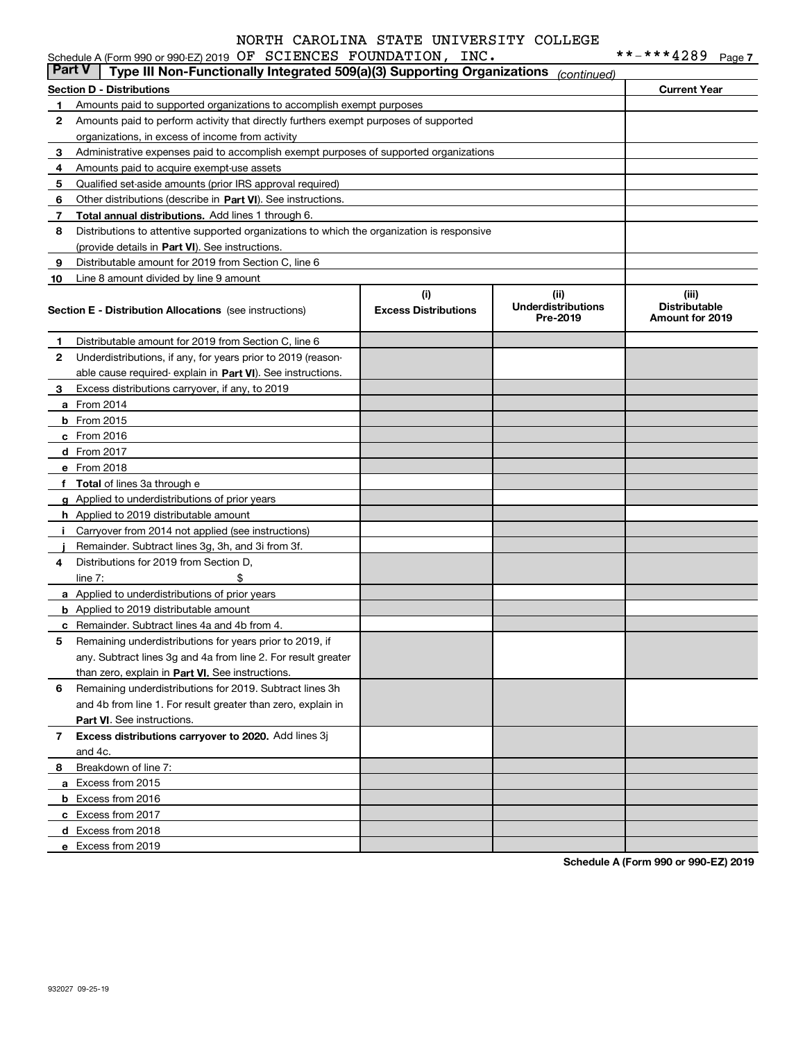### Schedule A (Form 990 or 990-EZ) 2019 Page OF SCIENCES FOUNDATION, INC. \*\*-\*\*\*4289

| <b>Part V</b> | Type III Non-Functionally Integrated 509(a)(3) Supporting Organizations                                          |                                    | (continued)                                   |                                                         |
|---------------|------------------------------------------------------------------------------------------------------------------|------------------------------------|-----------------------------------------------|---------------------------------------------------------|
|               | <b>Section D - Distributions</b>                                                                                 |                                    |                                               | <b>Current Year</b>                                     |
| 1             | Amounts paid to supported organizations to accomplish exempt purposes                                            |                                    |                                               |                                                         |
| 2             | Amounts paid to perform activity that directly furthers exempt purposes of supported                             |                                    |                                               |                                                         |
|               | organizations, in excess of income from activity                                                                 |                                    |                                               |                                                         |
| 3             | Administrative expenses paid to accomplish exempt purposes of supported organizations                            |                                    |                                               |                                                         |
| 4             | Amounts paid to acquire exempt-use assets                                                                        |                                    |                                               |                                                         |
| 5             | Qualified set-aside amounts (prior IRS approval required)                                                        |                                    |                                               |                                                         |
| 6             | Other distributions (describe in Part VI). See instructions.                                                     |                                    |                                               |                                                         |
| 7             | Total annual distributions. Add lines 1 through 6.                                                               |                                    |                                               |                                                         |
| 8             | Distributions to attentive supported organizations to which the organization is responsive                       |                                    |                                               |                                                         |
|               | (provide details in Part VI). See instructions.                                                                  |                                    |                                               |                                                         |
| 9             | Distributable amount for 2019 from Section C, line 6                                                             |                                    |                                               |                                                         |
| 10            | Line 8 amount divided by line 9 amount                                                                           |                                    |                                               |                                                         |
|               | <b>Section E - Distribution Allocations</b> (see instructions)                                                   | (i)<br><b>Excess Distributions</b> | (ii)<br><b>Underdistributions</b><br>Pre-2019 | (iii)<br><b>Distributable</b><br><b>Amount for 2019</b> |
| 1             | Distributable amount for 2019 from Section C, line 6                                                             |                                    |                                               |                                                         |
| 2             | Underdistributions, if any, for years prior to 2019 (reason-                                                     |                                    |                                               |                                                         |
|               | able cause required-explain in Part VI). See instructions.                                                       |                                    |                                               |                                                         |
| 3             | Excess distributions carryover, if any, to 2019                                                                  |                                    |                                               |                                                         |
|               | <b>a</b> From 2014                                                                                               |                                    |                                               |                                                         |
|               | <b>b</b> From 2015                                                                                               |                                    |                                               |                                                         |
|               | $c$ From 2016                                                                                                    |                                    |                                               |                                                         |
|               | d From 2017                                                                                                      |                                    |                                               |                                                         |
|               | e From 2018                                                                                                      |                                    |                                               |                                                         |
|               | f Total of lines 3a through e                                                                                    |                                    |                                               |                                                         |
|               | g Applied to underdistributions of prior years                                                                   |                                    |                                               |                                                         |
|               | <b>h</b> Applied to 2019 distributable amount                                                                    |                                    |                                               |                                                         |
| Ť.            | Carryover from 2014 not applied (see instructions)                                                               |                                    |                                               |                                                         |
|               | Remainder. Subtract lines 3g, 3h, and 3i from 3f.                                                                |                                    |                                               |                                                         |
| 4             | Distributions for 2019 from Section D,                                                                           |                                    |                                               |                                                         |
|               | line $7:$<br>\$                                                                                                  |                                    |                                               |                                                         |
|               | a Applied to underdistributions of prior years                                                                   |                                    |                                               |                                                         |
|               | <b>b</b> Applied to 2019 distributable amount                                                                    |                                    |                                               |                                                         |
|               | <b>c</b> Remainder. Subtract lines 4a and 4b from 4.<br>Remaining underdistributions for years prior to 2019, if |                                    |                                               |                                                         |
| 5             | any. Subtract lines 3g and 4a from line 2. For result greater                                                    |                                    |                                               |                                                         |
|               | than zero, explain in Part VI. See instructions.                                                                 |                                    |                                               |                                                         |
| 6             | Remaining underdistributions for 2019. Subtract lines 3h                                                         |                                    |                                               |                                                         |
|               | and 4b from line 1. For result greater than zero, explain in                                                     |                                    |                                               |                                                         |
|               | Part VI. See instructions.                                                                                       |                                    |                                               |                                                         |
| 7             | Excess distributions carryover to 2020. Add lines 3j                                                             |                                    |                                               |                                                         |
|               | and 4c.                                                                                                          |                                    |                                               |                                                         |
| 8             | Breakdown of line 7:                                                                                             |                                    |                                               |                                                         |
|               | a Excess from 2015                                                                                               |                                    |                                               |                                                         |
|               | <b>b</b> Excess from 2016                                                                                        |                                    |                                               |                                                         |
|               | c Excess from 2017                                                                                               |                                    |                                               |                                                         |
|               | d Excess from 2018                                                                                               |                                    |                                               |                                                         |
|               | e Excess from 2019                                                                                               |                                    |                                               |                                                         |
|               |                                                                                                                  |                                    |                                               | $0.00 - 0.00E - 0.00E$                                  |

**Schedule A (Form 990 or 990-EZ) 2019**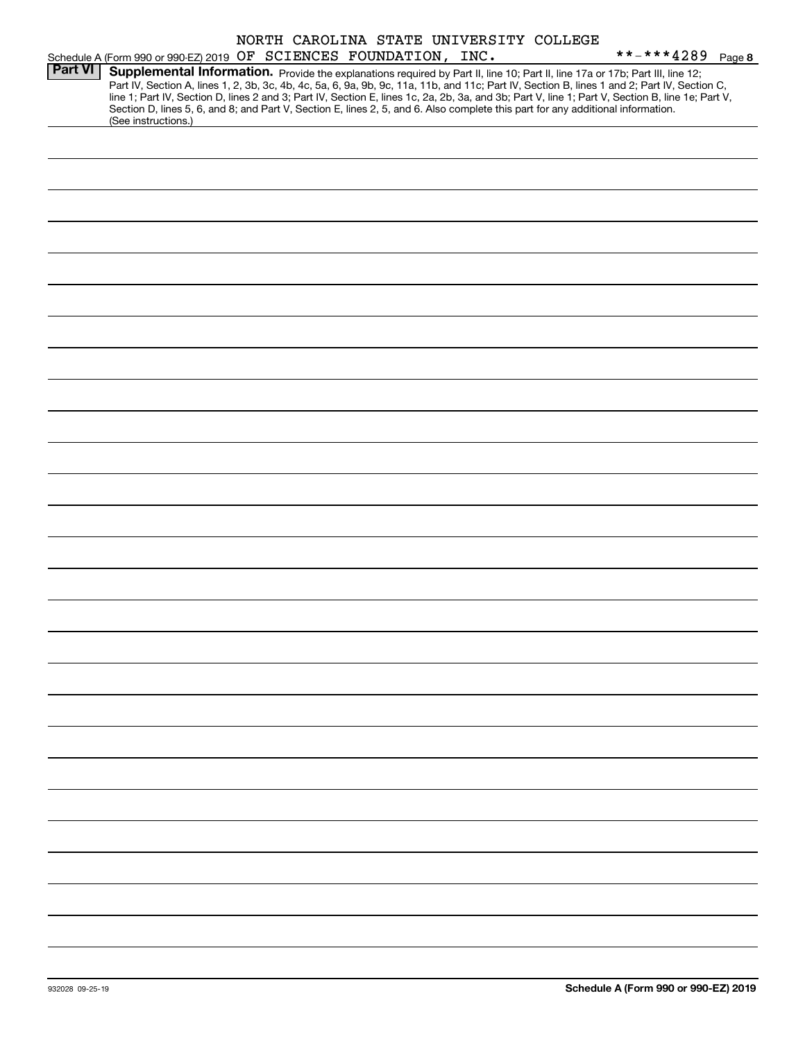|  |                              |  | NORTH CAROLINA STATE UNIVERSITY COLLEGE |  |
|--|------------------------------|--|-----------------------------------------|--|
|  | OF SCIENCES FOUNDATION. INC. |  |                                         |  |

|                |                     |  | Schedule A (Form 990 or 990-EZ) 2019 OF SCIENCES FOUNDATION, INC. |                                                                                                                                                                                                                                                                                                                                                                                                                                                                                                                                                                      | **-***4289 Page 8 |  |
|----------------|---------------------|--|-------------------------------------------------------------------|----------------------------------------------------------------------------------------------------------------------------------------------------------------------------------------------------------------------------------------------------------------------------------------------------------------------------------------------------------------------------------------------------------------------------------------------------------------------------------------------------------------------------------------------------------------------|-------------------|--|
| <b>Part VI</b> |                     |  |                                                                   | Supplemental Information. Provide the explanations required by Part II, line 10; Part II, line 17a or 17b; Part III, line 12;<br>Part IV, Section A, lines 1, 2, 3b, 3c, 4b, 4c, 5a, 6, 9a, 9b, 9c, 11a, 11b, and 11c; Part IV, Section B, lines 1 and 2; Part IV, Section C,<br>line 1; Part IV, Section D, lines 2 and 3; Part IV, Section E, lines 1c, 2a, 2b, 3a, and 3b; Part V, line 1; Part V, Section B, line 1e; Part V,<br>Section D, lines 5, 6, and 8; and Part V, Section E, lines 2, 5, and 6. Also complete this part for any additional information. |                   |  |
|                | (See instructions.) |  |                                                                   |                                                                                                                                                                                                                                                                                                                                                                                                                                                                                                                                                                      |                   |  |
|                |                     |  |                                                                   |                                                                                                                                                                                                                                                                                                                                                                                                                                                                                                                                                                      |                   |  |
|                |                     |  |                                                                   |                                                                                                                                                                                                                                                                                                                                                                                                                                                                                                                                                                      |                   |  |
|                |                     |  |                                                                   |                                                                                                                                                                                                                                                                                                                                                                                                                                                                                                                                                                      |                   |  |
|                |                     |  |                                                                   |                                                                                                                                                                                                                                                                                                                                                                                                                                                                                                                                                                      |                   |  |
|                |                     |  |                                                                   |                                                                                                                                                                                                                                                                                                                                                                                                                                                                                                                                                                      |                   |  |
|                |                     |  |                                                                   |                                                                                                                                                                                                                                                                                                                                                                                                                                                                                                                                                                      |                   |  |
|                |                     |  |                                                                   |                                                                                                                                                                                                                                                                                                                                                                                                                                                                                                                                                                      |                   |  |
|                |                     |  |                                                                   |                                                                                                                                                                                                                                                                                                                                                                                                                                                                                                                                                                      |                   |  |
|                |                     |  |                                                                   |                                                                                                                                                                                                                                                                                                                                                                                                                                                                                                                                                                      |                   |  |
|                |                     |  |                                                                   |                                                                                                                                                                                                                                                                                                                                                                                                                                                                                                                                                                      |                   |  |
|                |                     |  |                                                                   |                                                                                                                                                                                                                                                                                                                                                                                                                                                                                                                                                                      |                   |  |
|                |                     |  |                                                                   |                                                                                                                                                                                                                                                                                                                                                                                                                                                                                                                                                                      |                   |  |
|                |                     |  |                                                                   |                                                                                                                                                                                                                                                                                                                                                                                                                                                                                                                                                                      |                   |  |
|                |                     |  |                                                                   |                                                                                                                                                                                                                                                                                                                                                                                                                                                                                                                                                                      |                   |  |
|                |                     |  |                                                                   |                                                                                                                                                                                                                                                                                                                                                                                                                                                                                                                                                                      |                   |  |
|                |                     |  |                                                                   |                                                                                                                                                                                                                                                                                                                                                                                                                                                                                                                                                                      |                   |  |
|                |                     |  |                                                                   |                                                                                                                                                                                                                                                                                                                                                                                                                                                                                                                                                                      |                   |  |
|                |                     |  |                                                                   |                                                                                                                                                                                                                                                                                                                                                                                                                                                                                                                                                                      |                   |  |
|                |                     |  |                                                                   |                                                                                                                                                                                                                                                                                                                                                                                                                                                                                                                                                                      |                   |  |
|                |                     |  |                                                                   |                                                                                                                                                                                                                                                                                                                                                                                                                                                                                                                                                                      |                   |  |
|                |                     |  |                                                                   |                                                                                                                                                                                                                                                                                                                                                                                                                                                                                                                                                                      |                   |  |
|                |                     |  |                                                                   |                                                                                                                                                                                                                                                                                                                                                                                                                                                                                                                                                                      |                   |  |
|                |                     |  |                                                                   |                                                                                                                                                                                                                                                                                                                                                                                                                                                                                                                                                                      |                   |  |
|                |                     |  |                                                                   |                                                                                                                                                                                                                                                                                                                                                                                                                                                                                                                                                                      |                   |  |
|                |                     |  |                                                                   |                                                                                                                                                                                                                                                                                                                                                                                                                                                                                                                                                                      |                   |  |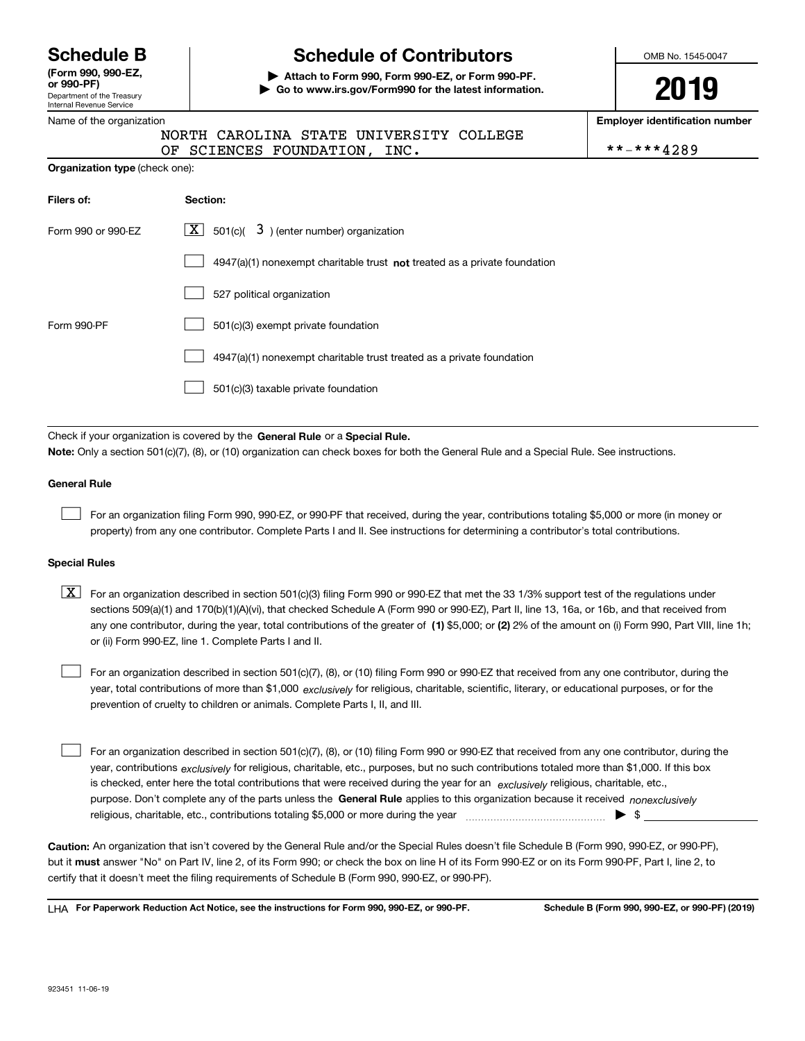Department of the Treasury Internal Revenue Service **(Form 990, 990-EZ, or 990-PF)**

#### Name of the organization

**Organization type** (check one):

## **Schedule B Schedule of Contributors**

**| Attach to Form 990, Form 990-EZ, or Form 990-PF. | Go to www.irs.gov/Form990 for the latest information.** OMB No. 1545-0047

# **2019**

**Employer identification number**

|  |  |                              |  | NORTH CAROLINA STATE UNIVERSITY COLLEGE |            |  |
|--|--|------------------------------|--|-----------------------------------------|------------|--|
|  |  | OF SCIENCES FOUNDATION, INC. |  |                                         | **-***4289 |  |

| Filers of:         | Section:                                                                           |
|--------------------|------------------------------------------------------------------------------------|
| Form 990 or 990-EZ | $\boxed{\text{X}}$ 501(c)( 3) (enter number) organization                          |
|                    | $4947(a)(1)$ nonexempt charitable trust <b>not</b> treated as a private foundation |
|                    | 527 political organization                                                         |
| Form 990-PF        | 501(c)(3) exempt private foundation                                                |
|                    | 4947(a)(1) nonexempt charitable trust treated as a private foundation              |
|                    | 501(c)(3) taxable private foundation                                               |

Check if your organization is covered by the **General Rule** or a **Special Rule. Note:**  Only a section 501(c)(7), (8), or (10) organization can check boxes for both the General Rule and a Special Rule. See instructions.

### **General Rule**

 $\mathcal{L}^{\text{max}}$ 

For an organization filing Form 990, 990-EZ, or 990-PF that received, during the year, contributions totaling \$5,000 or more (in money or property) from any one contributor. Complete Parts I and II. See instructions for determining a contributor's total contributions.

#### **Special Rules**

any one contributor, during the year, total contributions of the greater of  $\,$  (1) \$5,000; or **(2)** 2% of the amount on (i) Form 990, Part VIII, line 1h;  $\boxed{\textbf{X}}$  For an organization described in section 501(c)(3) filing Form 990 or 990-EZ that met the 33 1/3% support test of the regulations under sections 509(a)(1) and 170(b)(1)(A)(vi), that checked Schedule A (Form 990 or 990-EZ), Part II, line 13, 16a, or 16b, and that received from or (ii) Form 990-EZ, line 1. Complete Parts I and II.

year, total contributions of more than \$1,000 *exclusively* for religious, charitable, scientific, literary, or educational purposes, or for the For an organization described in section 501(c)(7), (8), or (10) filing Form 990 or 990-EZ that received from any one contributor, during the prevention of cruelty to children or animals. Complete Parts I, II, and III.  $\mathcal{L}^{\text{max}}$ 

purpose. Don't complete any of the parts unless the **General Rule** applies to this organization because it received *nonexclusively* year, contributions <sub>exclusively</sub> for religious, charitable, etc., purposes, but no such contributions totaled more than \$1,000. If this box is checked, enter here the total contributions that were received during the year for an  $\;$ exclusively religious, charitable, etc., For an organization described in section 501(c)(7), (8), or (10) filing Form 990 or 990-EZ that received from any one contributor, during the religious, charitable, etc., contributions totaling \$5,000 or more during the year  $\Box$ — $\Box$   $\Box$  $\mathcal{L}^{\text{max}}$ 

**Caution:**  An organization that isn't covered by the General Rule and/or the Special Rules doesn't file Schedule B (Form 990, 990-EZ, or 990-PF),  **must** but it answer "No" on Part IV, line 2, of its Form 990; or check the box on line H of its Form 990-EZ or on its Form 990-PF, Part I, line 2, to certify that it doesn't meet the filing requirements of Schedule B (Form 990, 990-EZ, or 990-PF).

**For Paperwork Reduction Act Notice, see the instructions for Form 990, 990-EZ, or 990-PF. Schedule B (Form 990, 990-EZ, or 990-PF) (2019)** LHA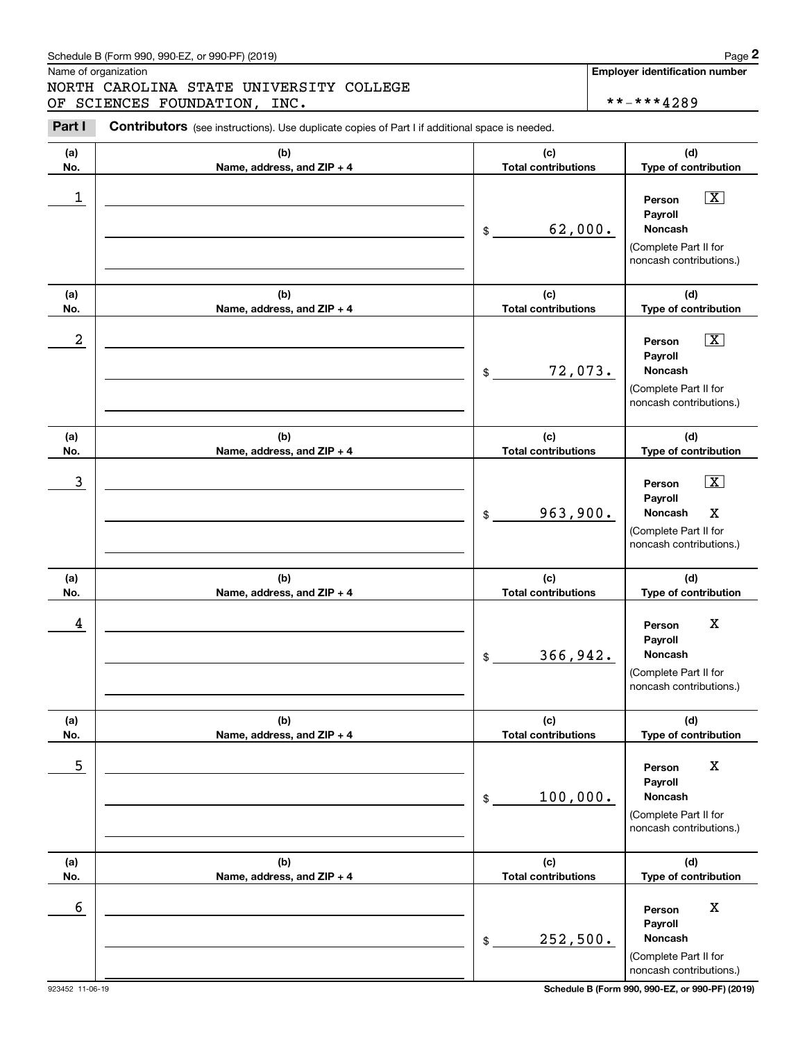### Schedule B (Form 990, 990-EZ, or 990-PF) (2019) Page 2

### NORTH CAROLINA STATE UNIVERSITY COLLEGE OF SCIENCES FOUNDATION, INC.  $\vert$  \*\*-\*\*\*4289

|                  | Schedule B (Form 990, 990-EZ, or 990-PF) (2019)                                                 |                                   | Page 2                                                                                                                |
|------------------|-------------------------------------------------------------------------------------------------|-----------------------------------|-----------------------------------------------------------------------------------------------------------------------|
|                  | Name of organization<br>NORTH CAROLINA STATE UNIVERSITY COLLEGE<br>OF SCIENCES FOUNDATION, INC. |                                   | <b>Employer identification number</b><br>**-***4289                                                                   |
| Part I           | Contributors (see instructions). Use duplicate copies of Part I if additional space is needed.  |                                   |                                                                                                                       |
| (a)<br>No.       | (b)<br>Name, address, and ZIP + 4                                                               | (c)<br><b>Total contributions</b> | (d)<br>Type of contribution                                                                                           |
| $\mathbf 1$      |                                                                                                 | 62,000.<br>\$                     | $\boxed{\text{X}}$<br>Person<br>Payroll<br>Noncash<br>(Complete Part II for<br>noncash contributions.)                |
| (a)<br>No.       | (b)<br>Name, address, and ZIP + 4                                                               | (c)<br><b>Total contributions</b> | (d)<br>Type of contribution                                                                                           |
| $\boldsymbol{2}$ |                                                                                                 | 72,073.<br>\$                     | $\boxed{\text{X}}$<br>Person<br>Payroll<br>Noncash<br>(Complete Part II for<br>noncash contributions.)                |
| (a)<br>No.       | (b)<br>Name, address, and ZIP + 4                                                               | (c)<br><b>Total contributions</b> | (d)<br>Type of contribution                                                                                           |
| 3                |                                                                                                 | 963,900.<br>\$                    | $\boxed{\text{X}}$<br>Person<br>Payroll<br>Noncash<br>$\mathbf X$<br>(Complete Part II for<br>noncash contributions.) |
| (a)<br>No.       | (b)<br>Name, address, and ZIP + 4                                                               | (c)<br><b>Total contributions</b> | (d)<br>Type of contribution                                                                                           |
| 4                |                                                                                                 | 366,942.<br>\$                    | X<br>Person<br>Payroll<br>Noncash<br>(Complete Part II for<br>noncash contributions.)                                 |
| (a)<br>No.       | (b)<br>Name, address, and ZIP + 4                                                               | (c)<br><b>Total contributions</b> | (d)<br>Type of contribution                                                                                           |
| 5                |                                                                                                 | 100,000.<br>\$                    | X<br>Person<br>Payroll<br><b>Noncash</b><br>(Complete Part II for<br>noncash contributions.)                          |
| (a)<br>No.       | (b)<br>Name, address, and ZIP + 4                                                               | (c)<br><b>Total contributions</b> | (d)<br>Type of contribution                                                                                           |
| 6                |                                                                                                 | 252,500.<br>\$                    | X<br>Person<br>Payroll<br>Noncash<br>(Complete Part II for<br>noncash contributions.)                                 |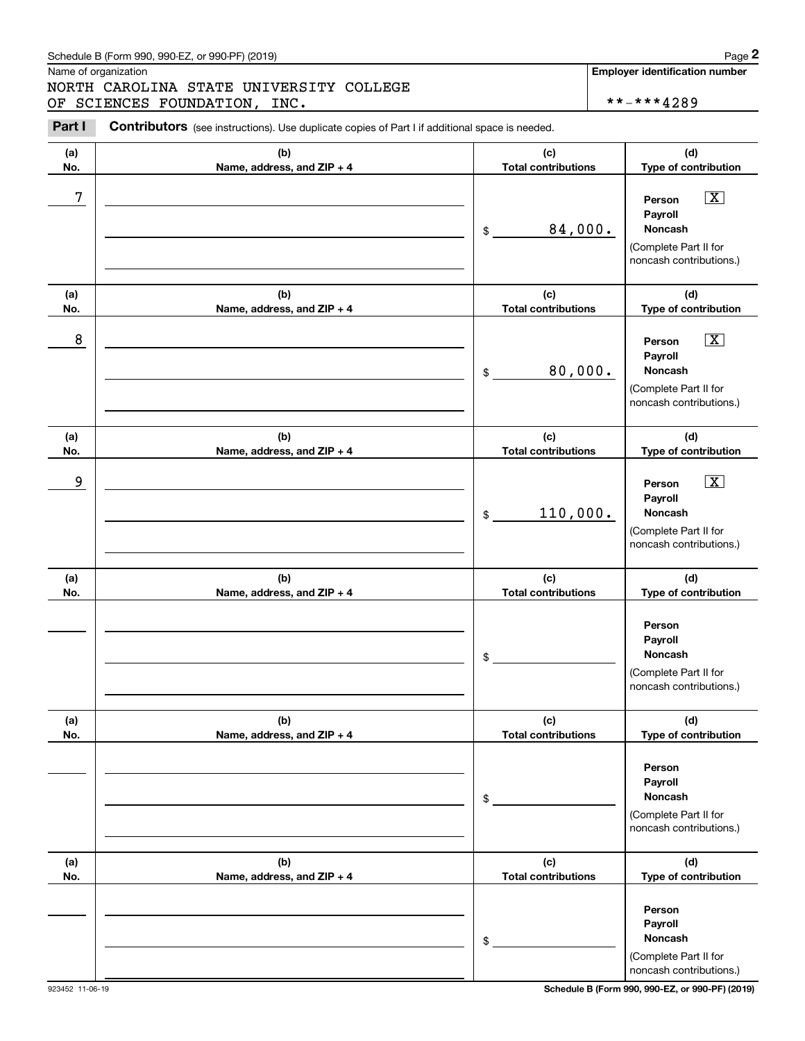### Schedule B (Form 990, 990-EZ, or 990-PF) (2019) Page 2

|            | Schedule B (Form 990, 990-EZ, or 990-PF) (2019)                                                 |                                   | Page 2                                                                                                 |
|------------|-------------------------------------------------------------------------------------------------|-----------------------------------|--------------------------------------------------------------------------------------------------------|
|            | Name of organization<br>NORTH CAROLINA STATE UNIVERSITY COLLEGE<br>OF SCIENCES FOUNDATION, INC. |                                   | <b>Employer identification number</b><br>**-***4289                                                    |
| Part I     | Contributors (see instructions). Use duplicate copies of Part I if additional space is needed.  |                                   |                                                                                                        |
| (a)<br>No. | (b)<br>Name, address, and ZIP + 4                                                               | (c)<br><b>Total contributions</b> | (d)<br>Type of contribution                                                                            |
| 7          |                                                                                                 | 84,000.<br>\$                     | $\boxed{\text{X}}$<br>Person<br>Payroll<br>Noncash<br>(Complete Part II for<br>noncash contributions.) |
| (a)<br>No. | (b)<br>Name, address, and ZIP + 4                                                               | (c)<br><b>Total contributions</b> | (d)<br>Type of contribution                                                                            |
| 8          |                                                                                                 | 80,000.<br>\$                     | $\boxed{\text{X}}$<br>Person<br>Payroll<br>Noncash<br>(Complete Part II for<br>noncash contributions.) |
| (a)<br>No. | (b)<br>Name, address, and ZIP + 4                                                               | (c)<br><b>Total contributions</b> | (d)<br>Type of contribution                                                                            |
| 9          |                                                                                                 | 110,000.<br>\$                    | $\boxed{\text{X}}$<br>Person<br>Payroll<br>Noncash<br>(Complete Part II for<br>noncash contributions.) |
| (a)<br>No. | (b)<br>Name, address, and ZIP + 4                                                               | (c)<br><b>Total contributions</b> | (d)<br>Type of contribution                                                                            |
|            |                                                                                                 | \$                                | Person<br>Payroll<br>Noncash<br>(Complete Part II for<br>noncash contributions.)                       |
| (a)<br>No. | (b)<br>Name, address, and ZIP + 4                                                               | (c)<br><b>Total contributions</b> | (d)<br>Type of contribution                                                                            |
|            |                                                                                                 | \$                                | Person<br>Payroll<br><b>Noncash</b><br>(Complete Part II for<br>noncash contributions.)                |
| (a)<br>No. | (b)<br>Name, address, and ZIP + 4                                                               | (c)<br><b>Total contributions</b> | (d)<br>Type of contribution                                                                            |
|            |                                                                                                 | \$                                | Person<br>Payroll<br>Noncash<br>(Complete Part II for<br>noncash contributions.)                       |

923452 11-06-19 **Schedule B (Form 990, 990-EZ, or 990-PF) (2019)**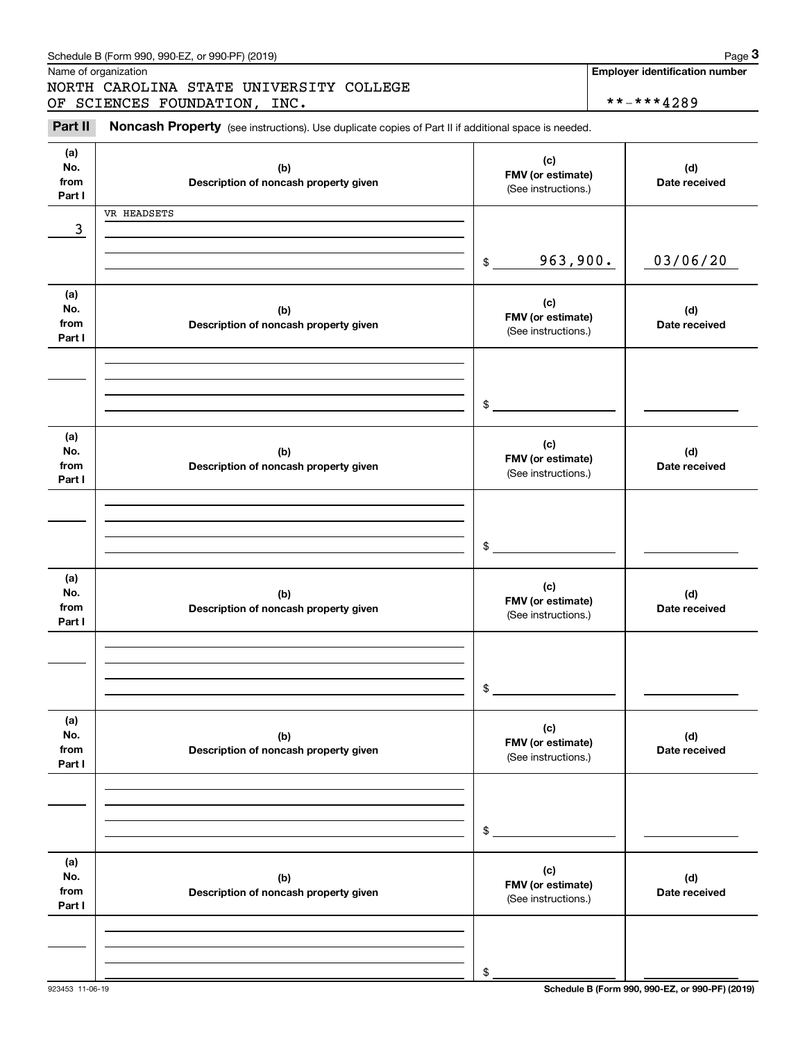|                              | Schedule B (Form 990, 990-EZ, or 990-PF) (2019)                                                     |                                                 | Page 3                                              |
|------------------------------|-----------------------------------------------------------------------------------------------------|-------------------------------------------------|-----------------------------------------------------|
|                              | Name of organization<br>NORTH CAROLINA STATE UNIVERSITY COLLEGE<br>OF SCIENCES FOUNDATION, INC.     |                                                 | <b>Employer identification number</b><br>**-***4289 |
| Part II                      | Noncash Property (see instructions). Use duplicate copies of Part II if additional space is needed. |                                                 |                                                     |
| (a)<br>No.<br>from<br>Part I | (b)<br>Description of noncash property given                                                        | (c)<br>FMV (or estimate)<br>(See instructions.) | (d)<br>Date received                                |
| 3                            | VR HEADSETS                                                                                         |                                                 |                                                     |
|                              |                                                                                                     | 963,900.<br>\$                                  | 03/06/20                                            |
| (a)<br>No.<br>from<br>Part I | (b)<br>Description of noncash property given                                                        | (c)<br>FMV (or estimate)<br>(See instructions.) | (d)<br>Date received                                |
|                              |                                                                                                     | \$                                              |                                                     |
| (a)<br>No.<br>from<br>Part I | (b)<br>Description of noncash property given                                                        | (c)<br>FMV (or estimate)<br>(See instructions.) | (d)<br>Date received                                |
|                              |                                                                                                     | \$                                              |                                                     |
| (a)<br>No.<br>from<br>Part I | (b)<br>Description of noncash property given                                                        | (c)<br>FMV (or estimate)<br>(See instructions.) | (d)<br>Date received                                |
|                              |                                                                                                     | \$                                              |                                                     |
| (a)<br>No.<br>from<br>Part I | (b)<br>Description of noncash property given                                                        | (c)<br>FMV (or estimate)<br>(See instructions.) | (d)<br>Date received                                |
|                              |                                                                                                     | \$                                              |                                                     |
| (a)<br>No.<br>from<br>Part I | (b)<br>Description of noncash property given                                                        | (c)<br>FMV (or estimate)<br>(See instructions.) | (d)<br>Date received                                |
|                              |                                                                                                     |                                                 |                                                     |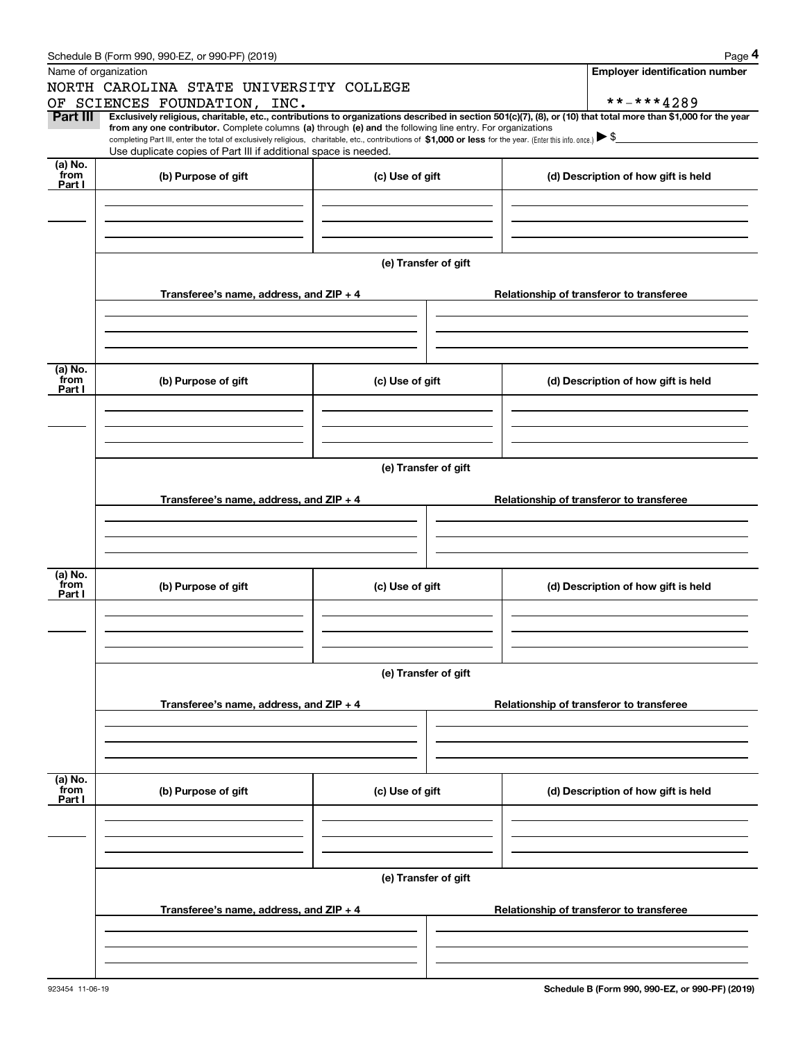|                 | Schedule B (Form 990, 990-EZ, or 990-PF) (2019)                                                                                                                                                                                                                                                 |                      | Page 4                                                                                                                                                         |  |  |  |  |  |  |
|-----------------|-------------------------------------------------------------------------------------------------------------------------------------------------------------------------------------------------------------------------------------------------------------------------------------------------|----------------------|----------------------------------------------------------------------------------------------------------------------------------------------------------------|--|--|--|--|--|--|
|                 | Name of organization                                                                                                                                                                                                                                                                            |                      | <b>Employer identification number</b>                                                                                                                          |  |  |  |  |  |  |
|                 | NORTH CAROLINA STATE UNIVERSITY COLLEGE                                                                                                                                                                                                                                                         |                      |                                                                                                                                                                |  |  |  |  |  |  |
|                 | OF SCIENCES FOUNDATION, INC.                                                                                                                                                                                                                                                                    |                      | **-***4289                                                                                                                                                     |  |  |  |  |  |  |
| Part III        |                                                                                                                                                                                                                                                                                                 |                      | Exclusively religious, charitable, etc., contributions to organizations described in section 501(c)(7), (8), or (10) that total more than \$1,000 for the year |  |  |  |  |  |  |
|                 | from any one contributor. Complete columns (a) through (e) and the following line entry. For organizations<br>completing Part III, enter the total of exclusively religious, charitable, etc., contributions of \$1,000 or less for the year. (Enter this info. once.) $\blacktriangleright$ \$ |                      |                                                                                                                                                                |  |  |  |  |  |  |
|                 | Use duplicate copies of Part III if additional space is needed.                                                                                                                                                                                                                                 |                      |                                                                                                                                                                |  |  |  |  |  |  |
| (a) No.         |                                                                                                                                                                                                                                                                                                 |                      |                                                                                                                                                                |  |  |  |  |  |  |
| from<br>Part I  | (b) Purpose of gift                                                                                                                                                                                                                                                                             | (c) Use of gift      | (d) Description of how gift is held                                                                                                                            |  |  |  |  |  |  |
|                 |                                                                                                                                                                                                                                                                                                 |                      |                                                                                                                                                                |  |  |  |  |  |  |
|                 |                                                                                                                                                                                                                                                                                                 |                      |                                                                                                                                                                |  |  |  |  |  |  |
|                 |                                                                                                                                                                                                                                                                                                 |                      |                                                                                                                                                                |  |  |  |  |  |  |
|                 |                                                                                                                                                                                                                                                                                                 |                      |                                                                                                                                                                |  |  |  |  |  |  |
|                 |                                                                                                                                                                                                                                                                                                 | (e) Transfer of gift |                                                                                                                                                                |  |  |  |  |  |  |
|                 |                                                                                                                                                                                                                                                                                                 |                      |                                                                                                                                                                |  |  |  |  |  |  |
|                 | Transferee's name, address, and ZIP + 4                                                                                                                                                                                                                                                         |                      | Relationship of transferor to transferee                                                                                                                       |  |  |  |  |  |  |
|                 |                                                                                                                                                                                                                                                                                                 |                      |                                                                                                                                                                |  |  |  |  |  |  |
|                 |                                                                                                                                                                                                                                                                                                 |                      |                                                                                                                                                                |  |  |  |  |  |  |
|                 |                                                                                                                                                                                                                                                                                                 |                      |                                                                                                                                                                |  |  |  |  |  |  |
|                 |                                                                                                                                                                                                                                                                                                 |                      |                                                                                                                                                                |  |  |  |  |  |  |
| (a) No.         |                                                                                                                                                                                                                                                                                                 |                      |                                                                                                                                                                |  |  |  |  |  |  |
| from<br>Part I  | (b) Purpose of gift                                                                                                                                                                                                                                                                             | (c) Use of gift      | (d) Description of how gift is held                                                                                                                            |  |  |  |  |  |  |
|                 |                                                                                                                                                                                                                                                                                                 |                      |                                                                                                                                                                |  |  |  |  |  |  |
|                 |                                                                                                                                                                                                                                                                                                 |                      |                                                                                                                                                                |  |  |  |  |  |  |
|                 |                                                                                                                                                                                                                                                                                                 |                      |                                                                                                                                                                |  |  |  |  |  |  |
|                 |                                                                                                                                                                                                                                                                                                 |                      |                                                                                                                                                                |  |  |  |  |  |  |
|                 | (e) Transfer of gift                                                                                                                                                                                                                                                                            |                      |                                                                                                                                                                |  |  |  |  |  |  |
|                 |                                                                                                                                                                                                                                                                                                 |                      |                                                                                                                                                                |  |  |  |  |  |  |
|                 | Transferee's name, address, and ZIP + 4                                                                                                                                                                                                                                                         |                      | Relationship of transferor to transferee                                                                                                                       |  |  |  |  |  |  |
|                 |                                                                                                                                                                                                                                                                                                 |                      |                                                                                                                                                                |  |  |  |  |  |  |
|                 |                                                                                                                                                                                                                                                                                                 |                      |                                                                                                                                                                |  |  |  |  |  |  |
|                 |                                                                                                                                                                                                                                                                                                 |                      |                                                                                                                                                                |  |  |  |  |  |  |
|                 |                                                                                                                                                                                                                                                                                                 |                      |                                                                                                                                                                |  |  |  |  |  |  |
| (a) No.<br>from | (b) Purpose of gift                                                                                                                                                                                                                                                                             | (c) Use of gift      | (d) Description of how gift is held                                                                                                                            |  |  |  |  |  |  |
| Part I          |                                                                                                                                                                                                                                                                                                 |                      |                                                                                                                                                                |  |  |  |  |  |  |
|                 |                                                                                                                                                                                                                                                                                                 |                      |                                                                                                                                                                |  |  |  |  |  |  |
|                 |                                                                                                                                                                                                                                                                                                 |                      |                                                                                                                                                                |  |  |  |  |  |  |
|                 |                                                                                                                                                                                                                                                                                                 |                      |                                                                                                                                                                |  |  |  |  |  |  |
|                 |                                                                                                                                                                                                                                                                                                 |                      |                                                                                                                                                                |  |  |  |  |  |  |
|                 |                                                                                                                                                                                                                                                                                                 | (e) Transfer of gift |                                                                                                                                                                |  |  |  |  |  |  |
|                 |                                                                                                                                                                                                                                                                                                 |                      |                                                                                                                                                                |  |  |  |  |  |  |
|                 | Transferee's name, address, and ZIP + 4                                                                                                                                                                                                                                                         |                      | Relationship of transferor to transferee                                                                                                                       |  |  |  |  |  |  |
|                 |                                                                                                                                                                                                                                                                                                 |                      |                                                                                                                                                                |  |  |  |  |  |  |
|                 |                                                                                                                                                                                                                                                                                                 |                      |                                                                                                                                                                |  |  |  |  |  |  |
|                 |                                                                                                                                                                                                                                                                                                 |                      |                                                                                                                                                                |  |  |  |  |  |  |
|                 |                                                                                                                                                                                                                                                                                                 |                      |                                                                                                                                                                |  |  |  |  |  |  |
| (a) No.<br>from | (b) Purpose of gift                                                                                                                                                                                                                                                                             | (c) Use of gift      | (d) Description of how gift is held                                                                                                                            |  |  |  |  |  |  |
| Part I          |                                                                                                                                                                                                                                                                                                 |                      |                                                                                                                                                                |  |  |  |  |  |  |
|                 |                                                                                                                                                                                                                                                                                                 |                      |                                                                                                                                                                |  |  |  |  |  |  |
|                 |                                                                                                                                                                                                                                                                                                 |                      |                                                                                                                                                                |  |  |  |  |  |  |
|                 |                                                                                                                                                                                                                                                                                                 |                      |                                                                                                                                                                |  |  |  |  |  |  |
|                 |                                                                                                                                                                                                                                                                                                 |                      |                                                                                                                                                                |  |  |  |  |  |  |
|                 |                                                                                                                                                                                                                                                                                                 | (e) Transfer of gift |                                                                                                                                                                |  |  |  |  |  |  |
|                 |                                                                                                                                                                                                                                                                                                 |                      |                                                                                                                                                                |  |  |  |  |  |  |
|                 | Transferee's name, address, and ZIP + 4                                                                                                                                                                                                                                                         |                      | Relationship of transferor to transferee                                                                                                                       |  |  |  |  |  |  |
|                 |                                                                                                                                                                                                                                                                                                 |                      |                                                                                                                                                                |  |  |  |  |  |  |
|                 |                                                                                                                                                                                                                                                                                                 |                      |                                                                                                                                                                |  |  |  |  |  |  |
|                 |                                                                                                                                                                                                                                                                                                 |                      |                                                                                                                                                                |  |  |  |  |  |  |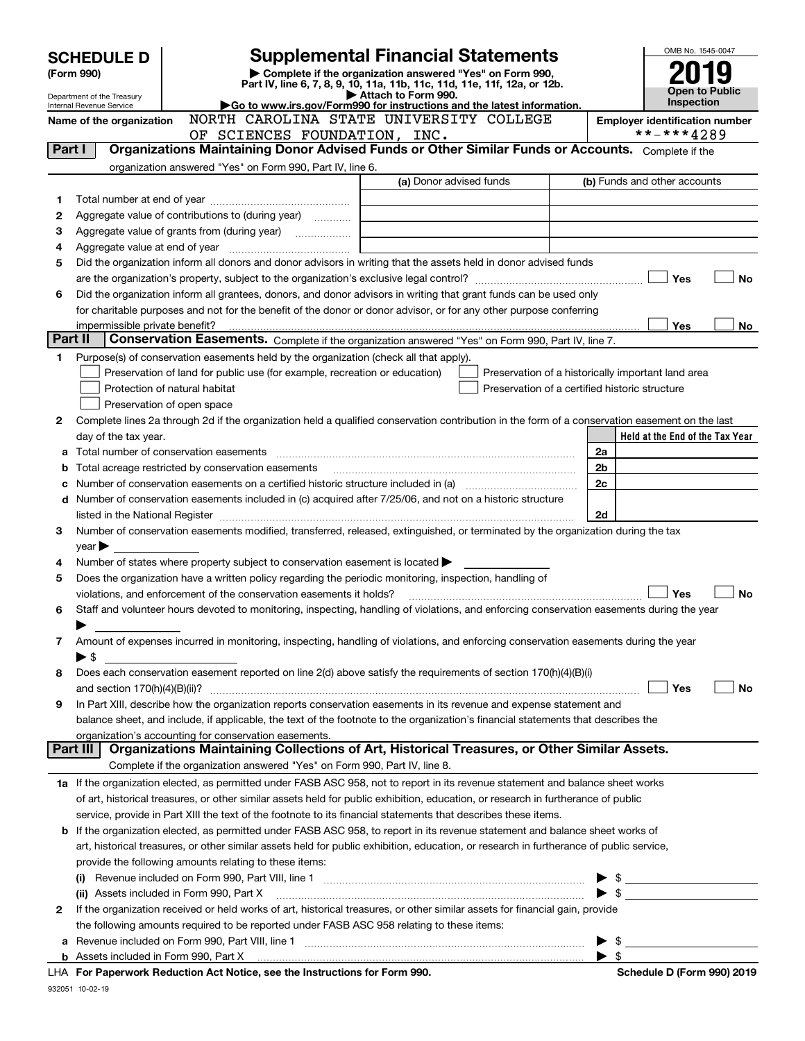|         | <b>SCHEDULE D</b><br>(Form 990)<br>Department of the Treasury<br>Internal Revenue Service |                                                                                                                                                       | OMB No. 1545-0047<br><b>Open to Public</b><br><b>Inspection</b>                                                   |  |                                                     |                                       |
|---------|-------------------------------------------------------------------------------------------|-------------------------------------------------------------------------------------------------------------------------------------------------------|-------------------------------------------------------------------------------------------------------------------|--|-----------------------------------------------------|---------------------------------------|
|         | Name of the organization                                                                  |                                                                                                                                                       | Go to www.irs.gov/Form990 for instructions and the latest information.<br>NORTH CAROLINA STATE UNIVERSITY COLLEGE |  |                                                     | <b>Employer identification number</b> |
|         |                                                                                           | SCIENCES FOUNDATION, INC.<br>OF                                                                                                                       |                                                                                                                   |  |                                                     | **-***4289                            |
| Part I  |                                                                                           | Organizations Maintaining Donor Advised Funds or Other Similar Funds or Accounts. Complete if the                                                     |                                                                                                                   |  |                                                     |                                       |
|         |                                                                                           | organization answered "Yes" on Form 990, Part IV, line 6.                                                                                             |                                                                                                                   |  |                                                     |                                       |
|         |                                                                                           |                                                                                                                                                       | (a) Donor advised funds                                                                                           |  |                                                     | (b) Funds and other accounts          |
| 1       |                                                                                           |                                                                                                                                                       |                                                                                                                   |  |                                                     |                                       |
| 2       |                                                                                           | Aggregate value of contributions to (during year)                                                                                                     |                                                                                                                   |  |                                                     |                                       |
| з       |                                                                                           |                                                                                                                                                       |                                                                                                                   |  |                                                     |                                       |
| 4       |                                                                                           |                                                                                                                                                       |                                                                                                                   |  |                                                     |                                       |
| 5       |                                                                                           | Did the organization inform all donors and donor advisors in writing that the assets held in donor advised funds                                      |                                                                                                                   |  |                                                     |                                       |
|         |                                                                                           |                                                                                                                                                       |                                                                                                                   |  |                                                     | Yes<br><b>No</b>                      |
| 6       |                                                                                           | Did the organization inform all grantees, donors, and donor advisors in writing that grant funds can be used only                                     |                                                                                                                   |  |                                                     |                                       |
|         |                                                                                           | for charitable purposes and not for the benefit of the donor or donor advisor, or for any other purpose conferring                                    |                                                                                                                   |  |                                                     |                                       |
|         |                                                                                           |                                                                                                                                                       |                                                                                                                   |  |                                                     | Yes<br>No                             |
| Part II |                                                                                           | Conservation Easements. Complete if the organization answered "Yes" on Form 990, Part IV, line 7.                                                     |                                                                                                                   |  |                                                     |                                       |
| 1       |                                                                                           | Purpose(s) of conservation easements held by the organization (check all that apply).                                                                 |                                                                                                                   |  |                                                     |                                       |
|         |                                                                                           | Preservation of land for public use (for example, recreation or education)                                                                            | Preservation of a historically important land area                                                                |  |                                                     |                                       |
|         |                                                                                           | Protection of natural habitat                                                                                                                         | Preservation of a certified historic structure                                                                    |  |                                                     |                                       |
|         |                                                                                           | Preservation of open space                                                                                                                            |                                                                                                                   |  |                                                     |                                       |
| 2       |                                                                                           | Complete lines 2a through 2d if the organization held a qualified conservation contribution in the form of a conservation easement on the last        |                                                                                                                   |  |                                                     |                                       |
|         | day of the tax year.                                                                      |                                                                                                                                                       |                                                                                                                   |  |                                                     | Held at the End of the Tax Year       |
| а       |                                                                                           |                                                                                                                                                       |                                                                                                                   |  | 2a                                                  |                                       |
| b       |                                                                                           | Total acreage restricted by conservation easements                                                                                                    |                                                                                                                   |  | 2b                                                  |                                       |
| с       |                                                                                           |                                                                                                                                                       |                                                                                                                   |  | 2c                                                  |                                       |
|         |                                                                                           | d Number of conservation easements included in (c) acquired after 7/25/06, and not on a historic structure                                            |                                                                                                                   |  |                                                     |                                       |
|         |                                                                                           |                                                                                                                                                       |                                                                                                                   |  | 2d                                                  |                                       |
| 3       |                                                                                           | Number of conservation easements modified, transferred, released, extinguished, or terminated by the organization during the tax                      |                                                                                                                   |  |                                                     |                                       |
|         | $year \blacktriangleright$                                                                |                                                                                                                                                       |                                                                                                                   |  |                                                     |                                       |
| 4       |                                                                                           | Number of states where property subject to conservation easement is located $\blacktriangleright$                                                     |                                                                                                                   |  |                                                     |                                       |
| 5       |                                                                                           | Does the organization have a written policy regarding the periodic monitoring, inspection, handling of                                                |                                                                                                                   |  |                                                     |                                       |
|         |                                                                                           | violations, and enforcement of the conservation easements it holds?                                                                                   |                                                                                                                   |  |                                                     | Yes<br>No                             |
| 6       |                                                                                           | Staff and volunteer hours devoted to monitoring, inspecting, handling of violations, and enforcing conservation easements during the year             |                                                                                                                   |  |                                                     |                                       |
|         |                                                                                           |                                                                                                                                                       |                                                                                                                   |  |                                                     |                                       |
| 7       |                                                                                           | Amount of expenses incurred in monitoring, inspecting, handling of violations, and enforcing conservation easements during the year                   |                                                                                                                   |  |                                                     |                                       |
|         | ► \$                                                                                      |                                                                                                                                                       |                                                                                                                   |  |                                                     |                                       |
| 8       |                                                                                           | Does each conservation easement reported on line 2(d) above satisfy the requirements of section 170(h)(4)(B)(i)                                       |                                                                                                                   |  |                                                     |                                       |
|         |                                                                                           |                                                                                                                                                       |                                                                                                                   |  |                                                     | Yes<br>No                             |
| 9       |                                                                                           | In Part XIII, describe how the organization reports conservation easements in its revenue and expense statement and                                   |                                                                                                                   |  |                                                     |                                       |
|         |                                                                                           | balance sheet, and include, if applicable, the text of the footnote to the organization's financial statements that describes the                     |                                                                                                                   |  |                                                     |                                       |
|         | Part III                                                                                  | organization's accounting for conservation easements.<br>Organizations Maintaining Collections of Art, Historical Treasures, or Other Similar Assets. |                                                                                                                   |  |                                                     |                                       |
|         |                                                                                           |                                                                                                                                                       |                                                                                                                   |  |                                                     |                                       |
|         |                                                                                           | Complete if the organization answered "Yes" on Form 990, Part IV, line 8.                                                                             |                                                                                                                   |  |                                                     |                                       |
|         |                                                                                           | 1a If the organization elected, as permitted under FASB ASC 958, not to report in its revenue statement and balance sheet works                       |                                                                                                                   |  |                                                     |                                       |
|         |                                                                                           | of art, historical treasures, or other similar assets held for public exhibition, education, or research in furtherance of public                     |                                                                                                                   |  |                                                     |                                       |
|         |                                                                                           | service, provide in Part XIII the text of the footnote to its financial statements that describes these items.                                        |                                                                                                                   |  |                                                     |                                       |
|         |                                                                                           | <b>b</b> If the organization elected, as permitted under FASB ASC 958, to report in its revenue statement and balance sheet works of                  |                                                                                                                   |  |                                                     |                                       |
|         |                                                                                           | art, historical treasures, or other similar assets held for public exhibition, education, or research in furtherance of public service,               |                                                                                                                   |  |                                                     |                                       |
|         |                                                                                           | provide the following amounts relating to these items:                                                                                                |                                                                                                                   |  |                                                     |                                       |
|         |                                                                                           |                                                                                                                                                       |                                                                                                                   |  | $\blacktriangleright$ s                             |                                       |
|         |                                                                                           | (ii) Assets included in Form 990, Part X [11] [2000] [2010] Assets included in Form 990, Part X [11] [11] [11]                                        |                                                                                                                   |  | $\blacktriangleright$ \$                            |                                       |
| 2       |                                                                                           | If the organization received or held works of art, historical treasures, or other similar assets for financial gain, provide                          |                                                                                                                   |  |                                                     |                                       |
|         |                                                                                           | the following amounts required to be reported under FASB ASC 958 relating to these items:                                                             |                                                                                                                   |  |                                                     |                                       |
| а       |                                                                                           | Revenue included on Form 990, Part VIII, line 1 [2000] [2000] [2000] [2000] [3000] [3000] [3000] [3000] [3000                                         |                                                                                                                   |  | $\blacktriangleright$ s<br>$\blacktriangleright$ \$ |                                       |
|         |                                                                                           | LHA For Panerwork Reduction Act Notice see the Instructions for Form 990                                                                              |                                                                                                                   |  |                                                     | Schedule D (Form 990) 2019            |

|  | LHA For Paperwork Reduction Act Notice, see the Instructions for Form 990. |  |  |  |  |  |  |
|--|----------------------------------------------------------------------------|--|--|--|--|--|--|
|--|----------------------------------------------------------------------------|--|--|--|--|--|--|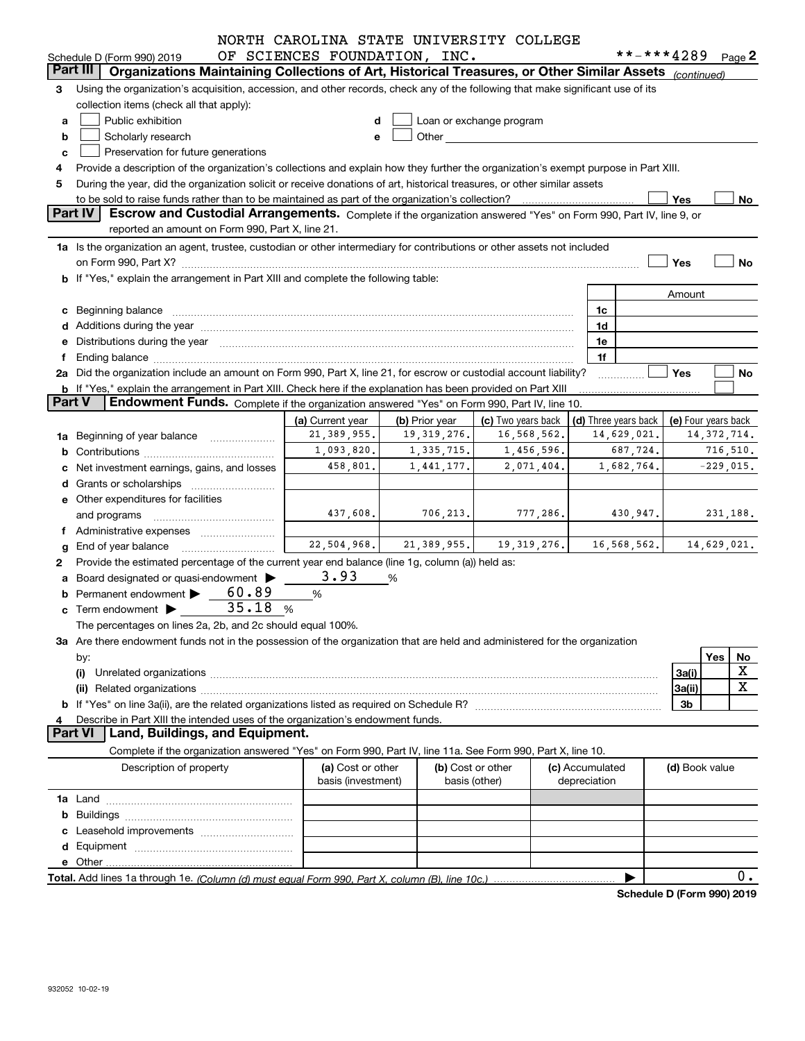|               |                                                                                                                                                                                                                                | NORTH CAROLINA STATE UNIVERSITY COLLEGE |                |               |                                                                                                                                                                                                                               |                 |                      | **-***4289                 |             |
|---------------|--------------------------------------------------------------------------------------------------------------------------------------------------------------------------------------------------------------------------------|-----------------------------------------|----------------|---------------|-------------------------------------------------------------------------------------------------------------------------------------------------------------------------------------------------------------------------------|-----------------|----------------------|----------------------------|-------------|
|               | Schedule D (Form 990) 2019<br>Part III                                                                                                                                                                                         | OF SCIENCES FOUNDATION, INC.            |                |               |                                                                                                                                                                                                                               |                 |                      |                            | Page $2$    |
|               | Organizations Maintaining Collections of Art, Historical Treasures, or Other Similar Assets (continued)                                                                                                                        |                                         |                |               |                                                                                                                                                                                                                               |                 |                      |                            |             |
| 3             | Using the organization's acquisition, accession, and other records, check any of the following that make significant use of its                                                                                                |                                         |                |               |                                                                                                                                                                                                                               |                 |                      |                            |             |
|               | collection items (check all that apply):                                                                                                                                                                                       |                                         |                |               |                                                                                                                                                                                                                               |                 |                      |                            |             |
| a             | Public exhibition                                                                                                                                                                                                              |                                         |                |               | Loan or exchange program                                                                                                                                                                                                      |                 |                      |                            |             |
| b             | Scholarly research                                                                                                                                                                                                             |                                         |                |               | Other and the contract of the contract of the contract of the contract of the contract of the contract of the contract of the contract of the contract of the contract of the contract of the contract of the contract of the |                 |                      |                            |             |
| c             | Preservation for future generations                                                                                                                                                                                            |                                         |                |               |                                                                                                                                                                                                                               |                 |                      |                            |             |
|               | Provide a description of the organization's collections and explain how they further the organization's exempt purpose in Part XIII.                                                                                           |                                         |                |               |                                                                                                                                                                                                                               |                 |                      |                            |             |
| 5             | During the year, did the organization solicit or receive donations of art, historical treasures, or other similar assets                                                                                                       |                                         |                |               |                                                                                                                                                                                                                               |                 |                      |                            |             |
|               | to be sold to raise funds rather than to be maintained as part of the organization's collection?                                                                                                                               |                                         |                |               |                                                                                                                                                                                                                               |                 |                      | Yes                        | No          |
|               | Part IV<br>Escrow and Custodial Arrangements. Complete if the organization answered "Yes" on Form 990, Part IV, line 9, or<br>reported an amount on Form 990, Part X, line 21.                                                 |                                         |                |               |                                                                                                                                                                                                                               |                 |                      |                            |             |
|               |                                                                                                                                                                                                                                |                                         |                |               |                                                                                                                                                                                                                               |                 |                      |                            |             |
|               | 1a Is the organization an agent, trustee, custodian or other intermediary for contributions or other assets not included                                                                                                       |                                         |                |               |                                                                                                                                                                                                                               |                 |                      |                            |             |
|               |                                                                                                                                                                                                                                |                                         |                |               |                                                                                                                                                                                                                               |                 |                      | Yes                        | No          |
|               | <b>b</b> If "Yes," explain the arrangement in Part XIII and complete the following table:                                                                                                                                      |                                         |                |               |                                                                                                                                                                                                                               |                 |                      |                            |             |
|               |                                                                                                                                                                                                                                |                                         |                |               |                                                                                                                                                                                                                               |                 |                      | Amount                     |             |
|               | c Beginning balance entrance and the contract of the balance of the contract of the contract of the contract of the contract of the contract of the contract of the contract of the contract of the contract of the contract o |                                         |                |               |                                                                                                                                                                                                                               | 1c              |                      |                            |             |
|               | d Additions during the year measurement contains and a state of a state of a state of the state of the state of the state of the state of the state of the state of the state of the state of the state of the state of the st |                                         |                |               |                                                                                                                                                                                                                               | 1d              |                      |                            |             |
|               | e Distributions during the year manufactured and continuum and contact the control of the Distributions during the year                                                                                                        |                                         |                |               |                                                                                                                                                                                                                               | 1e              |                      |                            |             |
| Ť.            |                                                                                                                                                                                                                                |                                         |                |               |                                                                                                                                                                                                                               | 1f              |                      |                            |             |
|               | 2a Did the organization include an amount on Form 990, Part X, line 21, for escrow or custodial account liability?                                                                                                             |                                         |                |               |                                                                                                                                                                                                                               |                 |                      | Yes                        | No          |
| <b>Part V</b> | b If "Yes," explain the arrangement in Part XIII. Check here if the explanation has been provided on Part XIII<br>Endowment Funds. Complete if the organization answered "Yes" on Form 990, Part IV, line 10.                  |                                         |                |               |                                                                                                                                                                                                                               |                 |                      |                            |             |
|               |                                                                                                                                                                                                                                |                                         |                |               |                                                                                                                                                                                                                               |                 |                      |                            |             |
|               |                                                                                                                                                                                                                                | (a) Current year                        | (b) Prior year |               | (c) Two years back                                                                                                                                                                                                            |                 | (d) Three years back | (e) Four years back        |             |
|               | 1a Beginning of year balance                                                                                                                                                                                                   | 21,389,955.                             |                | 19,319,276.   | 16,568,562.                                                                                                                                                                                                                   |                 | 14,629,021.          | 14, 372, 714.              |             |
|               |                                                                                                                                                                                                                                | 1,093,820.                              |                | 1,335,715.    | 1,456,596.                                                                                                                                                                                                                    |                 | 687,724.             |                            | 716,510.    |
|               | c Net investment earnings, gains, and losses                                                                                                                                                                                   | 458,801.                                |                | 1,441,177.    | 2,071,404.                                                                                                                                                                                                                    |                 | 1,682,764.           | $-229,015.$                |             |
|               |                                                                                                                                                                                                                                |                                         |                |               |                                                                                                                                                                                                                               |                 |                      |                            |             |
|               | e Other expenditures for facilities                                                                                                                                                                                            |                                         |                |               |                                                                                                                                                                                                                               |                 |                      |                            |             |
|               | and programs                                                                                                                                                                                                                   | 437,608.                                |                | 706, 213.     | 777,286.                                                                                                                                                                                                                      |                 | 430,947.             | 231,188.                   |             |
|               | f Administrative expenses                                                                                                                                                                                                      |                                         |                |               |                                                                                                                                                                                                                               |                 |                      |                            |             |
|               | <b>g</b> End of year balance                                                                                                                                                                                                   | 22,504,968.                             |                | 21,389,955.   | 19,319,276.                                                                                                                                                                                                                   |                 | 16, 568, 562.        |                            | 14,629,021. |
| 2             | Provide the estimated percentage of the current year end balance (line 1g, column (a)) held as:                                                                                                                                |                                         |                |               |                                                                                                                                                                                                                               |                 |                      |                            |             |
|               | a Board designated or quasi-endowment >                                                                                                                                                                                        | 3.93                                    | %              |               |                                                                                                                                                                                                                               |                 |                      |                            |             |
|               | 60.89<br><b>b</b> Permanent endowment $\blacktriangleright$                                                                                                                                                                    | %                                       |                |               |                                                                                                                                                                                                                               |                 |                      |                            |             |
|               | 35.18<br>$\mathbf c$ Term endowment $\blacktriangleright$                                                                                                                                                                      | %                                       |                |               |                                                                                                                                                                                                                               |                 |                      |                            |             |
|               | The percentages on lines 2a, 2b, and 2c should equal 100%.                                                                                                                                                                     |                                         |                |               |                                                                                                                                                                                                                               |                 |                      |                            |             |
|               | 3a Are there endowment funds not in the possession of the organization that are held and administered for the organization                                                                                                     |                                         |                |               |                                                                                                                                                                                                                               |                 |                      |                            |             |
|               | by:                                                                                                                                                                                                                            |                                         |                |               |                                                                                                                                                                                                                               |                 |                      |                            | Yes<br>No   |
|               | (i)                                                                                                                                                                                                                            |                                         |                |               |                                                                                                                                                                                                                               |                 |                      | 3a(i)                      | х           |
|               |                                                                                                                                                                                                                                |                                         |                |               |                                                                                                                                                                                                                               |                 |                      | 3a(ii)                     | X           |
|               |                                                                                                                                                                                                                                |                                         |                |               |                                                                                                                                                                                                                               |                 |                      | 3b                         |             |
|               | Describe in Part XIII the intended uses of the organization's endowment funds.                                                                                                                                                 |                                         |                |               |                                                                                                                                                                                                                               |                 |                      |                            |             |
|               | Land, Buildings, and Equipment.<br><b>Part VI</b>                                                                                                                                                                              |                                         |                |               |                                                                                                                                                                                                                               |                 |                      |                            |             |
|               | Complete if the organization answered "Yes" on Form 990, Part IV, line 11a. See Form 990, Part X, line 10.                                                                                                                     |                                         |                |               |                                                                                                                                                                                                                               |                 |                      |                            |             |
|               | Description of property                                                                                                                                                                                                        | (a) Cost or other                       |                |               | (b) Cost or other                                                                                                                                                                                                             | (c) Accumulated |                      | (d) Book value             |             |
|               |                                                                                                                                                                                                                                | basis (investment)                      |                | basis (other) |                                                                                                                                                                                                                               | depreciation    |                      |                            |             |
|               |                                                                                                                                                                                                                                |                                         |                |               |                                                                                                                                                                                                                               |                 |                      |                            |             |
|               |                                                                                                                                                                                                                                |                                         |                |               |                                                                                                                                                                                                                               |                 |                      |                            |             |
|               |                                                                                                                                                                                                                                |                                         |                |               |                                                                                                                                                                                                                               |                 |                      |                            |             |
|               |                                                                                                                                                                                                                                |                                         |                |               |                                                                                                                                                                                                                               |                 |                      |                            |             |
|               |                                                                                                                                                                                                                                |                                         |                |               |                                                                                                                                                                                                                               |                 |                      |                            |             |
|               |                                                                                                                                                                                                                                |                                         |                |               |                                                                                                                                                                                                                               |                 |                      |                            | $0$ .       |
|               |                                                                                                                                                                                                                                |                                         |                |               |                                                                                                                                                                                                                               |                 |                      | Schedule D (Form 990) 2019 |             |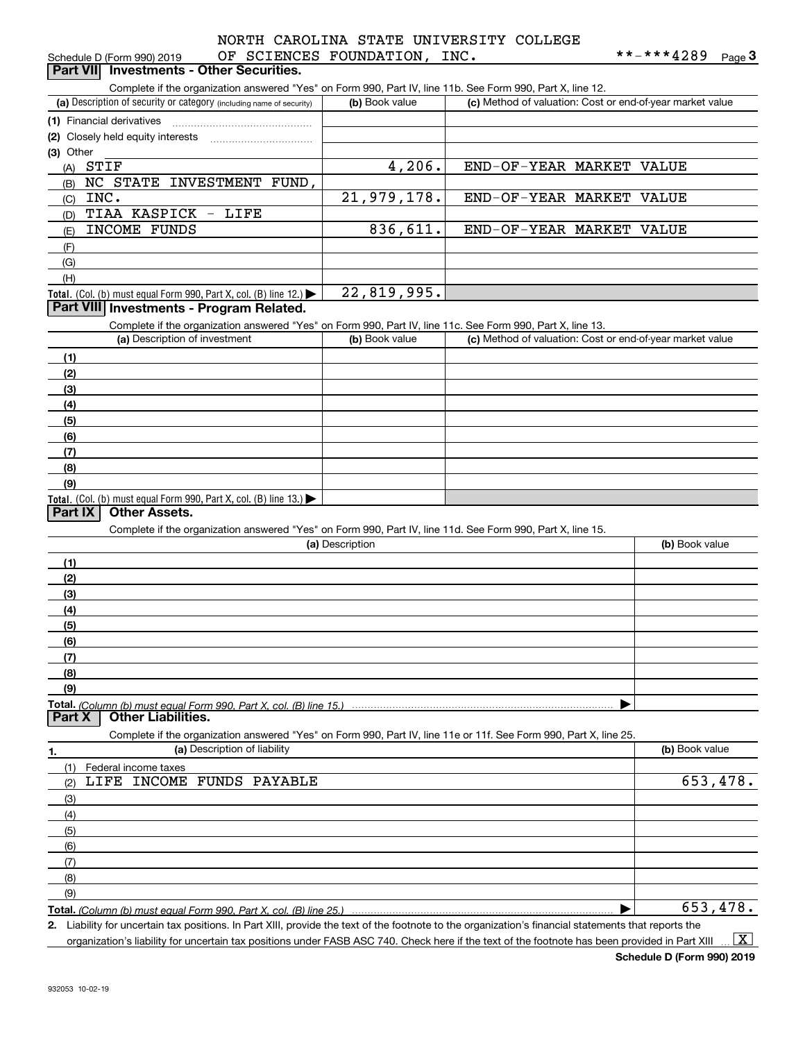### OF COTENCES FOUNDATION, INC. NORTH CAROLINA STATE UNIVERSITY COLLEGE

| Schedule D (Form 990) 2019                      |  | OF SCIENCES FOUNDATION,                                                                                    | INC. | **-***4289 | $P$ age $3$ |
|-------------------------------------------------|--|------------------------------------------------------------------------------------------------------------|------|------------|-------------|
| <b>Part VII</b> Investments - Other Securities. |  |                                                                                                            |      |            |             |
|                                                 |  | Complete if the organization answered "Yes" on Form 990, Part IV, line 11b. See Form 990, Part X, line 12. |      |            |             |

| Ouripicto il trio organizationi anoworca - ros-orri romi 550; i art rv, illio Trio. Oco i omn 550; i art A, illio TZ.                       |                 |                                                           |                |
|---------------------------------------------------------------------------------------------------------------------------------------------|-----------------|-----------------------------------------------------------|----------------|
| (a) Description of security or category (including name of security)                                                                        | (b) Book value  | (c) Method of valuation: Cost or end-of-year market value |                |
| (1) Financial derivatives                                                                                                                   |                 |                                                           |                |
| (2) Closely held equity interests                                                                                                           |                 |                                                           |                |
| (3) Other                                                                                                                                   |                 |                                                           |                |
| $(A)$ STIF                                                                                                                                  | 4,206.          | END-OF-YEAR MARKET VALUE                                  |                |
| NC STATE INVESTMENT FUND,<br>(B)                                                                                                            |                 |                                                           |                |
| INC.<br>(C)                                                                                                                                 | 21,979,178.     | END-OF-YEAR MARKET VALUE                                  |                |
| TIAA KASPICK - LIFE<br>(D)                                                                                                                  |                 |                                                           |                |
| INCOME FUNDS<br>(E)                                                                                                                         | 836,611.        | END-OF-YEAR MARKET VALUE                                  |                |
| (F)                                                                                                                                         |                 |                                                           |                |
| (G)                                                                                                                                         |                 |                                                           |                |
| (H)                                                                                                                                         |                 |                                                           |                |
| Total. (Col. (b) must equal Form 990, Part X, col. (B) line 12.)                                                                            | 22,819,995.     |                                                           |                |
| Part VIII Investments - Program Related.                                                                                                    |                 |                                                           |                |
| Complete if the organization answered "Yes" on Form 990, Part IV, line 11c. See Form 990, Part X, line 13.<br>(a) Description of investment | (b) Book value  | (c) Method of valuation: Cost or end-of-year market value |                |
|                                                                                                                                             |                 |                                                           |                |
| (1)                                                                                                                                         |                 |                                                           |                |
| (2)                                                                                                                                         |                 |                                                           |                |
| (3)                                                                                                                                         |                 |                                                           |                |
| (4)                                                                                                                                         |                 |                                                           |                |
| (5)<br>(6)                                                                                                                                  |                 |                                                           |                |
| (7)                                                                                                                                         |                 |                                                           |                |
| (8)                                                                                                                                         |                 |                                                           |                |
| (9)                                                                                                                                         |                 |                                                           |                |
| Total. (Col. (b) must equal Form 990, Part X, col. (B) line 13.)                                                                            |                 |                                                           |                |
| <b>Other Assets.</b><br>Part IX                                                                                                             |                 |                                                           |                |
| Complete if the organization answered "Yes" on Form 990, Part IV, line 11d. See Form 990, Part X, line 15.                                  |                 |                                                           |                |
|                                                                                                                                             | (a) Description |                                                           | (b) Book value |
| (1)                                                                                                                                         |                 |                                                           |                |
| (2)                                                                                                                                         |                 |                                                           |                |
| (3)                                                                                                                                         |                 |                                                           |                |
| (4)                                                                                                                                         |                 |                                                           |                |
| (5)                                                                                                                                         |                 |                                                           |                |
| (6)                                                                                                                                         |                 |                                                           |                |
| (7)                                                                                                                                         |                 |                                                           |                |
| (8)                                                                                                                                         |                 |                                                           |                |
| (9)                                                                                                                                         |                 |                                                           |                |
| Total. (Column (b) must equal Form 990. Part X, col. (B) line 15.)<br><b>Other Liabilities.</b><br>Part X                                   |                 |                                                           |                |
| Complete if the organization answered "Yes" on Form 990, Part IV, line 11e or 11f. See Form 990, Part X, line 25.                           |                 |                                                           |                |
| (a) Description of liability<br>1.                                                                                                          |                 |                                                           | (b) Book value |
| (1)<br>Federal income taxes                                                                                                                 |                 |                                                           |                |
| LIFE INCOME FUNDS PAYABLE<br>(2)                                                                                                            |                 |                                                           | 653, 478.      |
| (3)                                                                                                                                         |                 |                                                           |                |
| (4)                                                                                                                                         |                 |                                                           |                |
| (5)                                                                                                                                         |                 |                                                           |                |
| (6)                                                                                                                                         |                 |                                                           |                |
| (7)                                                                                                                                         |                 |                                                           |                |
| (8)                                                                                                                                         |                 |                                                           |                |
| (9)                                                                                                                                         |                 |                                                           |                |
| Total. (Column (b) must equal Form 990, Part X, col. (B) line 25.)                                                                          |                 |                                                           | 653,478.       |

**Total.**  *(Column (b) must equal Form 990, Part X, col. (B) line 25.)*

**2.** Liability for uncertain tax positions. In Part XIII, provide the text of the footnote to the organization's financial statements that reports the organization's liability for uncertain tax positions under FASB ASC 740. Check here if the text of the footnote has been provided in Part XIII  $\vert$  X  $\vert$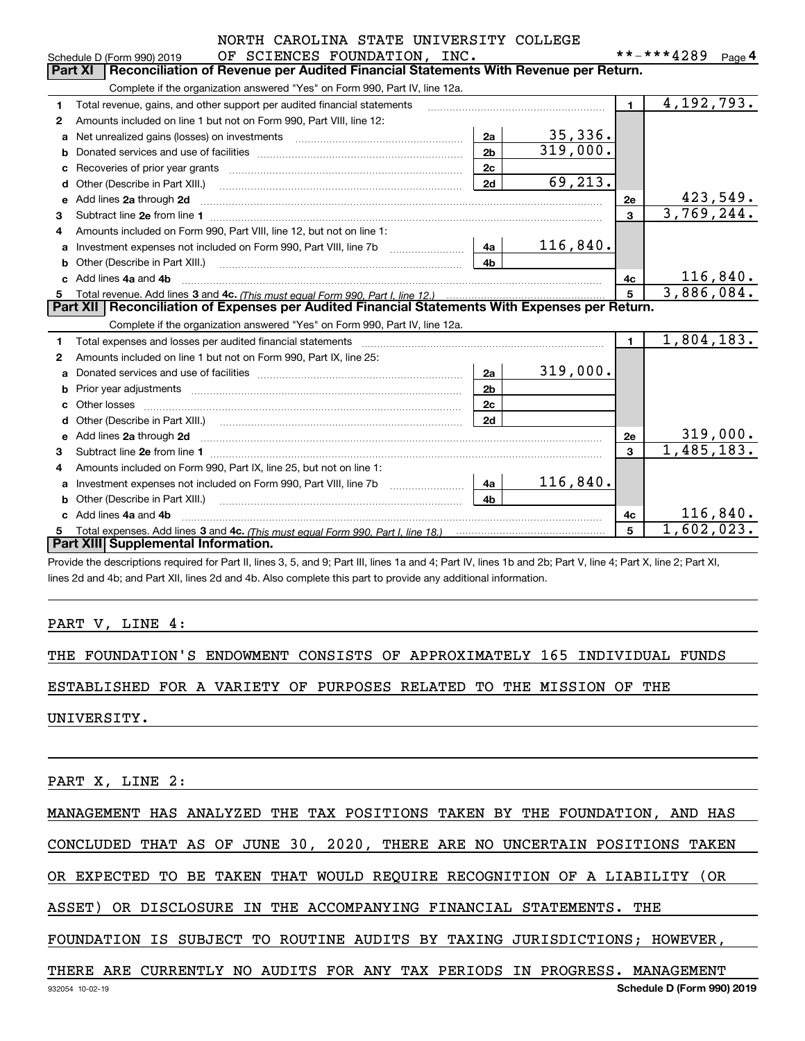|  |                         | NORTH CAROLINA STATE UNIVERSITY COLLEGE |  |
|--|-------------------------|-----------------------------------------|--|
|  | AR CAIRMARS RAIMDIANTAM |                                         |  |

|    | OF SCIENCES FOUNDATION, INC.<br>Schedule D (Form 990) 2019                                                                                                                        |                |          |              | **-***4289                  | Page $4$ |
|----|-----------------------------------------------------------------------------------------------------------------------------------------------------------------------------------|----------------|----------|--------------|-----------------------------|----------|
|    | <b>Part XI</b><br>Reconciliation of Revenue per Audited Financial Statements With Revenue per Return.                                                                             |                |          |              |                             |          |
|    | Complete if the organization answered "Yes" on Form 990, Part IV, line 12a.                                                                                                       |                |          |              |                             |          |
| 1. | Total revenue, gains, and other support per audited financial statements                                                                                                          |                |          | $\mathbf{1}$ | 4,192,793.                  |          |
| 2  | Amounts included on line 1 but not on Form 990, Part VIII, line 12:                                                                                                               |                |          |              |                             |          |
| a  | Net unrealized gains (losses) on investments [11] matter contracts and the unrealized gains (losses) on investments                                                               | 2a             | 35,336.  |              |                             |          |
| b  |                                                                                                                                                                                   | 2 <sub>b</sub> | 319,000. |              |                             |          |
| c  |                                                                                                                                                                                   | 2c             |          |              |                             |          |
| d  | Other (Describe in Part XIII.)                                                                                                                                                    | 2d             | 69, 213. |              |                             |          |
| е  | Add lines 2a through 2d                                                                                                                                                           |                |          | 2e           | $\frac{423,549}{3,769,244}$ |          |
| 3  |                                                                                                                                                                                   |                |          | 3            |                             |          |
| 4  | Amounts included on Form 990, Part VIII, line 12, but not on line 1:                                                                                                              |                |          |              |                             |          |
| a  | Investment expenses not included on Form 990, Part VIII, line 7b [1000000000000000000000000000000000                                                                              | 4a             | 116,840. |              |                             |          |
| b  |                                                                                                                                                                                   | 4 <sub>h</sub> |          |              |                             |          |
|    | Add lines 4a and 4b                                                                                                                                                               |                |          | 4c           |                             | 116,840. |
| 5  |                                                                                                                                                                                   |                |          |              | 3,886,084.                  |          |
|    | Part XII   Reconciliation of Expenses per Audited Financial Statements With Expenses per Return.                                                                                  |                |          |              |                             |          |
|    | Complete if the organization answered "Yes" on Form 990, Part IV, line 12a.                                                                                                       |                |          |              | 1,804,183.                  |          |
| 1. | Total expenses and losses per audited financial statements [111] [12] contracts and statements [12] Total expenses and losses per audited financial statements [12] [12] $\alpha$ |                |          | $\mathbf{1}$ |                             |          |
| 2  | Amounts included on line 1 but not on Form 990, Part IX, line 25:                                                                                                                 |                |          |              |                             |          |
| a  |                                                                                                                                                                                   | 2a             | 319,000. |              |                             |          |
| b  |                                                                                                                                                                                   | 2 <sub>b</sub> |          |              |                             |          |
| c  |                                                                                                                                                                                   | 2 <sub>c</sub> |          |              |                             |          |
|    |                                                                                                                                                                                   | 2d             |          |              |                             |          |
| е  |                                                                                                                                                                                   |                |          | 2е           |                             | 319,000. |
| 3  |                                                                                                                                                                                   |                |          | $\mathbf{a}$ | $\overline{1,485}, 183.$    |          |
| 4  | Amounts included on Form 990, Part IX, line 25, but not on line 1:                                                                                                                |                |          |              |                             |          |
| a  | Investment expenses not included on Form 990, Part VIII, line 7b [1000000000000000000000000000000000                                                                              | 4a             | 116,840. |              |                             |          |
|    | Other (Describe in Part XIII.) <b>Construction Construction</b> Chern Construction Chern Chern Chern Chern Chern Chern                                                            | 4 <sub>b</sub> |          |              |                             |          |
|    | Add lines 4a and 4b                                                                                                                                                               |                |          | 4c           |                             | 116,840. |
| 5  | Part XIII Supplemental Information.                                                                                                                                               |                |          | 5            | 1,602,023.                  |          |
|    |                                                                                                                                                                                   |                |          |              |                             |          |

Provide the descriptions required for Part II, lines 3, 5, and 9; Part III, lines 1a and 4; Part IV, lines 1b and 2b; Part V, line 4; Part X, line 2; Part XI, lines 2d and 4b; and Part XII, lines 2d and 4b. Also complete this part to provide any additional information.

#### PART V, LINE 4:

THE FOUNDATION'S ENDOWMENT CONSISTS OF APPROXIMATELY 165 INDIVIDUAL FUNDS

ESTABLISHED FOR A VARIETY OF PURPOSES RELATED TO THE MISSION OF THE

UNIVERSITY.

PART X, LINE 2:

MANAGEMENT HAS ANALYZED THE TAX POSITIONS TAKEN BY THE FOUNDATION, AND HAS

CONCLUDED THAT AS OF JUNE 30, 2020, THERE ARE NO UNCERTAIN POSITIONS TAKEN

OR EXPECTED TO BE TAKEN THAT WOULD REQUIRE RECOGNITION OF A LIABILITY (OR

ASSET) OR DISCLOSURE IN THE ACCOMPANYING FINANCIAL STATEMENTS. THE

FOUNDATION IS SUBJECT TO ROUTINE AUDITS BY TAXING JURISDICTIONS; HOWEVER,

THERE ARE CURRENTLY NO AUDITS FOR ANY TAX PERIODS IN PROGRESS. MANAGEMENT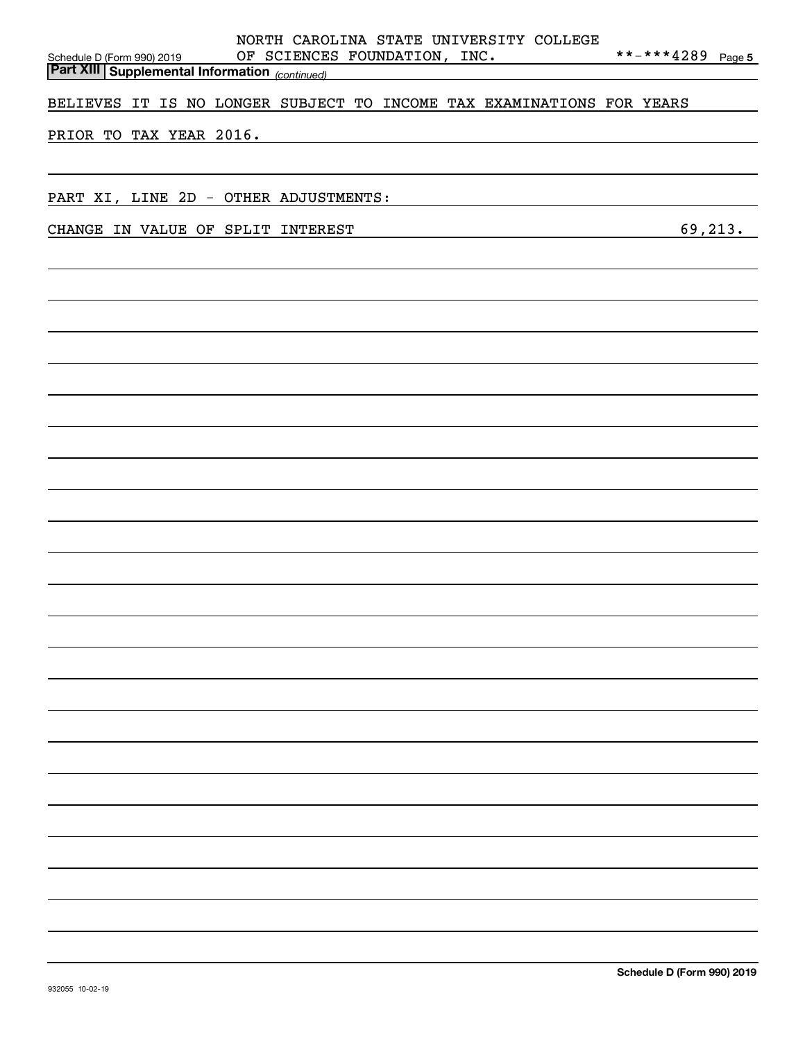| BELIEVES IT IS NO LONGER SUBJECT TO INCOME TAX EXAMINATIONS FOR YEARS<br>PRIOR TO TAX YEAR 2016.<br>PART XI, LINE 2D - OTHER ADJUSTMENTS:<br>69, 213.<br>CHANGE IN VALUE OF SPLIT INTEREST | NORTH CAROLINA STATE UNIVERSITY COLLEGE<br>**-***4289 Page 5<br>OF SCIENCES FOUNDATION, INC.<br>Schedule D (Form 990) 2019 UF SCIENCE,<br>Part XIII Supplemental Information (continued) |
|--------------------------------------------------------------------------------------------------------------------------------------------------------------------------------------------|------------------------------------------------------------------------------------------------------------------------------------------------------------------------------------------|
|                                                                                                                                                                                            |                                                                                                                                                                                          |
|                                                                                                                                                                                            |                                                                                                                                                                                          |
|                                                                                                                                                                                            |                                                                                                                                                                                          |
|                                                                                                                                                                                            |                                                                                                                                                                                          |
|                                                                                                                                                                                            |                                                                                                                                                                                          |
|                                                                                                                                                                                            |                                                                                                                                                                                          |
|                                                                                                                                                                                            |                                                                                                                                                                                          |
|                                                                                                                                                                                            |                                                                                                                                                                                          |
|                                                                                                                                                                                            |                                                                                                                                                                                          |
|                                                                                                                                                                                            |                                                                                                                                                                                          |
|                                                                                                                                                                                            |                                                                                                                                                                                          |
|                                                                                                                                                                                            |                                                                                                                                                                                          |
|                                                                                                                                                                                            |                                                                                                                                                                                          |
|                                                                                                                                                                                            |                                                                                                                                                                                          |
|                                                                                                                                                                                            |                                                                                                                                                                                          |
|                                                                                                                                                                                            |                                                                                                                                                                                          |
|                                                                                                                                                                                            |                                                                                                                                                                                          |
|                                                                                                                                                                                            |                                                                                                                                                                                          |
|                                                                                                                                                                                            |                                                                                                                                                                                          |
|                                                                                                                                                                                            |                                                                                                                                                                                          |
|                                                                                                                                                                                            |                                                                                                                                                                                          |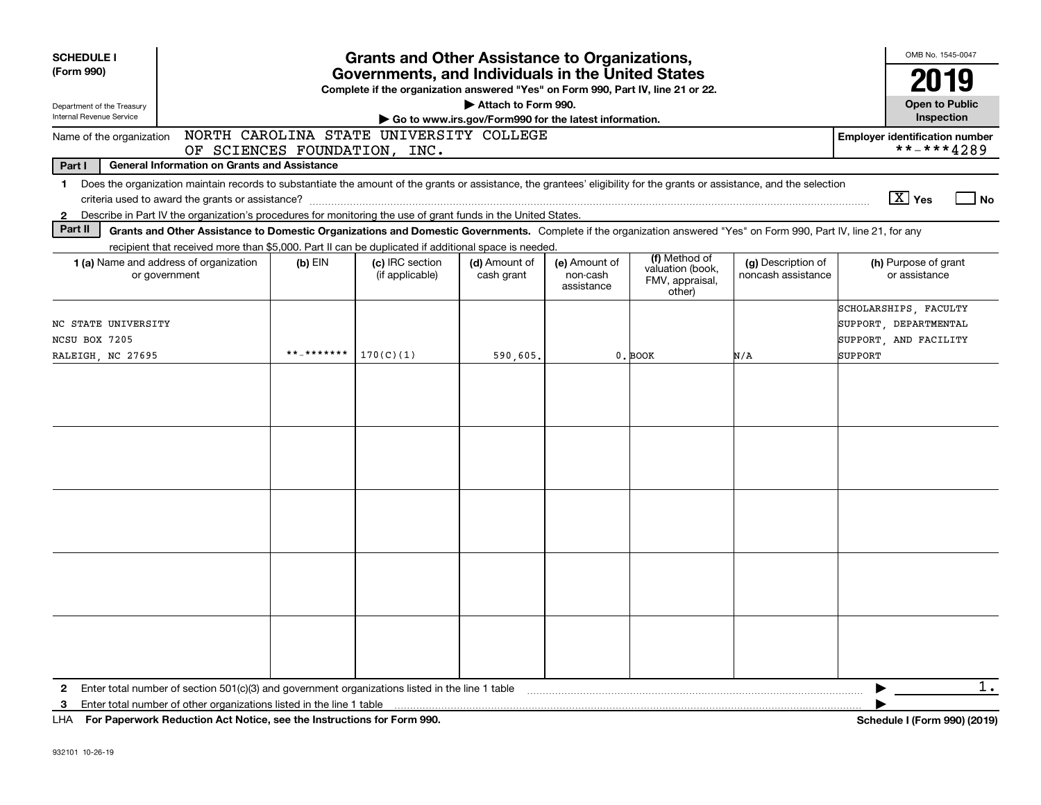| <b>SCHEDULE I</b><br>(Form 990)<br>Department of the Treasury<br>Internal Revenue Service |                                                                                                                                                                                                                                                                                                                                                                                                                                                                 | <b>Grants and Other Assistance to Organizations,</b><br>Governments, and Individuals in the United States<br>Complete if the organization answered "Yes" on Form 990, Part IV, line 21 or 22.<br>Attach to Form 990.<br>Go to www.irs.gov/Form990 for the latest information. |                                         |                             |                                         |                                                                |                                          |                                                                                    |  |  |  |  |  |
|-------------------------------------------------------------------------------------------|-----------------------------------------------------------------------------------------------------------------------------------------------------------------------------------------------------------------------------------------------------------------------------------------------------------------------------------------------------------------------------------------------------------------------------------------------------------------|-------------------------------------------------------------------------------------------------------------------------------------------------------------------------------------------------------------------------------------------------------------------------------|-----------------------------------------|-----------------------------|-----------------------------------------|----------------------------------------------------------------|------------------------------------------|------------------------------------------------------------------------------------|--|--|--|--|--|
| Name of the organization                                                                  |                                                                                                                                                                                                                                                                                                                                                                                                                                                                 |                                                                                                                                                                                                                                                                               | NORTH CAROLINA STATE UNIVERSITY COLLEGE |                             |                                         |                                                                |                                          | <b>Employer identification number</b>                                              |  |  |  |  |  |
| Part I                                                                                    | <b>General Information on Grants and Assistance</b>                                                                                                                                                                                                                                                                                                                                                                                                             |                                                                                                                                                                                                                                                                               | OF SCIENCES FOUNDATION, INC.            |                             |                                         |                                                                |                                          | **-***4289                                                                         |  |  |  |  |  |
| $\mathbf 1$<br>$\mathbf{2}$<br>Part II                                                    | Does the organization maintain records to substantiate the amount of the grants or assistance, the grantees' eligibility for the grants or assistance, and the selection<br>Describe in Part IV the organization's procedures for monitoring the use of grant funds in the United States.<br>Grants and Other Assistance to Domestic Organizations and Domestic Governments. Complete if the organization answered "Yes" on Form 990, Part IV, line 21, for any |                                                                                                                                                                                                                                                                               |                                         |                             |                                         |                                                                |                                          | $\boxed{\text{X}}$ Yes<br>  No                                                     |  |  |  |  |  |
|                                                                                           | recipient that received more than \$5,000. Part II can be duplicated if additional space is needed.                                                                                                                                                                                                                                                                                                                                                             |                                                                                                                                                                                                                                                                               |                                         |                             |                                         |                                                                |                                          |                                                                                    |  |  |  |  |  |
|                                                                                           | 1 (a) Name and address of organization<br>or government                                                                                                                                                                                                                                                                                                                                                                                                         | $(b)$ EIN                                                                                                                                                                                                                                                                     | (c) IRC section<br>(if applicable)      | (d) Amount of<br>cash grant | (e) Amount of<br>non-cash<br>assistance | (f) Method of<br>valuation (book,<br>FMV, appraisal,<br>other) | (g) Description of<br>noncash assistance | (h) Purpose of grant<br>or assistance                                              |  |  |  |  |  |
| NC STATE UNIVERSITY<br>NCSU BOX 7205<br>RALEIGH, NC 27695                                 |                                                                                                                                                                                                                                                                                                                                                                                                                                                                 | **_*******                                                                                                                                                                                                                                                                    | 170(C)(1)                               | 590,605                     |                                         | 0. BOOK                                                        | N/A                                      | SCHOLARSHIPS, FACULTY<br>SUPPORT, DEPARTMENTAL<br>SUPPORT, AND FACILITY<br>SUPPORT |  |  |  |  |  |
|                                                                                           |                                                                                                                                                                                                                                                                                                                                                                                                                                                                 |                                                                                                                                                                                                                                                                               |                                         |                             |                                         |                                                                |                                          |                                                                                    |  |  |  |  |  |
|                                                                                           |                                                                                                                                                                                                                                                                                                                                                                                                                                                                 |                                                                                                                                                                                                                                                                               |                                         |                             |                                         |                                                                |                                          |                                                                                    |  |  |  |  |  |
|                                                                                           |                                                                                                                                                                                                                                                                                                                                                                                                                                                                 |                                                                                                                                                                                                                                                                               |                                         |                             |                                         |                                                                |                                          |                                                                                    |  |  |  |  |  |
|                                                                                           |                                                                                                                                                                                                                                                                                                                                                                                                                                                                 |                                                                                                                                                                                                                                                                               |                                         |                             |                                         |                                                                |                                          |                                                                                    |  |  |  |  |  |
|                                                                                           |                                                                                                                                                                                                                                                                                                                                                                                                                                                                 |                                                                                                                                                                                                                                                                               |                                         |                             |                                         |                                                                |                                          |                                                                                    |  |  |  |  |  |
| $\mathbf{2}$                                                                              | Enter total number of section $501(c)(3)$ and government organizations listed in the line 1 table                                                                                                                                                                                                                                                                                                                                                               |                                                                                                                                                                                                                                                                               |                                         |                             |                                         |                                                                |                                          | $1$ .                                                                              |  |  |  |  |  |
| 3                                                                                         | Enter total number of other organizations listed in the line 1 table<br>LHA For Paperwork Reduction Act Notice, see the Instructions for Form 990.                                                                                                                                                                                                                                                                                                              |                                                                                                                                                                                                                                                                               |                                         |                             |                                         |                                                                |                                          | Schedule I (Form 990) (2019)                                                       |  |  |  |  |  |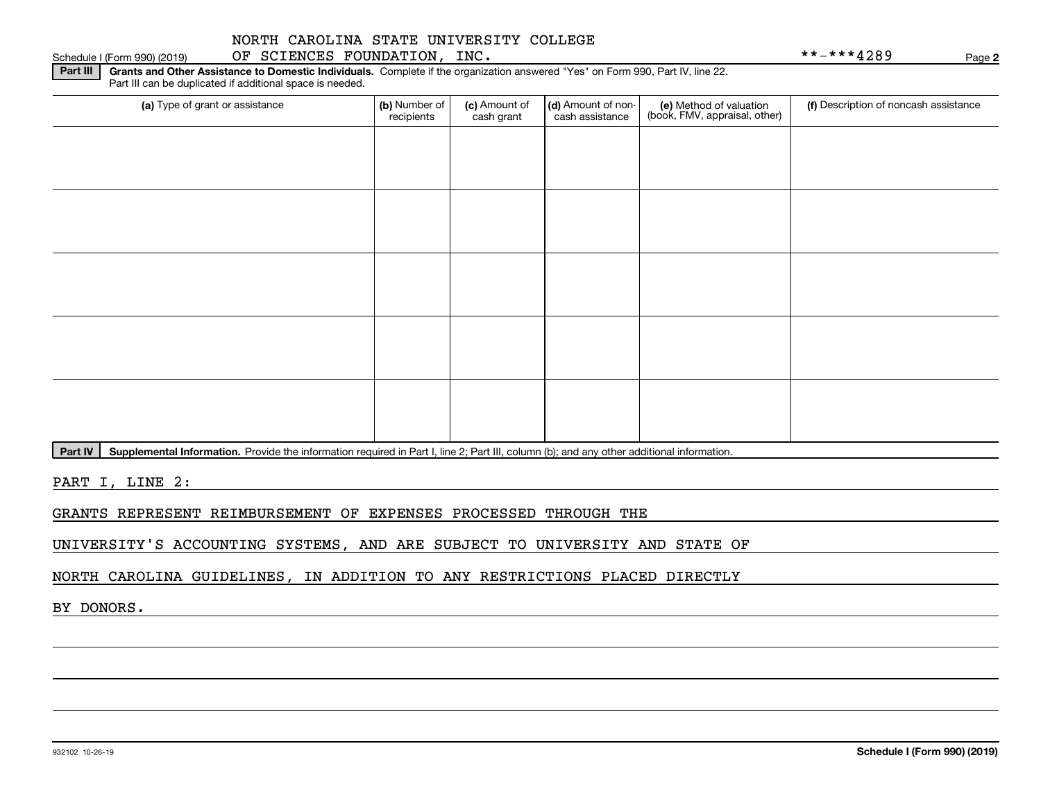### Schedule I (Form 990) (2019) OF SCIENCES FOUNDATION, INC. Page

**2**

**Part III | Grants and Other Assistance to Domestic Individuals. Complete if the organization answered "Yes" on Form 990, Part IV, line 22.** Part III can be duplicated if additional space is needed.

| (a) Type of grant or assistance | (b) Number of<br>recipients | (c) Amount of<br>cash grant | (d) Amount of non-<br>cash assistance | (e) Method of valuation<br>(book, FMV, appraisal, other) | (f) Description of noncash assistance |
|---------------------------------|-----------------------------|-----------------------------|---------------------------------------|----------------------------------------------------------|---------------------------------------|
|                                 |                             |                             |                                       |                                                          |                                       |
|                                 |                             |                             |                                       |                                                          |                                       |
|                                 |                             |                             |                                       |                                                          |                                       |
|                                 |                             |                             |                                       |                                                          |                                       |
|                                 |                             |                             |                                       |                                                          |                                       |
|                                 |                             |                             |                                       |                                                          |                                       |
|                                 |                             |                             |                                       |                                                          |                                       |
|                                 |                             |                             |                                       |                                                          |                                       |
|                                 |                             |                             |                                       |                                                          |                                       |
|                                 |                             |                             |                                       |                                                          |                                       |

Part IV | Supplemental Information. Provide the information required in Part I, line 2; Part III, column (b); and any other additional information.

PART I, LINE 2:

GRANTS REPRESENT REIMBURSEMENT OF EXPENSES PROCESSED THROUGH THE

UNIVERSITY'S ACCOUNTING SYSTEMS, AND ARE SUBJECT TO UNIVERSITY AND STATE OF

NORTH CAROLINA GUIDELINES, IN ADDITION TO ANY RESTRICTIONS PLACED DIRECTLY

BY DONORS.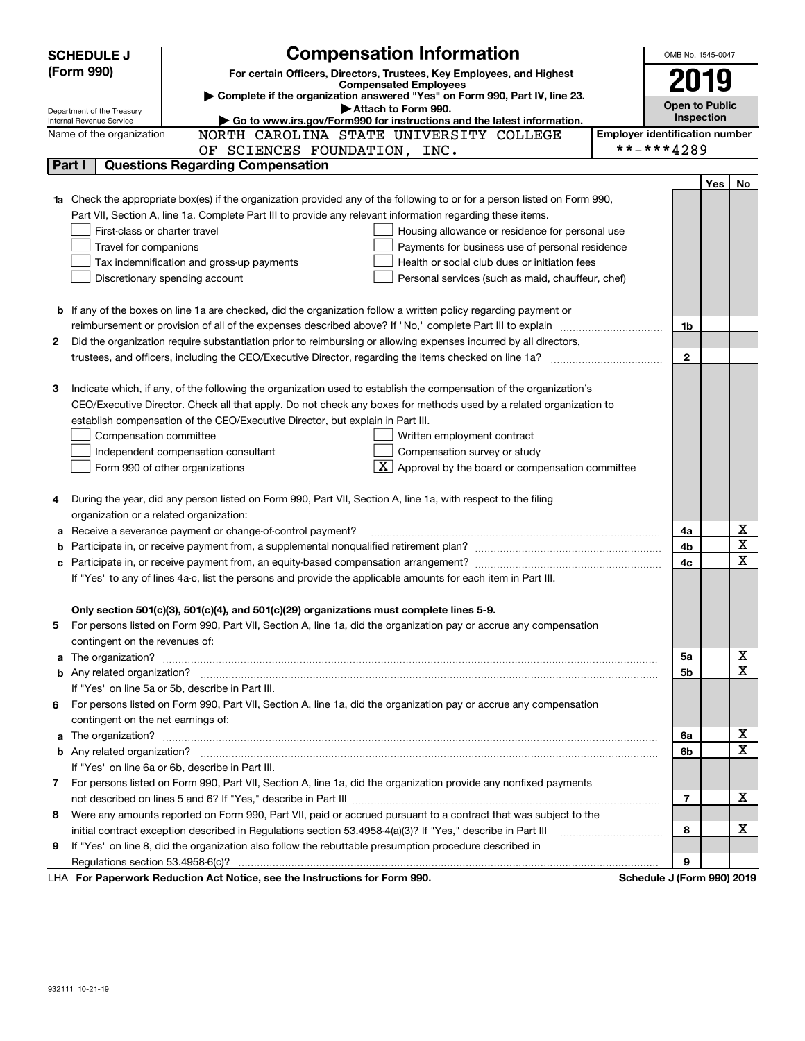| (Form 990)<br>For certain Officers, Directors, Trustees, Key Employees, and Highest<br>2019<br><b>Compensated Employees</b><br>Complete if the organization answered "Yes" on Form 990, Part IV, line 23.<br><b>Open to Public</b><br>Attach to Form 990.<br>Department of the Treasury<br>Inspection<br>Go to www.irs.gov/Form990 for instructions and the latest information.<br>Internal Revenue Service<br><b>Employer identification number</b><br>NORTH CAROLINA STATE UNIVERSITY COLLEGE<br>Name of the organization<br>**-***4289<br>OF SCIENCES FOUNDATION, INC.<br><b>Questions Regarding Compensation</b><br>Part I<br><b>Yes</b><br>No<br>1a Check the appropriate box(es) if the organization provided any of the following to or for a person listed on Form 990,<br>Part VII, Section A, line 1a. Complete Part III to provide any relevant information regarding these items.<br>First-class or charter travel<br>Housing allowance or residence for personal use<br>Travel for companions<br>Payments for business use of personal residence<br>Health or social club dues or initiation fees<br>Tax indemnification and gross-up payments<br>Discretionary spending account<br>Personal services (such as maid, chauffeur, chef)<br>If any of the boxes on line 1a are checked, did the organization follow a written policy regarding payment or<br>b<br>reimbursement or provision of all of the expenses described above? If "No," complete Part III to explain<br>1b<br>Did the organization require substantiation prior to reimbursing or allowing expenses incurred by all directors,<br>2<br>$\mathbf{2}$<br>3<br>Indicate which, if any, of the following the organization used to establish the compensation of the organization's<br>CEO/Executive Director. Check all that apply. Do not check any boxes for methods used by a related organization to<br>establish compensation of the CEO/Executive Director, but explain in Part III.<br>Compensation committee<br>Written employment contract<br>Compensation survey or study<br>Independent compensation consultant<br>$\overline{\mathbf{X}}$ Approval by the board or compensation committee<br>Form 990 of other organizations<br>During the year, did any person listed on Form 990, Part VII, Section A, line 1a, with respect to the filing<br>organization or a related organization:<br>x<br>Receive a severance payment or change-of-control payment?<br>4a<br>а<br>$\overline{\mathbf{x}}$<br>4b<br>b<br>X<br>4c<br>с<br>If "Yes" to any of lines 4a-c, list the persons and provide the applicable amounts for each item in Part III.<br>Only section 501(c)(3), 501(c)(4), and 501(c)(29) organizations must complete lines 5-9.<br>For persons listed on Form 990, Part VII, Section A, line 1a, did the organization pay or accrue any compensation<br>contingent on the revenues of:<br>х<br>The organization? <b>With the contract of the contract of the contract of the contract of the contract of the contract of the contract of the contract of the contract of the contract of the contract of the contract of the co</b><br>5а<br>a<br>$\mathbf x$<br>5b<br>If "Yes" on line 5a or 5b, describe in Part III.<br>For persons listed on Form 990, Part VII, Section A, line 1a, did the organization pay or accrue any compensation<br>6<br>contingent on the net earnings of:<br>х<br>6a<br>$\mathbf x$<br>6b<br>If "Yes" on line 6a or 6b, describe in Part III.<br>7 For persons listed on Form 990, Part VII, Section A, line 1a, did the organization provide any nonfixed payments<br>x<br>7<br>Were any amounts reported on Form 990, Part VII, paid or accrued pursuant to a contract that was subject to the<br>8<br>x<br>initial contract exception described in Regulations section 53.4958-4(a)(3)? If "Yes," describe in Part III<br>8<br>If "Yes" on line 8, did the organization also follow the rebuttable presumption procedure described in<br>9<br>9<br><b>LHA.</b> For Paperwork Reduction Act Notice, see the Instructions for Form 990<br>Schodule 1 (Form 000) 2010 | <b>Compensation Information</b><br><b>SCHEDULE J</b> | OMB No. 1545-0047 |  |
|-----------------------------------------------------------------------------------------------------------------------------------------------------------------------------------------------------------------------------------------------------------------------------------------------------------------------------------------------------------------------------------------------------------------------------------------------------------------------------------------------------------------------------------------------------------------------------------------------------------------------------------------------------------------------------------------------------------------------------------------------------------------------------------------------------------------------------------------------------------------------------------------------------------------------------------------------------------------------------------------------------------------------------------------------------------------------------------------------------------------------------------------------------------------------------------------------------------------------------------------------------------------------------------------------------------------------------------------------------------------------------------------------------------------------------------------------------------------------------------------------------------------------------------------------------------------------------------------------------------------------------------------------------------------------------------------------------------------------------------------------------------------------------------------------------------------------------------------------------------------------------------------------------------------------------------------------------------------------------------------------------------------------------------------------------------------------------------------------------------------------------------------------------------------------------------------------------------------------------------------------------------------------------------------------------------------------------------------------------------------------------------------------------------------------------------------------------------------------------------------------------------------------------------------------------------------------------------------------------------------------------------------------------------------------------------------------------------------------------------------------------------------------------------------------------------------------------------------------------------------------------------------------------------------------------------------------------------------------------------------------------------------------------------------------------------------------------------------------------------------------------------------------------------------------------------------------------------------------------------------------------------------------------------------------------------------------------------------------------------------------------------------------------------------------------------------------------------------------------------------------------------------------------------------------------------------------------------------------------------------------------------------------------------------------------------------------------------------------------------------------------------------------------------------------------------------------------------------------------------------------------------------------------------------------------------------------------------------------------------------------------------------------------------------------------------------------------------------------------|------------------------------------------------------|-------------------|--|
|                                                                                                                                                                                                                                                                                                                                                                                                                                                                                                                                                                                                                                                                                                                                                                                                                                                                                                                                                                                                                                                                                                                                                                                                                                                                                                                                                                                                                                                                                                                                                                                                                                                                                                                                                                                                                                                                                                                                                                                                                                                                                                                                                                                                                                                                                                                                                                                                                                                                                                                                                                                                                                                                                                                                                                                                                                                                                                                                                                                                                                                                                                                                                                                                                                                                                                                                                                                                                                                                                                                                                                                                                                                                                                                                                                                                                                                                                                                                                                                                                                                                                                     |                                                      |                   |  |
|                                                                                                                                                                                                                                                                                                                                                                                                                                                                                                                                                                                                                                                                                                                                                                                                                                                                                                                                                                                                                                                                                                                                                                                                                                                                                                                                                                                                                                                                                                                                                                                                                                                                                                                                                                                                                                                                                                                                                                                                                                                                                                                                                                                                                                                                                                                                                                                                                                                                                                                                                                                                                                                                                                                                                                                                                                                                                                                                                                                                                                                                                                                                                                                                                                                                                                                                                                                                                                                                                                                                                                                                                                                                                                                                                                                                                                                                                                                                                                                                                                                                                                     |                                                      |                   |  |
|                                                                                                                                                                                                                                                                                                                                                                                                                                                                                                                                                                                                                                                                                                                                                                                                                                                                                                                                                                                                                                                                                                                                                                                                                                                                                                                                                                                                                                                                                                                                                                                                                                                                                                                                                                                                                                                                                                                                                                                                                                                                                                                                                                                                                                                                                                                                                                                                                                                                                                                                                                                                                                                                                                                                                                                                                                                                                                                                                                                                                                                                                                                                                                                                                                                                                                                                                                                                                                                                                                                                                                                                                                                                                                                                                                                                                                                                                                                                                                                                                                                                                                     |                                                      |                   |  |
|                                                                                                                                                                                                                                                                                                                                                                                                                                                                                                                                                                                                                                                                                                                                                                                                                                                                                                                                                                                                                                                                                                                                                                                                                                                                                                                                                                                                                                                                                                                                                                                                                                                                                                                                                                                                                                                                                                                                                                                                                                                                                                                                                                                                                                                                                                                                                                                                                                                                                                                                                                                                                                                                                                                                                                                                                                                                                                                                                                                                                                                                                                                                                                                                                                                                                                                                                                                                                                                                                                                                                                                                                                                                                                                                                                                                                                                                                                                                                                                                                                                                                                     |                                                      |                   |  |
|                                                                                                                                                                                                                                                                                                                                                                                                                                                                                                                                                                                                                                                                                                                                                                                                                                                                                                                                                                                                                                                                                                                                                                                                                                                                                                                                                                                                                                                                                                                                                                                                                                                                                                                                                                                                                                                                                                                                                                                                                                                                                                                                                                                                                                                                                                                                                                                                                                                                                                                                                                                                                                                                                                                                                                                                                                                                                                                                                                                                                                                                                                                                                                                                                                                                                                                                                                                                                                                                                                                                                                                                                                                                                                                                                                                                                                                                                                                                                                                                                                                                                                     |                                                      |                   |  |
|                                                                                                                                                                                                                                                                                                                                                                                                                                                                                                                                                                                                                                                                                                                                                                                                                                                                                                                                                                                                                                                                                                                                                                                                                                                                                                                                                                                                                                                                                                                                                                                                                                                                                                                                                                                                                                                                                                                                                                                                                                                                                                                                                                                                                                                                                                                                                                                                                                                                                                                                                                                                                                                                                                                                                                                                                                                                                                                                                                                                                                                                                                                                                                                                                                                                                                                                                                                                                                                                                                                                                                                                                                                                                                                                                                                                                                                                                                                                                                                                                                                                                                     |                                                      |                   |  |
|                                                                                                                                                                                                                                                                                                                                                                                                                                                                                                                                                                                                                                                                                                                                                                                                                                                                                                                                                                                                                                                                                                                                                                                                                                                                                                                                                                                                                                                                                                                                                                                                                                                                                                                                                                                                                                                                                                                                                                                                                                                                                                                                                                                                                                                                                                                                                                                                                                                                                                                                                                                                                                                                                                                                                                                                                                                                                                                                                                                                                                                                                                                                                                                                                                                                                                                                                                                                                                                                                                                                                                                                                                                                                                                                                                                                                                                                                                                                                                                                                                                                                                     |                                                      |                   |  |
|                                                                                                                                                                                                                                                                                                                                                                                                                                                                                                                                                                                                                                                                                                                                                                                                                                                                                                                                                                                                                                                                                                                                                                                                                                                                                                                                                                                                                                                                                                                                                                                                                                                                                                                                                                                                                                                                                                                                                                                                                                                                                                                                                                                                                                                                                                                                                                                                                                                                                                                                                                                                                                                                                                                                                                                                                                                                                                                                                                                                                                                                                                                                                                                                                                                                                                                                                                                                                                                                                                                                                                                                                                                                                                                                                                                                                                                                                                                                                                                                                                                                                                     |                                                      |                   |  |
|                                                                                                                                                                                                                                                                                                                                                                                                                                                                                                                                                                                                                                                                                                                                                                                                                                                                                                                                                                                                                                                                                                                                                                                                                                                                                                                                                                                                                                                                                                                                                                                                                                                                                                                                                                                                                                                                                                                                                                                                                                                                                                                                                                                                                                                                                                                                                                                                                                                                                                                                                                                                                                                                                                                                                                                                                                                                                                                                                                                                                                                                                                                                                                                                                                                                                                                                                                                                                                                                                                                                                                                                                                                                                                                                                                                                                                                                                                                                                                                                                                                                                                     |                                                      |                   |  |
|                                                                                                                                                                                                                                                                                                                                                                                                                                                                                                                                                                                                                                                                                                                                                                                                                                                                                                                                                                                                                                                                                                                                                                                                                                                                                                                                                                                                                                                                                                                                                                                                                                                                                                                                                                                                                                                                                                                                                                                                                                                                                                                                                                                                                                                                                                                                                                                                                                                                                                                                                                                                                                                                                                                                                                                                                                                                                                                                                                                                                                                                                                                                                                                                                                                                                                                                                                                                                                                                                                                                                                                                                                                                                                                                                                                                                                                                                                                                                                                                                                                                                                     |                                                      |                   |  |
|                                                                                                                                                                                                                                                                                                                                                                                                                                                                                                                                                                                                                                                                                                                                                                                                                                                                                                                                                                                                                                                                                                                                                                                                                                                                                                                                                                                                                                                                                                                                                                                                                                                                                                                                                                                                                                                                                                                                                                                                                                                                                                                                                                                                                                                                                                                                                                                                                                                                                                                                                                                                                                                                                                                                                                                                                                                                                                                                                                                                                                                                                                                                                                                                                                                                                                                                                                                                                                                                                                                                                                                                                                                                                                                                                                                                                                                                                                                                                                                                                                                                                                     |                                                      |                   |  |
|                                                                                                                                                                                                                                                                                                                                                                                                                                                                                                                                                                                                                                                                                                                                                                                                                                                                                                                                                                                                                                                                                                                                                                                                                                                                                                                                                                                                                                                                                                                                                                                                                                                                                                                                                                                                                                                                                                                                                                                                                                                                                                                                                                                                                                                                                                                                                                                                                                                                                                                                                                                                                                                                                                                                                                                                                                                                                                                                                                                                                                                                                                                                                                                                                                                                                                                                                                                                                                                                                                                                                                                                                                                                                                                                                                                                                                                                                                                                                                                                                                                                                                     |                                                      |                   |  |
|                                                                                                                                                                                                                                                                                                                                                                                                                                                                                                                                                                                                                                                                                                                                                                                                                                                                                                                                                                                                                                                                                                                                                                                                                                                                                                                                                                                                                                                                                                                                                                                                                                                                                                                                                                                                                                                                                                                                                                                                                                                                                                                                                                                                                                                                                                                                                                                                                                                                                                                                                                                                                                                                                                                                                                                                                                                                                                                                                                                                                                                                                                                                                                                                                                                                                                                                                                                                                                                                                                                                                                                                                                                                                                                                                                                                                                                                                                                                                                                                                                                                                                     |                                                      |                   |  |
|                                                                                                                                                                                                                                                                                                                                                                                                                                                                                                                                                                                                                                                                                                                                                                                                                                                                                                                                                                                                                                                                                                                                                                                                                                                                                                                                                                                                                                                                                                                                                                                                                                                                                                                                                                                                                                                                                                                                                                                                                                                                                                                                                                                                                                                                                                                                                                                                                                                                                                                                                                                                                                                                                                                                                                                                                                                                                                                                                                                                                                                                                                                                                                                                                                                                                                                                                                                                                                                                                                                                                                                                                                                                                                                                                                                                                                                                                                                                                                                                                                                                                                     |                                                      |                   |  |
|                                                                                                                                                                                                                                                                                                                                                                                                                                                                                                                                                                                                                                                                                                                                                                                                                                                                                                                                                                                                                                                                                                                                                                                                                                                                                                                                                                                                                                                                                                                                                                                                                                                                                                                                                                                                                                                                                                                                                                                                                                                                                                                                                                                                                                                                                                                                                                                                                                                                                                                                                                                                                                                                                                                                                                                                                                                                                                                                                                                                                                                                                                                                                                                                                                                                                                                                                                                                                                                                                                                                                                                                                                                                                                                                                                                                                                                                                                                                                                                                                                                                                                     |                                                      |                   |  |
|                                                                                                                                                                                                                                                                                                                                                                                                                                                                                                                                                                                                                                                                                                                                                                                                                                                                                                                                                                                                                                                                                                                                                                                                                                                                                                                                                                                                                                                                                                                                                                                                                                                                                                                                                                                                                                                                                                                                                                                                                                                                                                                                                                                                                                                                                                                                                                                                                                                                                                                                                                                                                                                                                                                                                                                                                                                                                                                                                                                                                                                                                                                                                                                                                                                                                                                                                                                                                                                                                                                                                                                                                                                                                                                                                                                                                                                                                                                                                                                                                                                                                                     |                                                      |                   |  |
|                                                                                                                                                                                                                                                                                                                                                                                                                                                                                                                                                                                                                                                                                                                                                                                                                                                                                                                                                                                                                                                                                                                                                                                                                                                                                                                                                                                                                                                                                                                                                                                                                                                                                                                                                                                                                                                                                                                                                                                                                                                                                                                                                                                                                                                                                                                                                                                                                                                                                                                                                                                                                                                                                                                                                                                                                                                                                                                                                                                                                                                                                                                                                                                                                                                                                                                                                                                                                                                                                                                                                                                                                                                                                                                                                                                                                                                                                                                                                                                                                                                                                                     |                                                      |                   |  |
|                                                                                                                                                                                                                                                                                                                                                                                                                                                                                                                                                                                                                                                                                                                                                                                                                                                                                                                                                                                                                                                                                                                                                                                                                                                                                                                                                                                                                                                                                                                                                                                                                                                                                                                                                                                                                                                                                                                                                                                                                                                                                                                                                                                                                                                                                                                                                                                                                                                                                                                                                                                                                                                                                                                                                                                                                                                                                                                                                                                                                                                                                                                                                                                                                                                                                                                                                                                                                                                                                                                                                                                                                                                                                                                                                                                                                                                                                                                                                                                                                                                                                                     |                                                      |                   |  |
|                                                                                                                                                                                                                                                                                                                                                                                                                                                                                                                                                                                                                                                                                                                                                                                                                                                                                                                                                                                                                                                                                                                                                                                                                                                                                                                                                                                                                                                                                                                                                                                                                                                                                                                                                                                                                                                                                                                                                                                                                                                                                                                                                                                                                                                                                                                                                                                                                                                                                                                                                                                                                                                                                                                                                                                                                                                                                                                                                                                                                                                                                                                                                                                                                                                                                                                                                                                                                                                                                                                                                                                                                                                                                                                                                                                                                                                                                                                                                                                                                                                                                                     |                                                      |                   |  |
|                                                                                                                                                                                                                                                                                                                                                                                                                                                                                                                                                                                                                                                                                                                                                                                                                                                                                                                                                                                                                                                                                                                                                                                                                                                                                                                                                                                                                                                                                                                                                                                                                                                                                                                                                                                                                                                                                                                                                                                                                                                                                                                                                                                                                                                                                                                                                                                                                                                                                                                                                                                                                                                                                                                                                                                                                                                                                                                                                                                                                                                                                                                                                                                                                                                                                                                                                                                                                                                                                                                                                                                                                                                                                                                                                                                                                                                                                                                                                                                                                                                                                                     |                                                      |                   |  |
|                                                                                                                                                                                                                                                                                                                                                                                                                                                                                                                                                                                                                                                                                                                                                                                                                                                                                                                                                                                                                                                                                                                                                                                                                                                                                                                                                                                                                                                                                                                                                                                                                                                                                                                                                                                                                                                                                                                                                                                                                                                                                                                                                                                                                                                                                                                                                                                                                                                                                                                                                                                                                                                                                                                                                                                                                                                                                                                                                                                                                                                                                                                                                                                                                                                                                                                                                                                                                                                                                                                                                                                                                                                                                                                                                                                                                                                                                                                                                                                                                                                                                                     |                                                      |                   |  |
|                                                                                                                                                                                                                                                                                                                                                                                                                                                                                                                                                                                                                                                                                                                                                                                                                                                                                                                                                                                                                                                                                                                                                                                                                                                                                                                                                                                                                                                                                                                                                                                                                                                                                                                                                                                                                                                                                                                                                                                                                                                                                                                                                                                                                                                                                                                                                                                                                                                                                                                                                                                                                                                                                                                                                                                                                                                                                                                                                                                                                                                                                                                                                                                                                                                                                                                                                                                                                                                                                                                                                                                                                                                                                                                                                                                                                                                                                                                                                                                                                                                                                                     |                                                      |                   |  |
|                                                                                                                                                                                                                                                                                                                                                                                                                                                                                                                                                                                                                                                                                                                                                                                                                                                                                                                                                                                                                                                                                                                                                                                                                                                                                                                                                                                                                                                                                                                                                                                                                                                                                                                                                                                                                                                                                                                                                                                                                                                                                                                                                                                                                                                                                                                                                                                                                                                                                                                                                                                                                                                                                                                                                                                                                                                                                                                                                                                                                                                                                                                                                                                                                                                                                                                                                                                                                                                                                                                                                                                                                                                                                                                                                                                                                                                                                                                                                                                                                                                                                                     |                                                      |                   |  |
|                                                                                                                                                                                                                                                                                                                                                                                                                                                                                                                                                                                                                                                                                                                                                                                                                                                                                                                                                                                                                                                                                                                                                                                                                                                                                                                                                                                                                                                                                                                                                                                                                                                                                                                                                                                                                                                                                                                                                                                                                                                                                                                                                                                                                                                                                                                                                                                                                                                                                                                                                                                                                                                                                                                                                                                                                                                                                                                                                                                                                                                                                                                                                                                                                                                                                                                                                                                                                                                                                                                                                                                                                                                                                                                                                                                                                                                                                                                                                                                                                                                                                                     |                                                      |                   |  |
|                                                                                                                                                                                                                                                                                                                                                                                                                                                                                                                                                                                                                                                                                                                                                                                                                                                                                                                                                                                                                                                                                                                                                                                                                                                                                                                                                                                                                                                                                                                                                                                                                                                                                                                                                                                                                                                                                                                                                                                                                                                                                                                                                                                                                                                                                                                                                                                                                                                                                                                                                                                                                                                                                                                                                                                                                                                                                                                                                                                                                                                                                                                                                                                                                                                                                                                                                                                                                                                                                                                                                                                                                                                                                                                                                                                                                                                                                                                                                                                                                                                                                                     |                                                      |                   |  |
|                                                                                                                                                                                                                                                                                                                                                                                                                                                                                                                                                                                                                                                                                                                                                                                                                                                                                                                                                                                                                                                                                                                                                                                                                                                                                                                                                                                                                                                                                                                                                                                                                                                                                                                                                                                                                                                                                                                                                                                                                                                                                                                                                                                                                                                                                                                                                                                                                                                                                                                                                                                                                                                                                                                                                                                                                                                                                                                                                                                                                                                                                                                                                                                                                                                                                                                                                                                                                                                                                                                                                                                                                                                                                                                                                                                                                                                                                                                                                                                                                                                                                                     |                                                      |                   |  |
|                                                                                                                                                                                                                                                                                                                                                                                                                                                                                                                                                                                                                                                                                                                                                                                                                                                                                                                                                                                                                                                                                                                                                                                                                                                                                                                                                                                                                                                                                                                                                                                                                                                                                                                                                                                                                                                                                                                                                                                                                                                                                                                                                                                                                                                                                                                                                                                                                                                                                                                                                                                                                                                                                                                                                                                                                                                                                                                                                                                                                                                                                                                                                                                                                                                                                                                                                                                                                                                                                                                                                                                                                                                                                                                                                                                                                                                                                                                                                                                                                                                                                                     |                                                      |                   |  |
|                                                                                                                                                                                                                                                                                                                                                                                                                                                                                                                                                                                                                                                                                                                                                                                                                                                                                                                                                                                                                                                                                                                                                                                                                                                                                                                                                                                                                                                                                                                                                                                                                                                                                                                                                                                                                                                                                                                                                                                                                                                                                                                                                                                                                                                                                                                                                                                                                                                                                                                                                                                                                                                                                                                                                                                                                                                                                                                                                                                                                                                                                                                                                                                                                                                                                                                                                                                                                                                                                                                                                                                                                                                                                                                                                                                                                                                                                                                                                                                                                                                                                                     |                                                      |                   |  |
|                                                                                                                                                                                                                                                                                                                                                                                                                                                                                                                                                                                                                                                                                                                                                                                                                                                                                                                                                                                                                                                                                                                                                                                                                                                                                                                                                                                                                                                                                                                                                                                                                                                                                                                                                                                                                                                                                                                                                                                                                                                                                                                                                                                                                                                                                                                                                                                                                                                                                                                                                                                                                                                                                                                                                                                                                                                                                                                                                                                                                                                                                                                                                                                                                                                                                                                                                                                                                                                                                                                                                                                                                                                                                                                                                                                                                                                                                                                                                                                                                                                                                                     |                                                      |                   |  |
|                                                                                                                                                                                                                                                                                                                                                                                                                                                                                                                                                                                                                                                                                                                                                                                                                                                                                                                                                                                                                                                                                                                                                                                                                                                                                                                                                                                                                                                                                                                                                                                                                                                                                                                                                                                                                                                                                                                                                                                                                                                                                                                                                                                                                                                                                                                                                                                                                                                                                                                                                                                                                                                                                                                                                                                                                                                                                                                                                                                                                                                                                                                                                                                                                                                                                                                                                                                                                                                                                                                                                                                                                                                                                                                                                                                                                                                                                                                                                                                                                                                                                                     |                                                      |                   |  |
|                                                                                                                                                                                                                                                                                                                                                                                                                                                                                                                                                                                                                                                                                                                                                                                                                                                                                                                                                                                                                                                                                                                                                                                                                                                                                                                                                                                                                                                                                                                                                                                                                                                                                                                                                                                                                                                                                                                                                                                                                                                                                                                                                                                                                                                                                                                                                                                                                                                                                                                                                                                                                                                                                                                                                                                                                                                                                                                                                                                                                                                                                                                                                                                                                                                                                                                                                                                                                                                                                                                                                                                                                                                                                                                                                                                                                                                                                                                                                                                                                                                                                                     |                                                      |                   |  |
|                                                                                                                                                                                                                                                                                                                                                                                                                                                                                                                                                                                                                                                                                                                                                                                                                                                                                                                                                                                                                                                                                                                                                                                                                                                                                                                                                                                                                                                                                                                                                                                                                                                                                                                                                                                                                                                                                                                                                                                                                                                                                                                                                                                                                                                                                                                                                                                                                                                                                                                                                                                                                                                                                                                                                                                                                                                                                                                                                                                                                                                                                                                                                                                                                                                                                                                                                                                                                                                                                                                                                                                                                                                                                                                                                                                                                                                                                                                                                                                                                                                                                                     |                                                      |                   |  |
|                                                                                                                                                                                                                                                                                                                                                                                                                                                                                                                                                                                                                                                                                                                                                                                                                                                                                                                                                                                                                                                                                                                                                                                                                                                                                                                                                                                                                                                                                                                                                                                                                                                                                                                                                                                                                                                                                                                                                                                                                                                                                                                                                                                                                                                                                                                                                                                                                                                                                                                                                                                                                                                                                                                                                                                                                                                                                                                                                                                                                                                                                                                                                                                                                                                                                                                                                                                                                                                                                                                                                                                                                                                                                                                                                                                                                                                                                                                                                                                                                                                                                                     |                                                      |                   |  |
|                                                                                                                                                                                                                                                                                                                                                                                                                                                                                                                                                                                                                                                                                                                                                                                                                                                                                                                                                                                                                                                                                                                                                                                                                                                                                                                                                                                                                                                                                                                                                                                                                                                                                                                                                                                                                                                                                                                                                                                                                                                                                                                                                                                                                                                                                                                                                                                                                                                                                                                                                                                                                                                                                                                                                                                                                                                                                                                                                                                                                                                                                                                                                                                                                                                                                                                                                                                                                                                                                                                                                                                                                                                                                                                                                                                                                                                                                                                                                                                                                                                                                                     |                                                      |                   |  |
|                                                                                                                                                                                                                                                                                                                                                                                                                                                                                                                                                                                                                                                                                                                                                                                                                                                                                                                                                                                                                                                                                                                                                                                                                                                                                                                                                                                                                                                                                                                                                                                                                                                                                                                                                                                                                                                                                                                                                                                                                                                                                                                                                                                                                                                                                                                                                                                                                                                                                                                                                                                                                                                                                                                                                                                                                                                                                                                                                                                                                                                                                                                                                                                                                                                                                                                                                                                                                                                                                                                                                                                                                                                                                                                                                                                                                                                                                                                                                                                                                                                                                                     |                                                      |                   |  |
|                                                                                                                                                                                                                                                                                                                                                                                                                                                                                                                                                                                                                                                                                                                                                                                                                                                                                                                                                                                                                                                                                                                                                                                                                                                                                                                                                                                                                                                                                                                                                                                                                                                                                                                                                                                                                                                                                                                                                                                                                                                                                                                                                                                                                                                                                                                                                                                                                                                                                                                                                                                                                                                                                                                                                                                                                                                                                                                                                                                                                                                                                                                                                                                                                                                                                                                                                                                                                                                                                                                                                                                                                                                                                                                                                                                                                                                                                                                                                                                                                                                                                                     |                                                      |                   |  |
|                                                                                                                                                                                                                                                                                                                                                                                                                                                                                                                                                                                                                                                                                                                                                                                                                                                                                                                                                                                                                                                                                                                                                                                                                                                                                                                                                                                                                                                                                                                                                                                                                                                                                                                                                                                                                                                                                                                                                                                                                                                                                                                                                                                                                                                                                                                                                                                                                                                                                                                                                                                                                                                                                                                                                                                                                                                                                                                                                                                                                                                                                                                                                                                                                                                                                                                                                                                                                                                                                                                                                                                                                                                                                                                                                                                                                                                                                                                                                                                                                                                                                                     |                                                      |                   |  |
|                                                                                                                                                                                                                                                                                                                                                                                                                                                                                                                                                                                                                                                                                                                                                                                                                                                                                                                                                                                                                                                                                                                                                                                                                                                                                                                                                                                                                                                                                                                                                                                                                                                                                                                                                                                                                                                                                                                                                                                                                                                                                                                                                                                                                                                                                                                                                                                                                                                                                                                                                                                                                                                                                                                                                                                                                                                                                                                                                                                                                                                                                                                                                                                                                                                                                                                                                                                                                                                                                                                                                                                                                                                                                                                                                                                                                                                                                                                                                                                                                                                                                                     |                                                      |                   |  |
|                                                                                                                                                                                                                                                                                                                                                                                                                                                                                                                                                                                                                                                                                                                                                                                                                                                                                                                                                                                                                                                                                                                                                                                                                                                                                                                                                                                                                                                                                                                                                                                                                                                                                                                                                                                                                                                                                                                                                                                                                                                                                                                                                                                                                                                                                                                                                                                                                                                                                                                                                                                                                                                                                                                                                                                                                                                                                                                                                                                                                                                                                                                                                                                                                                                                                                                                                                                                                                                                                                                                                                                                                                                                                                                                                                                                                                                                                                                                                                                                                                                                                                     |                                                      |                   |  |
|                                                                                                                                                                                                                                                                                                                                                                                                                                                                                                                                                                                                                                                                                                                                                                                                                                                                                                                                                                                                                                                                                                                                                                                                                                                                                                                                                                                                                                                                                                                                                                                                                                                                                                                                                                                                                                                                                                                                                                                                                                                                                                                                                                                                                                                                                                                                                                                                                                                                                                                                                                                                                                                                                                                                                                                                                                                                                                                                                                                                                                                                                                                                                                                                                                                                                                                                                                                                                                                                                                                                                                                                                                                                                                                                                                                                                                                                                                                                                                                                                                                                                                     |                                                      |                   |  |
|                                                                                                                                                                                                                                                                                                                                                                                                                                                                                                                                                                                                                                                                                                                                                                                                                                                                                                                                                                                                                                                                                                                                                                                                                                                                                                                                                                                                                                                                                                                                                                                                                                                                                                                                                                                                                                                                                                                                                                                                                                                                                                                                                                                                                                                                                                                                                                                                                                                                                                                                                                                                                                                                                                                                                                                                                                                                                                                                                                                                                                                                                                                                                                                                                                                                                                                                                                                                                                                                                                                                                                                                                                                                                                                                                                                                                                                                                                                                                                                                                                                                                                     |                                                      |                   |  |
|                                                                                                                                                                                                                                                                                                                                                                                                                                                                                                                                                                                                                                                                                                                                                                                                                                                                                                                                                                                                                                                                                                                                                                                                                                                                                                                                                                                                                                                                                                                                                                                                                                                                                                                                                                                                                                                                                                                                                                                                                                                                                                                                                                                                                                                                                                                                                                                                                                                                                                                                                                                                                                                                                                                                                                                                                                                                                                                                                                                                                                                                                                                                                                                                                                                                                                                                                                                                                                                                                                                                                                                                                                                                                                                                                                                                                                                                                                                                                                                                                                                                                                     |                                                      |                   |  |
|                                                                                                                                                                                                                                                                                                                                                                                                                                                                                                                                                                                                                                                                                                                                                                                                                                                                                                                                                                                                                                                                                                                                                                                                                                                                                                                                                                                                                                                                                                                                                                                                                                                                                                                                                                                                                                                                                                                                                                                                                                                                                                                                                                                                                                                                                                                                                                                                                                                                                                                                                                                                                                                                                                                                                                                                                                                                                                                                                                                                                                                                                                                                                                                                                                                                                                                                                                                                                                                                                                                                                                                                                                                                                                                                                                                                                                                                                                                                                                                                                                                                                                     |                                                      |                   |  |
|                                                                                                                                                                                                                                                                                                                                                                                                                                                                                                                                                                                                                                                                                                                                                                                                                                                                                                                                                                                                                                                                                                                                                                                                                                                                                                                                                                                                                                                                                                                                                                                                                                                                                                                                                                                                                                                                                                                                                                                                                                                                                                                                                                                                                                                                                                                                                                                                                                                                                                                                                                                                                                                                                                                                                                                                                                                                                                                                                                                                                                                                                                                                                                                                                                                                                                                                                                                                                                                                                                                                                                                                                                                                                                                                                                                                                                                                                                                                                                                                                                                                                                     |                                                      |                   |  |
|                                                                                                                                                                                                                                                                                                                                                                                                                                                                                                                                                                                                                                                                                                                                                                                                                                                                                                                                                                                                                                                                                                                                                                                                                                                                                                                                                                                                                                                                                                                                                                                                                                                                                                                                                                                                                                                                                                                                                                                                                                                                                                                                                                                                                                                                                                                                                                                                                                                                                                                                                                                                                                                                                                                                                                                                                                                                                                                                                                                                                                                                                                                                                                                                                                                                                                                                                                                                                                                                                                                                                                                                                                                                                                                                                                                                                                                                                                                                                                                                                                                                                                     |                                                      |                   |  |
|                                                                                                                                                                                                                                                                                                                                                                                                                                                                                                                                                                                                                                                                                                                                                                                                                                                                                                                                                                                                                                                                                                                                                                                                                                                                                                                                                                                                                                                                                                                                                                                                                                                                                                                                                                                                                                                                                                                                                                                                                                                                                                                                                                                                                                                                                                                                                                                                                                                                                                                                                                                                                                                                                                                                                                                                                                                                                                                                                                                                                                                                                                                                                                                                                                                                                                                                                                                                                                                                                                                                                                                                                                                                                                                                                                                                                                                                                                                                                                                                                                                                                                     |                                                      |                   |  |
|                                                                                                                                                                                                                                                                                                                                                                                                                                                                                                                                                                                                                                                                                                                                                                                                                                                                                                                                                                                                                                                                                                                                                                                                                                                                                                                                                                                                                                                                                                                                                                                                                                                                                                                                                                                                                                                                                                                                                                                                                                                                                                                                                                                                                                                                                                                                                                                                                                                                                                                                                                                                                                                                                                                                                                                                                                                                                                                                                                                                                                                                                                                                                                                                                                                                                                                                                                                                                                                                                                                                                                                                                                                                                                                                                                                                                                                                                                                                                                                                                                                                                                     |                                                      |                   |  |
|                                                                                                                                                                                                                                                                                                                                                                                                                                                                                                                                                                                                                                                                                                                                                                                                                                                                                                                                                                                                                                                                                                                                                                                                                                                                                                                                                                                                                                                                                                                                                                                                                                                                                                                                                                                                                                                                                                                                                                                                                                                                                                                                                                                                                                                                                                                                                                                                                                                                                                                                                                                                                                                                                                                                                                                                                                                                                                                                                                                                                                                                                                                                                                                                                                                                                                                                                                                                                                                                                                                                                                                                                                                                                                                                                                                                                                                                                                                                                                                                                                                                                                     |                                                      |                   |  |
|                                                                                                                                                                                                                                                                                                                                                                                                                                                                                                                                                                                                                                                                                                                                                                                                                                                                                                                                                                                                                                                                                                                                                                                                                                                                                                                                                                                                                                                                                                                                                                                                                                                                                                                                                                                                                                                                                                                                                                                                                                                                                                                                                                                                                                                                                                                                                                                                                                                                                                                                                                                                                                                                                                                                                                                                                                                                                                                                                                                                                                                                                                                                                                                                                                                                                                                                                                                                                                                                                                                                                                                                                                                                                                                                                                                                                                                                                                                                                                                                                                                                                                     |                                                      |                   |  |

LHA For Paperwork Reduction Act Notice, see the Instructions for Form 990. Schedule J (Form 990) 2019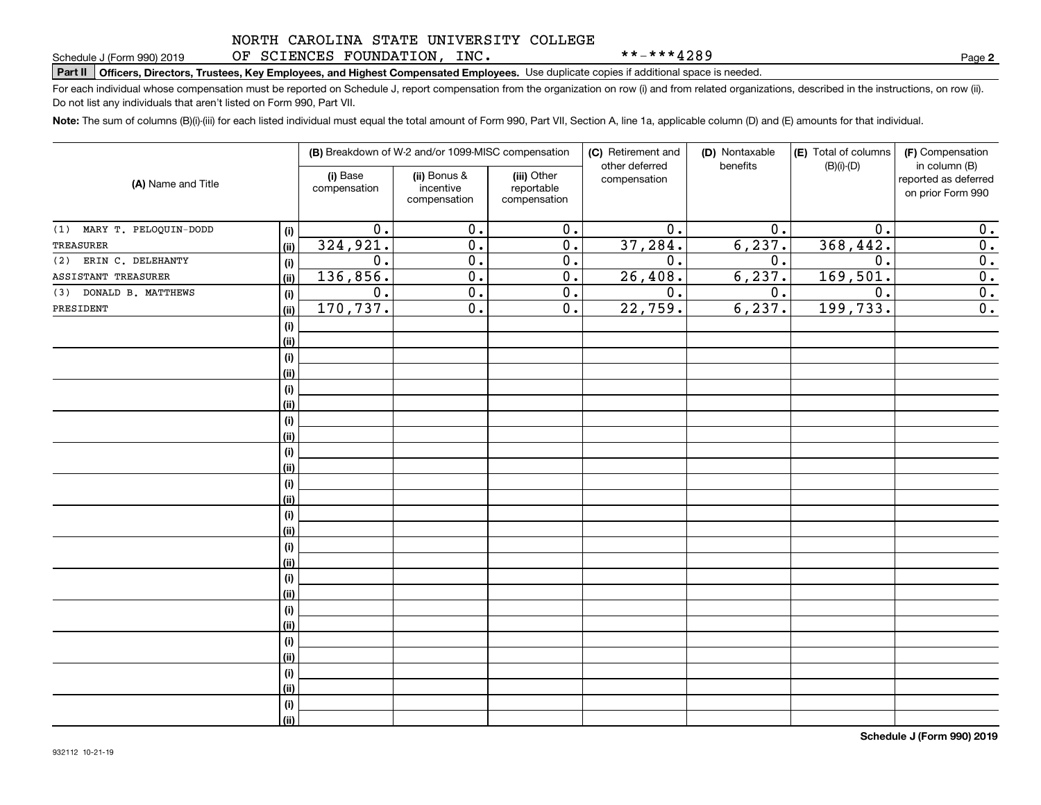### NORTH CAROLINA STATE UNIVERSITY COLLEGE OF SCIENCES FOUNDATION, INC.

\*\*-\*\*\*4289

**2**

## **Part II Officers, Directors, Trustees, Key Employees, and Highest Compensated Employees.**  Schedule J (Form 990) 2019 Page Use duplicate copies if additional space is needed.

For each individual whose compensation must be reported on Schedule J, report compensation from the organization on row (i) and from related organizations, described in the instructions, on row (ii). Do not list any individuals that aren't listed on Form 990, Part VII.

**Note:**  The sum of columns (B)(i)-(iii) for each listed individual must equal the total amount of Form 990, Part VII, Section A, line 1a, applicable column (D) and (E) amounts for that individual.

|                              |      |                          | (B) Breakdown of W-2 and/or 1099-MISC compensation |                                           | (C) Retirement and<br>other deferred | (D) Nontaxable<br>benefits | (E) Total of columns<br>$(B)(i)-(D)$ | (F) Compensation<br>in column (B)         |
|------------------------------|------|--------------------------|----------------------------------------------------|-------------------------------------------|--------------------------------------|----------------------------|--------------------------------------|-------------------------------------------|
| (A) Name and Title           |      | (i) Base<br>compensation | (ii) Bonus &<br>incentive<br>compensation          | (iii) Other<br>reportable<br>compensation | compensation                         |                            |                                      | reported as deferred<br>on prior Form 990 |
| MARY T. PELOQUIN-DODD<br>(1) | (i)  | $\overline{0}$ .         | $\overline{0}$ .                                   | $\overline{0}$ .                          | $\overline{0}$ .                     | 0.                         | 0.                                   | 0.                                        |
| TREASURER                    | (ii) | 324, 921.                | $\overline{0}$ .                                   | $\overline{0}$ .                          | 37,284.                              | 6, 237.                    | 368,442.                             | 0.                                        |
| ERIN C. DELEHANTY<br>(2)     | (i)  | 0.                       | $\overline{0}$ .                                   | 0.                                        | 0.                                   | $0$ .                      | 0.                                   | $\overline{0}$ .                          |
| ASSISTANT TREASURER          | (ii) | 136,856.                 | $\overline{0}$ .                                   | 0.                                        | 26, 408.                             | 6, 237.                    | 169,501.                             | $\overline{0}$ .                          |
| DONALD B. MATTHEWS<br>(3)    | (i)  | 0.                       | $\overline{0}$ .                                   | 0.                                        | $\overline{0}$ .                     | $0$ .                      | 0.                                   | $\overline{0}$ .                          |
| PRESIDENT                    | (ii) | 170,737.                 | $\overline{0}$ .                                   | 0.                                        | 22,759.                              | 6, 237.                    | 199,733.                             | $\overline{0}$ .                          |
|                              | (i)  |                          |                                                    |                                           |                                      |                            |                                      |                                           |
|                              | (ii) |                          |                                                    |                                           |                                      |                            |                                      |                                           |
|                              | (i)  |                          |                                                    |                                           |                                      |                            |                                      |                                           |
|                              | (ii) |                          |                                                    |                                           |                                      |                            |                                      |                                           |
|                              | (i)  |                          |                                                    |                                           |                                      |                            |                                      |                                           |
|                              | (ii) |                          |                                                    |                                           |                                      |                            |                                      |                                           |
|                              | (i)  |                          |                                                    |                                           |                                      |                            |                                      |                                           |
|                              | (ii) |                          |                                                    |                                           |                                      |                            |                                      |                                           |
|                              | (i)  |                          |                                                    |                                           |                                      |                            |                                      |                                           |
|                              | (ii) |                          |                                                    |                                           |                                      |                            |                                      |                                           |
|                              | (i)  |                          |                                                    |                                           |                                      |                            |                                      |                                           |
|                              | (ii) |                          |                                                    |                                           |                                      |                            |                                      |                                           |
|                              | (i)  |                          |                                                    |                                           |                                      |                            |                                      |                                           |
|                              | (ii) |                          |                                                    |                                           |                                      |                            |                                      |                                           |
|                              | (i)  |                          |                                                    |                                           |                                      |                            |                                      |                                           |
|                              | (ii) |                          |                                                    |                                           |                                      |                            |                                      |                                           |
|                              | (i)  |                          |                                                    |                                           |                                      |                            |                                      |                                           |
|                              | (ii) |                          |                                                    |                                           |                                      |                            |                                      |                                           |
|                              | (i)  |                          |                                                    |                                           |                                      |                            |                                      |                                           |
|                              | (ii) |                          |                                                    |                                           |                                      |                            |                                      |                                           |
|                              | (i)  |                          |                                                    |                                           |                                      |                            |                                      |                                           |
|                              | (ii) |                          |                                                    |                                           |                                      |                            |                                      |                                           |
|                              | (i)  |                          |                                                    |                                           |                                      |                            |                                      |                                           |
|                              | (ii) |                          |                                                    |                                           |                                      |                            |                                      |                                           |
|                              | (i)  |                          |                                                    |                                           |                                      |                            |                                      |                                           |
|                              | (ii) |                          |                                                    |                                           |                                      |                            |                                      |                                           |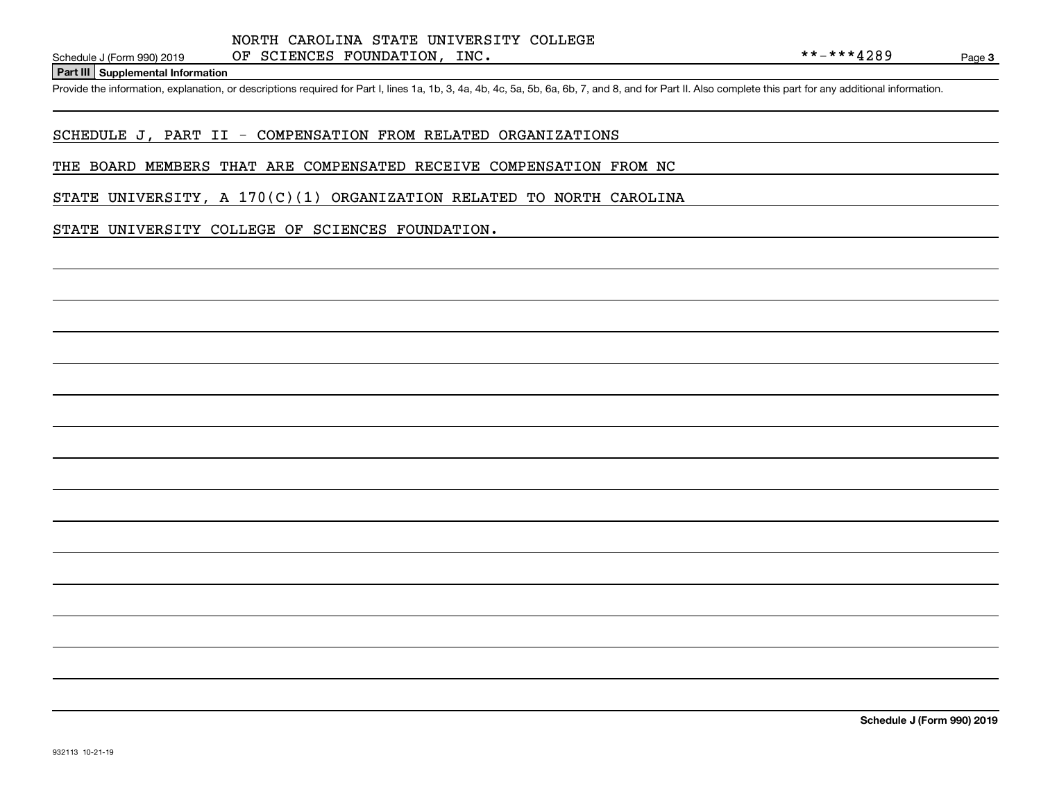**Part III Supplemental Information**

Schedule J (Form 990) 2019 OF SCIENCES FOUNDATION, INC.<br>Part III Supplemental Information<br>Provide the information, explanation, or descriptions required for Part I, lines 1a, 1b, 3, 4a, 4b, 4c, 5a, 5b, 6a, 6b, 7, and 8, a

### SCHEDULE J, PART II - COMPENSATION FROM RELATED ORGANIZATIONS

#### THE BOARD MEMBERS THAT ARE COMPENSATED RECEIVE COMPENSATION FROM NC

STATE UNIVERSITY, A  $170(C)(1)$  ORGANIZATION RELATED TO NORTH CAROLINA

### STATE UNIVERSITY COLLEGE OF SCIENCES FOUNDATION.

**Schedule J (Form 990) 2019**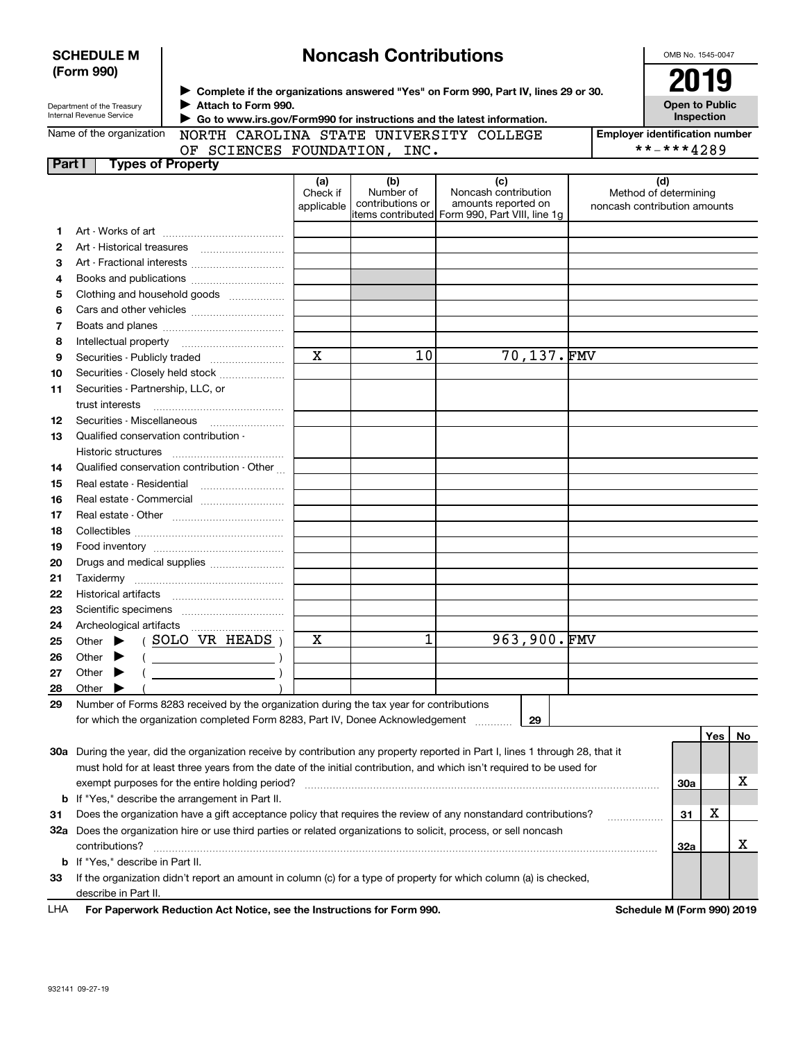|        | <b>SCHEDULE M</b>                                      |                                                                                                                     |                        | <b>Noncash Contributions</b>  |                                                                                                                                |                              | OMB No. 1545-0047                     |     |    |
|--------|--------------------------------------------------------|---------------------------------------------------------------------------------------------------------------------|------------------------|-------------------------------|--------------------------------------------------------------------------------------------------------------------------------|------------------------------|---------------------------------------|-----|----|
|        | (Form 990)                                             |                                                                                                                     |                        |                               |                                                                                                                                |                              | 2019                                  |     |    |
|        |                                                        |                                                                                                                     |                        |                               | > Complete if the organizations answered "Yes" on Form 990, Part IV, lines 29 or 30.                                           |                              |                                       |     |    |
|        | Department of the Treasury<br>Internal Revenue Service | Attach to Form 990.                                                                                                 |                        |                               |                                                                                                                                |                              | <b>Open to Public</b><br>Inspection   |     |    |
|        | Name of the organization                               | ► Go to www.irs.gov/Form990 for instructions and the latest information.<br>NORTH CAROLINA STATE UNIVERSITY COLLEGE |                        |                               |                                                                                                                                |                              | <b>Employer identification number</b> |     |    |
|        |                                                        | OF SCIENCES FOUNDATION, INC.                                                                                        |                        |                               |                                                                                                                                |                              | **-***4289                            |     |    |
| Part I | <b>Types of Property</b>                               |                                                                                                                     |                        |                               |                                                                                                                                |                              |                                       |     |    |
|        |                                                        |                                                                                                                     | (a)                    | (b)                           | (c)                                                                                                                            |                              | (d)                                   |     |    |
|        |                                                        |                                                                                                                     | Check if<br>applicable | Number of<br>contributions or | Noncash contribution<br>amounts reported on                                                                                    | noncash contribution amounts | Method of determining                 |     |    |
|        |                                                        |                                                                                                                     |                        |                               | items contributed Form 990, Part VIII, line 1g                                                                                 |                              |                                       |     |    |
| 1      |                                                        |                                                                                                                     |                        |                               |                                                                                                                                |                              |                                       |     |    |
| 2      | Art - Historical treasures                             |                                                                                                                     |                        |                               |                                                                                                                                |                              |                                       |     |    |
| з      |                                                        | Art - Fractional interests                                                                                          |                        |                               |                                                                                                                                |                              |                                       |     |    |
| 4      |                                                        | Books and publications                                                                                              |                        |                               |                                                                                                                                |                              |                                       |     |    |
| 5      |                                                        | Clothing and household goods                                                                                        |                        |                               |                                                                                                                                |                              |                                       |     |    |
| 6      |                                                        |                                                                                                                     |                        |                               |                                                                                                                                |                              |                                       |     |    |
| 7      |                                                        |                                                                                                                     |                        |                               |                                                                                                                                |                              |                                       |     |    |
| 8<br>9 |                                                        | Securities - Publicly traded                                                                                        | $\mathbf X$            | 10                            | 70,137.FMV                                                                                                                     |                              |                                       |     |    |
| 10     |                                                        | Securities - Closely held stock                                                                                     |                        |                               |                                                                                                                                |                              |                                       |     |    |
| 11     | Securities - Partnership, LLC, or                      |                                                                                                                     |                        |                               |                                                                                                                                |                              |                                       |     |    |
|        | trust interests                                        |                                                                                                                     |                        |                               |                                                                                                                                |                              |                                       |     |    |
| 12     | Securities - Miscellaneous                             |                                                                                                                     |                        |                               |                                                                                                                                |                              |                                       |     |    |
| 13     | Qualified conservation contribution -                  |                                                                                                                     |                        |                               |                                                                                                                                |                              |                                       |     |    |
|        | Historic structures                                    |                                                                                                                     |                        |                               |                                                                                                                                |                              |                                       |     |    |
| 14     |                                                        | Qualified conservation contribution - Other                                                                         |                        |                               |                                                                                                                                |                              |                                       |     |    |
| 15     | Real estate - Residential                              |                                                                                                                     |                        |                               |                                                                                                                                |                              |                                       |     |    |
| 16     |                                                        | Real estate - Commercial                                                                                            |                        |                               |                                                                                                                                |                              |                                       |     |    |
| 17     |                                                        |                                                                                                                     |                        |                               |                                                                                                                                |                              |                                       |     |    |
| 18     |                                                        |                                                                                                                     |                        |                               |                                                                                                                                |                              |                                       |     |    |
| 19     |                                                        |                                                                                                                     |                        |                               |                                                                                                                                |                              |                                       |     |    |
| 20     |                                                        | Drugs and medical supplies                                                                                          |                        |                               |                                                                                                                                |                              |                                       |     |    |
| 21     |                                                        |                                                                                                                     |                        |                               |                                                                                                                                |                              |                                       |     |    |
| 22     |                                                        |                                                                                                                     |                        |                               |                                                                                                                                |                              |                                       |     |    |
| 23     |                                                        |                                                                                                                     |                        |                               |                                                                                                                                |                              |                                       |     |    |
| 24     |                                                        |                                                                                                                     |                        |                               |                                                                                                                                |                              |                                       |     |    |
| 25     | Other                                                  | SOLO VR HEADS                                                                                                       | х                      | 1                             | 963,900.FMV                                                                                                                    |                              |                                       |     |    |
| 26     | Other                                                  |                                                                                                                     |                        |                               |                                                                                                                                |                              |                                       |     |    |
| 27     | Other                                                  |                                                                                                                     |                        |                               |                                                                                                                                |                              |                                       |     |    |
| 28     | Other                                                  |                                                                                                                     |                        |                               |                                                                                                                                |                              |                                       |     |    |
| 29     |                                                        | Number of Forms 8283 received by the organization during the tax year for contributions                             |                        |                               |                                                                                                                                |                              |                                       |     |    |
|        |                                                        | for which the organization completed Form 8283, Part IV, Donee Acknowledgement                                      |                        |                               | 29                                                                                                                             |                              |                                       |     |    |
|        |                                                        |                                                                                                                     |                        |                               |                                                                                                                                |                              |                                       | Yes | No |
|        |                                                        |                                                                                                                     |                        |                               | 30a During the year, did the organization receive by contribution any property reported in Part I, lines 1 through 28, that it |                              |                                       |     |    |
|        |                                                        |                                                                                                                     |                        |                               | must hold for at least three years from the date of the initial contribution, and which isn't required to be used for          |                              |                                       |     | х  |
|        |                                                        | exempt purposes for the entire holding period?<br><b>b</b> If "Yes," describe the arrangement in Part II.           |                        |                               |                                                                                                                                |                              | 30a                                   |     |    |
| 31     |                                                        |                                                                                                                     |                        |                               | Does the organization have a gift acceptance policy that requires the review of any nonstandard contributions?                 |                              | 31                                    | х   |    |
|        |                                                        |                                                                                                                     |                        |                               | 32a Does the organization hire or use third parties or related organizations to solicit, process, or sell noncash              |                              |                                       |     |    |
|        | contributions?                                         |                                                                                                                     |                        |                               |                                                                                                                                |                              | 32a                                   |     | х  |
|        | <b>b</b> If "Yes," describe in Part II.                |                                                                                                                     |                        |                               |                                                                                                                                |                              |                                       |     |    |
| 33     |                                                        |                                                                                                                     |                        |                               | If the organization didn't report an amount in column (c) for a type of property for which column (a) is checked,              |                              |                                       |     |    |
|        | describe in Part II.                                   |                                                                                                                     |                        |                               |                                                                                                                                |                              |                                       |     |    |
|        |                                                        |                                                                                                                     |                        |                               |                                                                                                                                |                              |                                       |     |    |

For Paperwork Reduction Act Notice, see the Instructions for Form 990. **Schedule M** (Form 990) 2019 LHA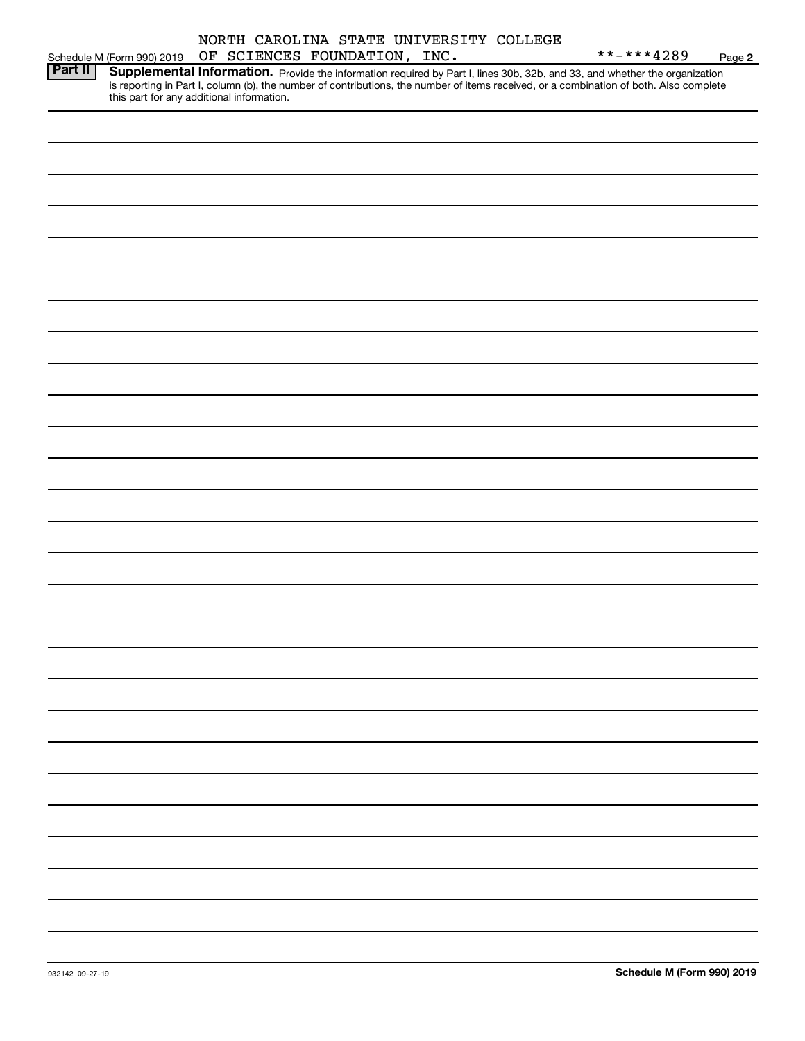|                |                                           |  |                              |  | NORTH CAROLINA STATE UNIVERSITY COLLEGE |                                                                                                                                                                                                                                     |        |
|----------------|-------------------------------------------|--|------------------------------|--|-----------------------------------------|-------------------------------------------------------------------------------------------------------------------------------------------------------------------------------------------------------------------------------------|--------|
|                | Schedule M (Form 990) 2019                |  | OF SCIENCES FOUNDATION, INC. |  |                                         | **-***4289                                                                                                                                                                                                                          | Page 2 |
| <b>Part II</b> | this part for any additional information. |  |                              |  |                                         | <b>Supplemental Information.</b> Provide the information required by Part I, lines 30b, 32b, and 33, and whether the organization is reporting in Part I, column (b), the number of contributions, the number of items received, or |        |
|                |                                           |  |                              |  |                                         |                                                                                                                                                                                                                                     |        |
|                |                                           |  |                              |  |                                         |                                                                                                                                                                                                                                     |        |
|                |                                           |  |                              |  |                                         |                                                                                                                                                                                                                                     |        |
|                |                                           |  |                              |  |                                         |                                                                                                                                                                                                                                     |        |
|                |                                           |  |                              |  |                                         |                                                                                                                                                                                                                                     |        |
|                |                                           |  |                              |  |                                         |                                                                                                                                                                                                                                     |        |
|                |                                           |  |                              |  |                                         |                                                                                                                                                                                                                                     |        |
|                |                                           |  |                              |  |                                         |                                                                                                                                                                                                                                     |        |
|                |                                           |  |                              |  |                                         |                                                                                                                                                                                                                                     |        |
|                |                                           |  |                              |  |                                         |                                                                                                                                                                                                                                     |        |
|                |                                           |  |                              |  |                                         |                                                                                                                                                                                                                                     |        |
|                |                                           |  |                              |  |                                         |                                                                                                                                                                                                                                     |        |
|                |                                           |  |                              |  |                                         |                                                                                                                                                                                                                                     |        |
|                |                                           |  |                              |  |                                         |                                                                                                                                                                                                                                     |        |
|                |                                           |  |                              |  |                                         |                                                                                                                                                                                                                                     |        |
|                |                                           |  |                              |  |                                         |                                                                                                                                                                                                                                     |        |
|                |                                           |  |                              |  |                                         |                                                                                                                                                                                                                                     |        |
|                |                                           |  |                              |  |                                         |                                                                                                                                                                                                                                     |        |
|                |                                           |  |                              |  |                                         |                                                                                                                                                                                                                                     |        |
|                |                                           |  |                              |  |                                         |                                                                                                                                                                                                                                     |        |
|                |                                           |  |                              |  |                                         |                                                                                                                                                                                                                                     |        |
|                |                                           |  |                              |  |                                         |                                                                                                                                                                                                                                     |        |
|                |                                           |  |                              |  |                                         |                                                                                                                                                                                                                                     |        |
|                |                                           |  |                              |  |                                         |                                                                                                                                                                                                                                     |        |
|                |                                           |  |                              |  |                                         |                                                                                                                                                                                                                                     |        |
|                |                                           |  |                              |  |                                         |                                                                                                                                                                                                                                     |        |
|                |                                           |  |                              |  |                                         |                                                                                                                                                                                                                                     |        |
|                |                                           |  |                              |  |                                         |                                                                                                                                                                                                                                     |        |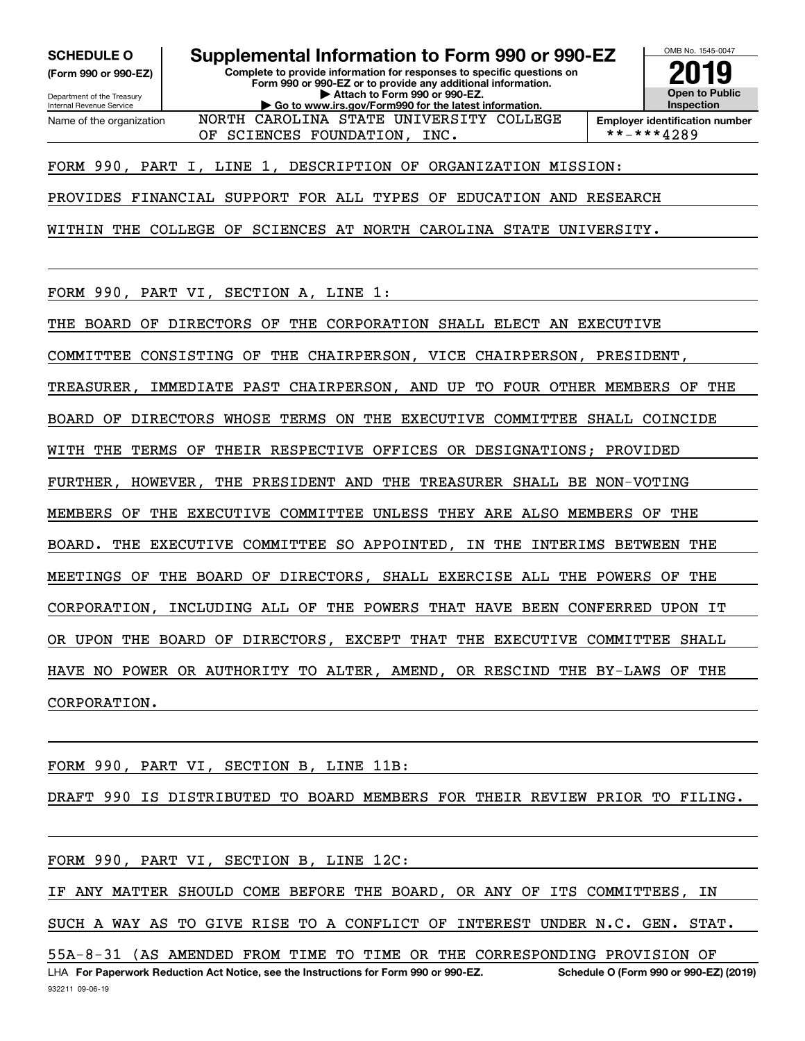**(Form 990 or 990-EZ)**

Department of the Treasury Internal Revenue Service Name of the organization

**SCHEDULE O Supplemental Information to Form 990 or 990-EZ**

**Complete to provide information for responses to specific questions on Form 990 or 990-EZ or to provide any additional information. | Attach to Form 990 or 990-EZ. | Go to www.irs.gov/Form990 for the latest information.** NORTH CAROLINA STATE UNIVERSITY COLLEGE



**Employer identification number**<br>\*\*-\*\*\*4289

FORM 990, PART I, LINE 1, DESCRIPTION OF ORGANIZATION MISSION:

OF SCIENCES FOUNDATION, INC.

PROVIDES FINANCIAL SUPPORT FOR ALL TYPES OF EDUCATION AND RESEARCH

WITHIN THE COLLEGE OF SCIENCES AT NORTH CAROLINA STATE UNIVERSITY.

FORM 990, PART VI, SECTION A, LINE 1:

THE BOARD OF DIRECTORS OF THE CORPORATION SHALL ELECT AN EXECUTIVE

COMMITTEE CONSISTING OF THE CHAIRPERSON, VICE CHAIRPERSON, PRESIDENT,

TREASURER, IMMEDIATE PAST CHAIRPERSON, AND UP TO FOUR OTHER MEMBERS OF THE

BOARD OF DIRECTORS WHOSE TERMS ON THE EXECUTIVE COMMITTEE SHALL COINCIDE

WITH THE TERMS OF THEIR RESPECTIVE OFFICES OR DESIGNATIONS; PROVIDED

FURTHER, HOWEVER, THE PRESIDENT AND THE TREASURER SHALL BE NON-VOTING

MEMBERS OF THE EXECUTIVE COMMITTEE UNLESS THEY ARE ALSO MEMBERS OF THE

BOARD. THE EXECUTIVE COMMITTEE SO APPOINTED, IN THE INTERIMS BETWEEN THE

MEETINGS OF THE BOARD OF DIRECTORS, SHALL EXERCISE ALL THE POWERS OF THE

CORPORATION, INCLUDING ALL OF THE POWERS THAT HAVE BEEN CONFERRED UPON IT

OR UPON THE BOARD OF DIRECTORS, EXCEPT THAT THE EXECUTIVE COMMITTEE SHALL

HAVE NO POWER OR AUTHORITY TO ALTER, AMEND, OR RESCIND THE BY-LAWS OF THE

CORPORATION.

FORM 990, PART VI, SECTION B, LINE 11B:

DRAFT 990 IS DISTRIBUTED TO BOARD MEMBERS FOR THEIR REVIEW PRIOR TO FILING.

FORM 990, PART VI, SECTION B, LINE 12C:

IF ANY MATTER SHOULD COME BEFORE THE BOARD, OR ANY OF ITS COMMITTEES, IN SUCH A WAY AS TO GIVE RISE TO A CONFLICT OF INTEREST UNDER N.C. GEN. STAT.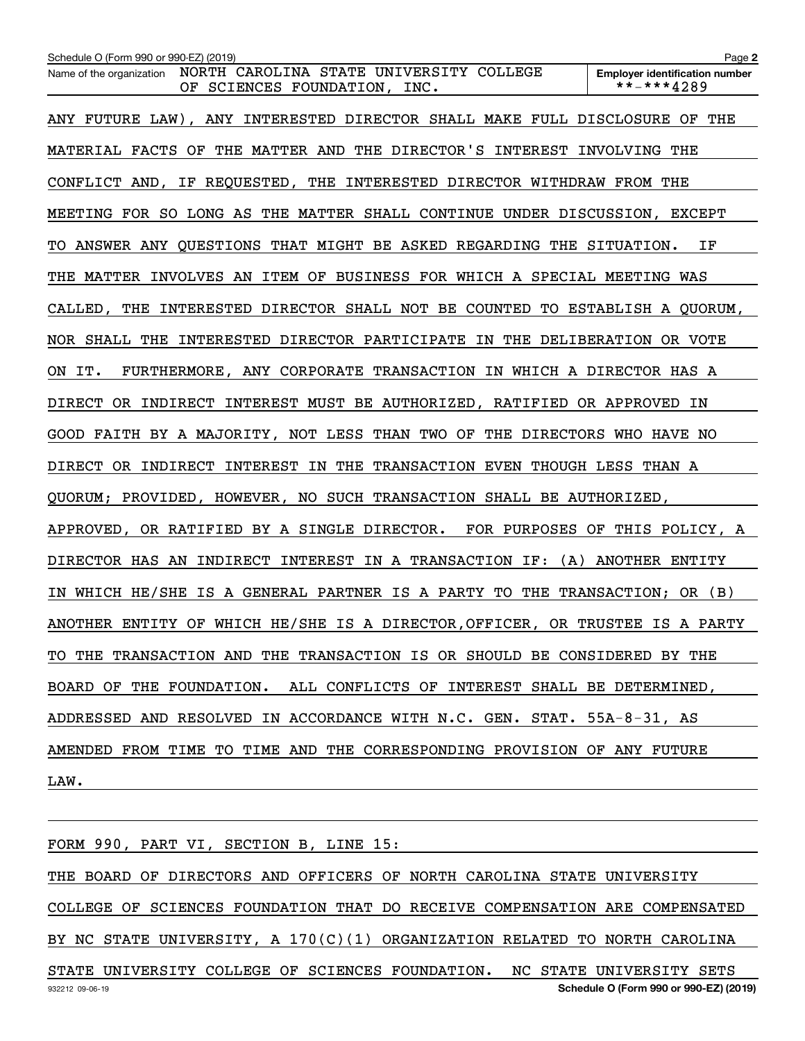| Schedule O (Form 990 or 990-EZ) (2019)                                                              | Page 2                                              |
|-----------------------------------------------------------------------------------------------------|-----------------------------------------------------|
| NORTH CAROLINA STATE UNIVERSITY COLLEGE<br>Name of the organization<br>OF SCIENCES FOUNDATION, INC. | <b>Employer identification number</b><br>**-***4289 |
| ANY FUTURE LAW), ANY INTERESTED DIRECTOR SHALL MAKE FULL DISCLOSURE OF THE                          |                                                     |
| MATERIAL FACTS OF THE MATTER AND THE DIRECTOR'S INTEREST INVOLVING THE                              |                                                     |
| CONFLICT AND, IF REQUESTED, THE INTERESTED DIRECTOR WITHDRAW FROM THE                               |                                                     |
| MEETING FOR SO LONG AS THE MATTER SHALL CONTINUE UNDER DISCUSSION, EXCEPT                           |                                                     |
| TO ANSWER ANY QUESTIONS THAT MIGHT BE ASKED REGARDING THE SITUATION.                                | ΙF                                                  |
| THE MATTER INVOLVES AN ITEM OF BUSINESS FOR WHICH A SPECIAL MEETING WAS                             |                                                     |
| CALLED, THE INTERESTED DIRECTOR SHALL NOT BE COUNTED TO ESTABLISH A QUORUM,                         |                                                     |
| NOR SHALL THE INTERESTED DIRECTOR PARTICIPATE IN THE DELIBERATION OR VOTE                           |                                                     |
| FURTHERMORE, ANY CORPORATE TRANSACTION IN WHICH A DIRECTOR HAS A<br>ON IT.                          |                                                     |
| DIRECT OR INDIRECT INTEREST MUST BE AUTHORIZED, RATIFIED OR APPROVED IN                             |                                                     |
| GOOD FAITH BY A MAJORITY, NOT LESS THAN TWO OF THE DIRECTORS WHO HAVE NO                            |                                                     |
| DIRECT OR INDIRECT INTEREST IN THE TRANSACTION EVEN THOUGH LESS THAN A                              |                                                     |
| QUORUM; PROVIDED, HOWEVER, NO SUCH TRANSACTION SHALL BE AUTHORIZED,                                 |                                                     |
| APPROVED, OR RATIFIED BY A SINGLE DIRECTOR. FOR PURPOSES OF THIS POLICY, A                          |                                                     |
| DIRECTOR HAS AN INDIRECT INTEREST IN A TRANSACTION IF: (A) ANOTHER ENTITY                           |                                                     |
| WHICH HE/SHE IS A GENERAL PARTNER IS A PARTY TO THE TRANSACTION; OR (B)                             |                                                     |
| ANOTHER ENTITY OF WHICH HE/SHE IS A DIRECTOR, OFFICER, OR TRUSTEE IS A PARTY                        |                                                     |
| TO THE TRANSACTION AND THE TRANSACTION IS OR SHOULD BE CONSIDERED BY THE                            |                                                     |
| BOARD OF THE FOUNDATION. ALL CONFLICTS OF INTEREST SHALL BE DETERMINED,                             |                                                     |
| ADDRESSED AND RESOLVED IN ACCORDANCE WITH N.C. GEN. STAT. 55A-8-31, AS                              |                                                     |
| AMENDED FROM TIME TO TIME AND THE CORRESPONDING PROVISION OF ANY FUTURE                             |                                                     |
| LAW.                                                                                                |                                                     |

932212 09-06-19 **Schedule O (Form 990 or 990-EZ) (2019)** FORM 990, PART VI, SECTION B, LINE 15: THE BOARD OF DIRECTORS AND OFFICERS OF NORTH CAROLINA STATE UNIVERSITY COLLEGE OF SCIENCES FOUNDATION THAT DO RECEIVE COMPENSATION ARE COMPENSATED BY NC STATE UNIVERSITY, A 170(C)(1) ORGANIZATION RELATED TO NORTH CAROLINA STATE UNIVERSITY COLLEGE OF SCIENCES FOUNDATION. NC STATE UNIVERSITY SETS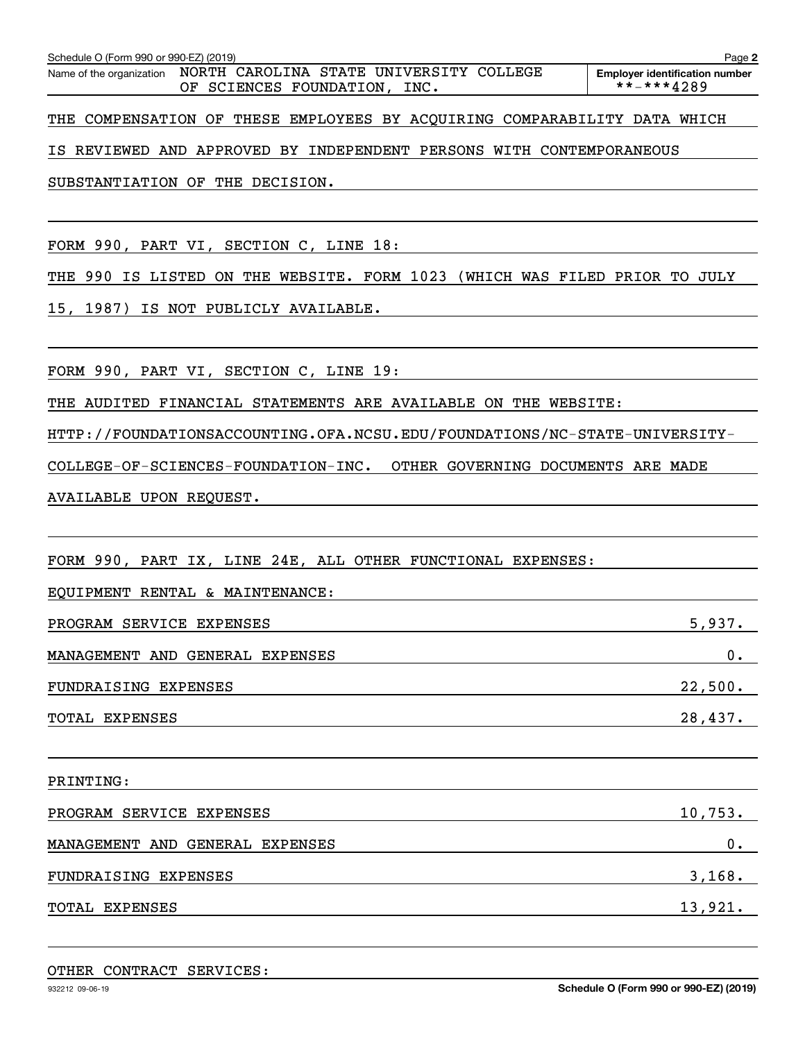Schedule O (Form 990 or 990-EZ) (2019)<br>Name of the organization NORTH \_CAROLINA \_S'TATE \_UNIVERSITY \_COLLEGE Employer identification number OF SCIENCES FOUNDATION, INC.  $****4289$ 

**2**

THE COMPENSATION OF THESE EMPLOYEES BY ACQUIRING COMPARABILITY DATA WHICH

IS REVIEWED AND APPROVED BY INDEPENDENT PERSONS WITH CONTEMPORANEOUS

SUBSTANTIATION OF THE DECISION.

FORM 990, PART VI, SECTION C, LINE 18:

THE 990 IS LISTED ON THE WEBSITE. FORM 1023 (WHICH WAS FILED PRIOR TO JULY

15, 1987) IS NOT PUBLICLY AVAILABLE.

FORM 990, PART VI, SECTION C, LINE 19:

THE AUDITED FINANCIAL STATEMENTS ARE AVAILABLE ON THE WEBSITE:

HTTP://FOUNDATIONSACCOUNTING.OFA.NCSU.EDU/FOUNDATIONS/NC-STATE-UNIVERSITY-

COLLEGE-OF-SCIENCES-FOUNDATION-INC. OTHER GOVERNING DOCUMENTS ARE MADE

AVAILABLE UPON REQUEST.

FORM 990, PART IX, LINE 24E, ALL OTHER FUNCTIONAL EXPENSES:

EQUIPMENT RENTAL & MAINTENANCE:

| PROGRAM SERVICE EXPENSES        | 5,937.  |
|---------------------------------|---------|
| MANAGEMENT AND GENERAL EXPENSES | $0$ .   |
| FUNDRAISING EXPENSES            | 22,500. |
| TOTAL EXPENSES                  | 28,437. |

PRINTING: PROGRAM SERVICE EXPENSES 10,753. MANAGEMENT AND GENERAL EXPENSES 0. FUNDRAISING EXPENSES 3, 3 and 3, 168. TOTAL EXPENSES 13,921.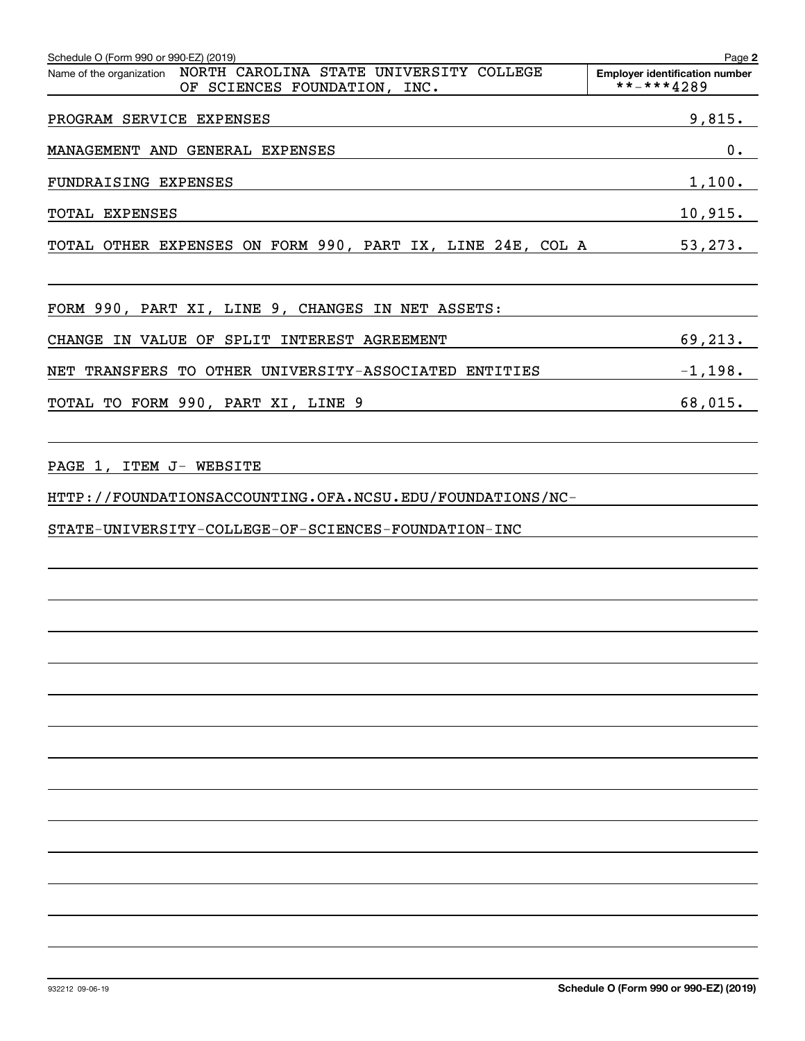| Schedule O (Form 990 or 990-EZ) (2019)                                                                                                      | Page 2                                              |
|---------------------------------------------------------------------------------------------------------------------------------------------|-----------------------------------------------------|
| Name of the organization  NORTH  CAROLINA  STATE  UNIVERSITY  COLLEGE<br>OF SCIENCES FOUNDATION, INC.                                       | <b>Employer identification number</b><br>**-***4289 |
| PROGRAM SERVICE EXPENSES                                                                                                                    | 9,815.                                              |
| MANAGEMENT AND GENERAL EXPENSES                                                                                                             | 0.                                                  |
| FUNDRAISING EXPENSES                                                                                                                        | 1,100.                                              |
| TOTAL EXPENSES                                                                                                                              | 10,915.                                             |
| TOTAL OTHER EXPENSES ON FORM 990, PART IX, LINE 24E, COL A 53,273.                                                                          |                                                     |
| FORM 990, PART XI, LINE 9, CHANGES IN NET ASSETS:                                                                                           |                                                     |
| CHANGE IN VALUE OF SPLIT INTEREST AGREEMENT                                                                                                 | 69,213.                                             |
| NET TRANSFERS TO OTHER UNIVERSITY-ASSOCIATED ENTITIES                                                                                       | $-1,198$ .                                          |
| TOTAL TO FORM 990, PART XI, LINE 9<br><u> 1989 - Johann Barbara, martxa alemaniar arg</u>                                                   | 68,015.                                             |
| PAGE 1, ITEM J- WEBSITE<br>HTTP://FOUNDATIONSACCOUNTING.OFA.NCSU.EDU/FOUNDATIONS/NC-<br>STATE-UNIVERSITY-COLLEGE-OF-SCIENCES-FOUNDATION-INC |                                                     |
|                                                                                                                                             |                                                     |
|                                                                                                                                             |                                                     |
|                                                                                                                                             |                                                     |
|                                                                                                                                             |                                                     |
|                                                                                                                                             |                                                     |
|                                                                                                                                             |                                                     |
|                                                                                                                                             |                                                     |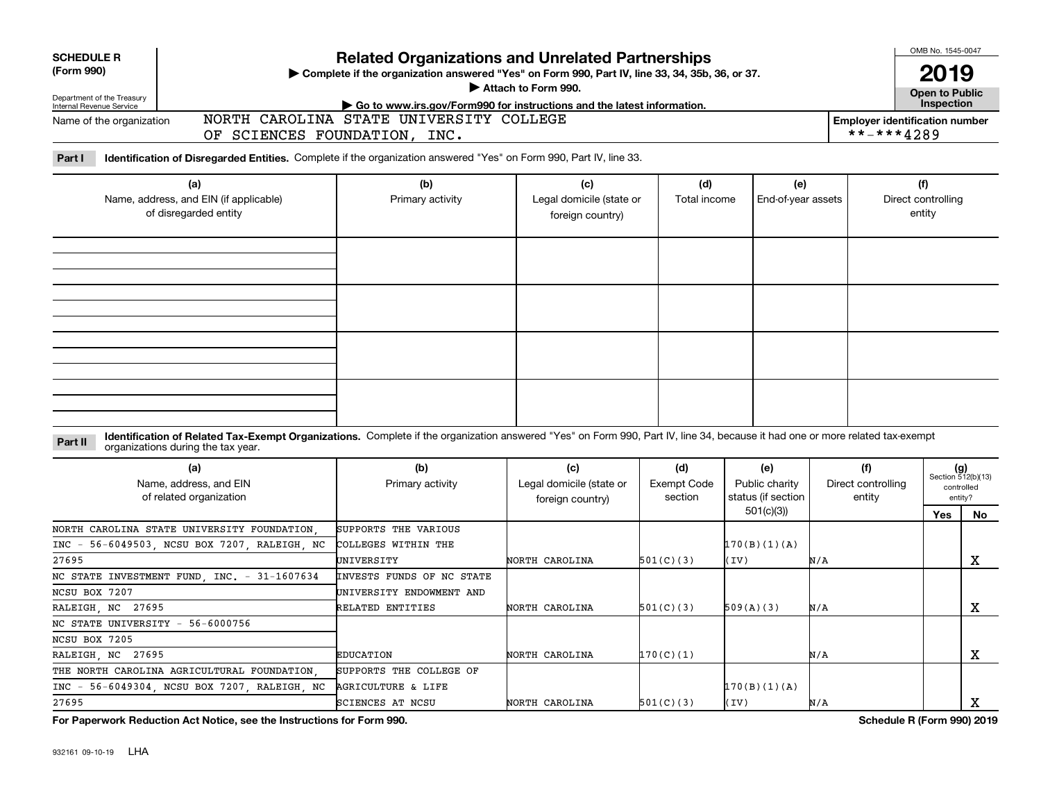|                                                        |                                                                                                                                                                              |                                                                                                                                                             |                                                     |                                      |                                                          |     |                                                     | OMB No. 1545-0047                   |                                                            |
|--------------------------------------------------------|------------------------------------------------------------------------------------------------------------------------------------------------------------------------------|-------------------------------------------------------------------------------------------------------------------------------------------------------------|-----------------------------------------------------|--------------------------------------|----------------------------------------------------------|-----|-----------------------------------------------------|-------------------------------------|------------------------------------------------------------|
| <b>SCHEDULE R</b><br>(Form 990)                        |                                                                                                                                                                              | <b>Related Organizations and Unrelated Partnerships</b><br>> Complete if the organization answered "Yes" on Form 990, Part IV, line 33, 34, 35b, 36, or 37. | Attach to Form 990.                                 |                                      |                                                          |     |                                                     | 2019<br><b>Open to Public</b>       |                                                            |
| Department of the Treasury<br>Internal Revenue Service |                                                                                                                                                                              | Go to www.irs.gov/Form990 for instructions and the latest information.                                                                                      |                                                     |                                      |                                                          |     |                                                     | Inspection                          |                                                            |
| Name of the organization                               | OF SCIENCES FOUNDATION, INC.                                                                                                                                                 | NORTH CAROLINA STATE UNIVERSITY COLLEGE                                                                                                                     |                                                     |                                      |                                                          |     | <b>Employer identification number</b><br>**-***4289 |                                     |                                                            |
| Part I                                                 | Identification of Disregarded Entities. Complete if the organization answered "Yes" on Form 990, Part IV, line 33.                                                           |                                                                                                                                                             |                                                     |                                      |                                                          |     |                                                     |                                     |                                                            |
|                                                        | (a)<br>Name, address, and EIN (if applicable)<br>of disregarded entity                                                                                                       | (b)<br>Primary activity                                                                                                                                     | (c)<br>Legal domicile (state or<br>foreign country) | (d)<br>Total income                  | (e)<br>End-of-year assets                                |     |                                                     | (f)<br>Direct controlling<br>entity |                                                            |
|                                                        |                                                                                                                                                                              |                                                                                                                                                             |                                                     |                                      |                                                          |     |                                                     |                                     |                                                            |
|                                                        |                                                                                                                                                                              |                                                                                                                                                             |                                                     |                                      |                                                          |     |                                                     |                                     |                                                            |
| Part II                                                | Identification of Related Tax-Exempt Organizations. Complete if the organization answered "Yes" on Form 990, Part IV, line 34, because it had one or more related tax-exempt |                                                                                                                                                             |                                                     |                                      |                                                          |     |                                                     |                                     |                                                            |
|                                                        | organizations during the tax year.                                                                                                                                           |                                                                                                                                                             |                                                     |                                      |                                                          |     |                                                     |                                     |                                                            |
|                                                        | (a)<br>Name, address, and EIN<br>of related organization                                                                                                                     | (b)<br>Primary activity                                                                                                                                     | (c)<br>Legal domicile (state or<br>foreign country) | (d)<br><b>Exempt Code</b><br>section | (e)<br>Public charity<br>status (if section<br>501(c)(3) |     | (f)<br>Direct controlling<br>entity                 | Yes                                 | $(g)$<br>Section 512(b)(13)<br>controlled<br>entity?<br>No |
| $INC -$<br>27695                                       | NORTH CAROLINA STATE UNIVERSITY FOUNDATION<br>56-6049503, NCSU BOX 7207, RALEIGH, NC                                                                                         | SUPPORTS THE VARIOUS<br>COLLEGES WITHIN THE<br>UNIVERSITY                                                                                                   | NORTH CAROLINA                                      | 501(C)(3)                            | 170(B)(1)(A)<br>(IV)                                     | N/A |                                                     |                                     | x                                                          |
|                                                        | NC STATE INVESTMENT FUND. INC. - 31-1607634                                                                                                                                  | <b>INVESTS FUNDS OF NC STATE</b>                                                                                                                            |                                                     |                                      |                                                          |     |                                                     |                                     |                                                            |
| NCSU BOX 7207                                          |                                                                                                                                                                              | UNIVERSITY ENDOWMENT AND                                                                                                                                    |                                                     |                                      |                                                          |     |                                                     |                                     |                                                            |
| RALEIGH, NC 27695                                      |                                                                                                                                                                              | RELATED ENTITIES                                                                                                                                            | NORTH CAROLINA                                      | 501(C)(3)                            | 509(A)(3)                                                | N/A |                                                     |                                     | х                                                          |
|                                                        | NC STATE UNIVERSITY - 56-6000756                                                                                                                                             |                                                                                                                                                             |                                                     |                                      |                                                          |     |                                                     |                                     |                                                            |
| NCSU BOX 7205                                          |                                                                                                                                                                              |                                                                                                                                                             |                                                     |                                      |                                                          |     |                                                     |                                     |                                                            |
| RALEIGH, NC 27695                                      |                                                                                                                                                                              | <b>EDUCATION</b>                                                                                                                                            | NORTH CAROLINA                                      | 170(C)(1)                            |                                                          | N/A |                                                     |                                     | X                                                          |
|                                                        | THE NORTH CAROLINA AGRICULTURAL FOUNDATION                                                                                                                                   | SUPPORTS THE COLLEGE OF                                                                                                                                     |                                                     |                                      |                                                          |     |                                                     |                                     |                                                            |
|                                                        | INC - 56-6049304, NCSU BOX 7207, RALEIGH, NC                                                                                                                                 | <b>AGRICULTURE &amp; LIFE</b>                                                                                                                               |                                                     |                                      | 170(B)(1)(A)                                             |     |                                                     |                                     |                                                            |
| 27695                                                  |                                                                                                                                                                              | SCIENCES AT NCSU                                                                                                                                            | NORTH CAROLINA                                      | 501(C)(3)                            | (IV)                                                     | N/A |                                                     |                                     | х                                                          |

**For Paperwork Reduction Act Notice, see the Instructions for Form 990. Schedule R (Form 990) 2019**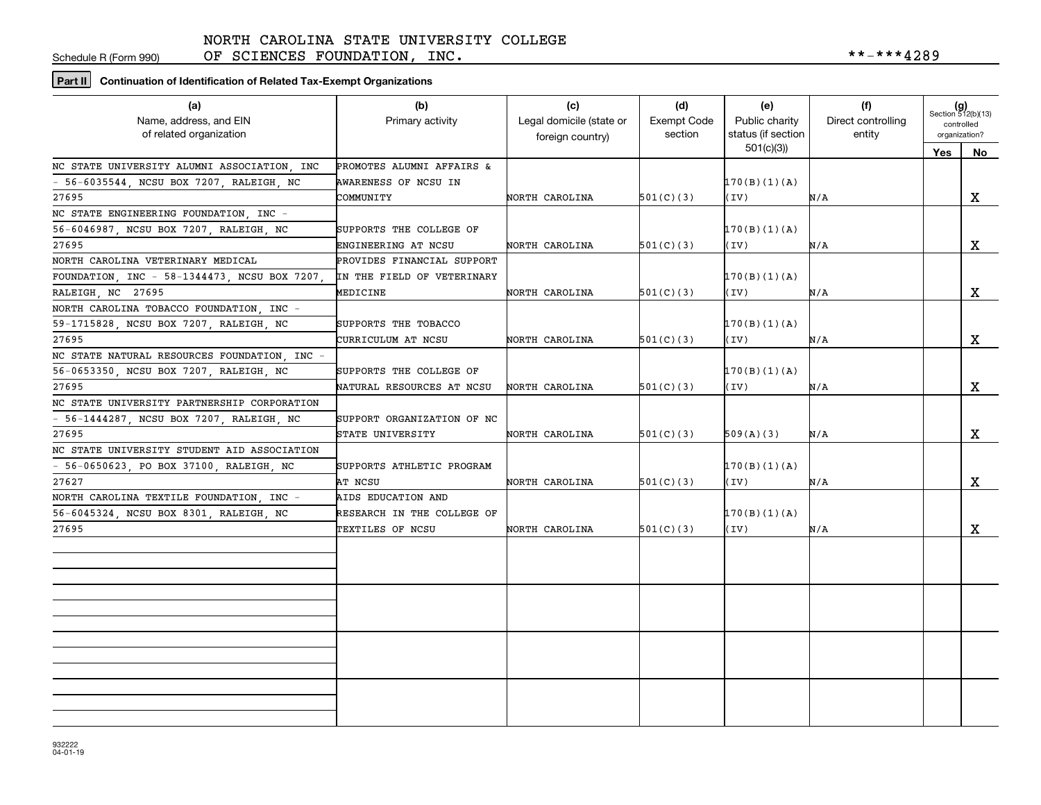Schedule R (Form 990)

OF SCIENCES FOUNDATION, INC.  $***-***4289$ 

**Part II Continuation of Identification of Related Tax-Exempt Organizations**

| (a)<br>Name, address, and EIN<br>of related organization | (b)<br>Primary activity    | (c)<br>Legal domicile (state or<br>foreign country) | (d)<br>Exempt Code<br>section | (e)<br>Public charity<br>status (if section | (f)<br>Direct controlling<br>entity | $(g)$<br>Section 512(b)(13)<br>controlled<br>organization? |             |
|----------------------------------------------------------|----------------------------|-----------------------------------------------------|-------------------------------|---------------------------------------------|-------------------------------------|------------------------------------------------------------|-------------|
|                                                          |                            |                                                     |                               | 501(c)(3)                                   |                                     | Yes                                                        | No          |
| NC STATE UNIVERSITY ALUMNI ASSOCIATION, INC              | PROMOTES ALUMNI AFFAIRS &  |                                                     |                               |                                             |                                     |                                                            |             |
| - 56-6035544, NCSU BOX 7207, RALEIGH, NC                 | AWARENESS OF NCSU IN       |                                                     |                               | 170(B)(1)(A)                                |                                     |                                                            |             |
| 27695                                                    | COMMUNITY                  | NORTH CAROLINA                                      | 501(C)(3)                     | (IV)                                        | N/A                                 |                                                            | x           |
| NC STATE ENGINEERING FOUNDATION, INC -                   |                            |                                                     |                               |                                             |                                     |                                                            |             |
| 56-6046987, NCSU BOX 7207, RALEIGH, NC                   | SUPPORTS THE COLLEGE OF    |                                                     |                               | 170(B)(1)(A)                                |                                     |                                                            |             |
| 27695                                                    | ENGINEERING AT NCSU        | NORTH CAROLINA                                      | 501(C)(3)                     | (IV)                                        | N/A                                 |                                                            | X           |
| NORTH CAROLINA VETERINARY MEDICAL                        | PROVIDES FINANCIAL SUPPORT |                                                     |                               |                                             |                                     |                                                            |             |
| FOUNDATION, INC - 58-1344473, NCSU BOX 7207,             | IN THE FIELD OF VETERINARY |                                                     |                               | 170(B)(1)(A)                                |                                     |                                                            |             |
| RALEIGH, NC 27695                                        | MEDICINE                   | NORTH CAROLINA                                      | 501(C)(3)                     | (IV)                                        | N/A                                 |                                                            | $\mathbf X$ |
| NORTH CAROLINA TOBACCO FOUNDATION, INC -                 |                            |                                                     |                               |                                             |                                     |                                                            |             |
| 59-1715828, NCSU BOX 7207, RALEIGH, NC                   | SUPPORTS THE TOBACCO       |                                                     |                               | 170(B)(1)(A)                                |                                     |                                                            |             |
| 27695                                                    | CURRICULUM AT NCSU         | NORTH CAROLINA                                      | 501(C)(3)                     | (IV)                                        | N/A                                 |                                                            | X           |
| NC STATE NATURAL RESOURCES FOUNDATION INC -              |                            |                                                     |                               |                                             |                                     |                                                            |             |
| 56-0653350, NCSU BOX 7207, RALEIGH, NC                   | SUPPORTS THE COLLEGE OF    |                                                     |                               | 170(B)(1)(A)                                |                                     |                                                            |             |
| 27695                                                    | NATURAL RESOURCES AT NCSU  | NORTH CAROLINA                                      | 501(C)(3)                     | (IV)                                        | N/A                                 |                                                            | X           |
| NC STATE UNIVERSITY PARTNERSHIP CORPORATION              |                            |                                                     |                               |                                             |                                     |                                                            |             |
| - 56-1444287, NCSU BOX 7207, RALEIGH, NC                 | SUPPORT ORGANIZATION OF NC |                                                     |                               |                                             |                                     |                                                            |             |
| 27695                                                    | STATE UNIVERSITY           | NORTH CAROLINA                                      | 501(C)(3)                     | 509(A)(3)                                   | N/A                                 |                                                            | X           |
| NC STATE UNIVERSITY STUDENT AID ASSOCIATION              |                            |                                                     |                               |                                             |                                     |                                                            |             |
| - 56-0650623, PO BOX 37100, RALEIGH, NC                  | SUPPORTS ATHLETIC PROGRAM  |                                                     |                               | 170(B)(1)(A)                                |                                     |                                                            |             |
| 27627                                                    | AT NCSU                    | NORTH CAROLINA                                      | 501(C)(3)                     | (IV)                                        | N/A                                 |                                                            | $\mathbf X$ |
| NORTH CAROLINA TEXTILE FOUNDATION, INC -                 | AIDS EDUCATION AND         |                                                     |                               |                                             |                                     |                                                            |             |
| 56-6045324, NCSU BOX 8301, RALEIGH, NC                   | RESEARCH IN THE COLLEGE OF |                                                     |                               | 170(B)(1)(A)                                |                                     |                                                            |             |
| 27695                                                    | TEXTILES OF NCSU           | NORTH CAROLINA                                      | 501(C)(3)                     | (IV)                                        | N/A                                 |                                                            | X           |
|                                                          |                            |                                                     |                               |                                             |                                     |                                                            |             |
|                                                          |                            |                                                     |                               |                                             |                                     |                                                            |             |
|                                                          |                            |                                                     |                               |                                             |                                     |                                                            |             |
|                                                          |                            |                                                     |                               |                                             |                                     |                                                            |             |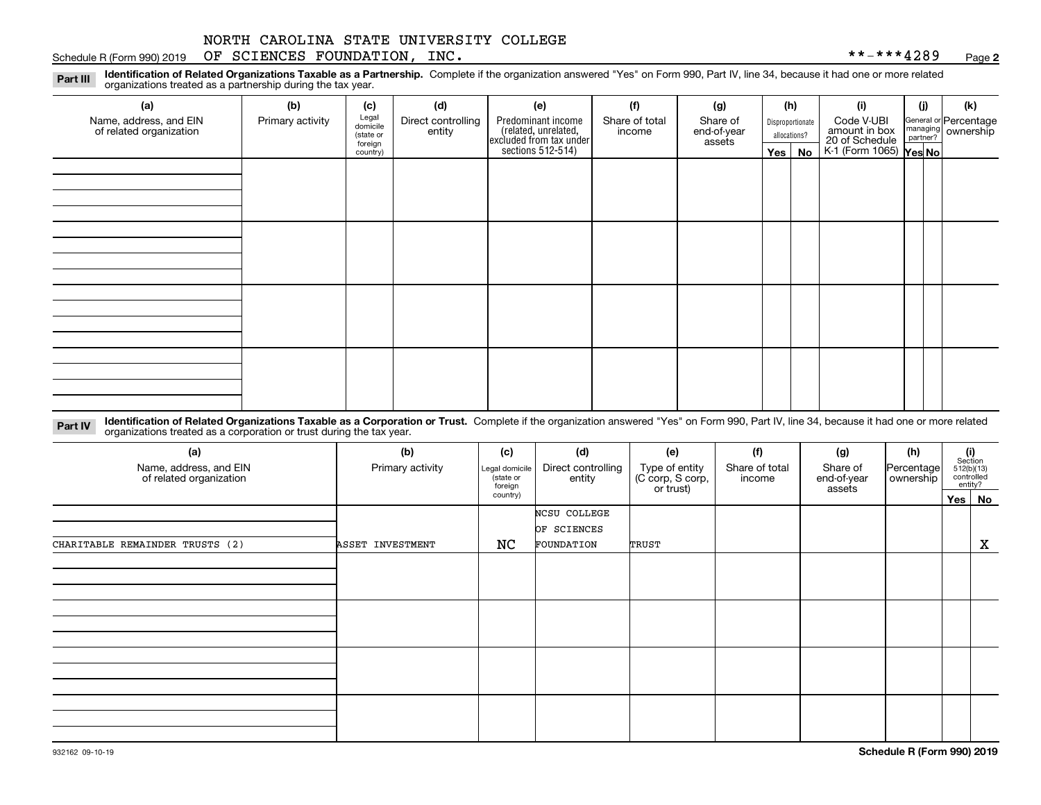### Schedule R (Form 990) 2019 Page OF SCIENCES FOUNDATION, INC. \*\*-\*\*\*4289

**2**

**Identification of Related Organizations Taxable as a Partnership.** Complete if the organization answered "Yes" on Form 990, Part IV, line 34, because it had one or more related **Part III** organizations treated as a partnership during the tax year.

| (a)                                               | (b)              | (c)                  | (d)                          | (e)                                                                 | (f)                      | (g)                     |         | (h)              | (i)                                      | (i) | (k)                   |
|---------------------------------------------------|------------------|----------------------|------------------------------|---------------------------------------------------------------------|--------------------------|-------------------------|---------|------------------|------------------------------------------|-----|-----------------------|
| Name, address, and EIN<br>of related organization | Primary activity | Legal<br>domicile    | Direct controlling<br>entity | Predominant income                                                  | Share of total<br>income | Share of<br>end-of-year |         | Disproportionate | Code V-UBI<br>amount in box              |     | General or Percentage |
|                                                   |                  | (state or<br>foreign |                              |                                                                     |                          | assets                  |         | allocations?     |                                          |     | managing ownership    |
|                                                   |                  | country)             |                              | related, unrelated,<br>excluded from tax under<br>sections 512-514) |                          |                         | Yes $ $ | No               | 20 of Schedule<br>K-1 (Form 1065) Yes No |     |                       |
|                                                   |                  |                      |                              |                                                                     |                          |                         |         |                  |                                          |     |                       |
|                                                   |                  |                      |                              |                                                                     |                          |                         |         |                  |                                          |     |                       |
|                                                   |                  |                      |                              |                                                                     |                          |                         |         |                  |                                          |     |                       |
|                                                   |                  |                      |                              |                                                                     |                          |                         |         |                  |                                          |     |                       |
|                                                   |                  |                      |                              |                                                                     |                          |                         |         |                  |                                          |     |                       |
|                                                   |                  |                      |                              |                                                                     |                          |                         |         |                  |                                          |     |                       |
|                                                   |                  |                      |                              |                                                                     |                          |                         |         |                  |                                          |     |                       |
|                                                   |                  |                      |                              |                                                                     |                          |                         |         |                  |                                          |     |                       |
|                                                   |                  |                      |                              |                                                                     |                          |                         |         |                  |                                          |     |                       |
|                                                   |                  |                      |                              |                                                                     |                          |                         |         |                  |                                          |     |                       |
|                                                   |                  |                      |                              |                                                                     |                          |                         |         |                  |                                          |     |                       |
|                                                   |                  |                      |                              |                                                                     |                          |                         |         |                  |                                          |     |                       |
|                                                   |                  |                      |                              |                                                                     |                          |                         |         |                  |                                          |     |                       |
|                                                   |                  |                      |                              |                                                                     |                          |                         |         |                  |                                          |     |                       |
|                                                   |                  |                      |                              |                                                                     |                          |                         |         |                  |                                          |     |                       |
|                                                   |                  |                      |                              |                                                                     |                          |                         |         |                  |                                          |     |                       |
|                                                   |                  |                      |                              |                                                                     |                          |                         |         |                  |                                          |     |                       |

**Identification of Related Organizations Taxable as a Corporation or Trust.** Complete if the organization answered "Yes" on Form 990, Part IV, line 34, because it had one or more related **Part IV** organizations treated as a corporation or trust during the tax year.

| (a)<br>Name, address, and EIN<br>of related organization | (b)<br>Primary activity | (c)<br>Legal domicile<br>(state or<br>foreign | (d)<br>Direct controlling<br>entity | (e)<br>Type of entity<br>(C corp, S corp,<br>or trust) | (f)<br>Share of total<br>income | (g)<br>Share of<br>end-of-year<br>assets | (h)<br>Percentage<br>ownership | $\begin{array}{c} \textbf{(i)}\\ \text{Section}\\ 512 \text{(b)} \text{(13)}\\ \text{controlled}\end{array}$<br>entity? |
|----------------------------------------------------------|-------------------------|-----------------------------------------------|-------------------------------------|--------------------------------------------------------|---------------------------------|------------------------------------------|--------------------------------|-------------------------------------------------------------------------------------------------------------------------|
|                                                          |                         | country)                                      |                                     |                                                        |                                 |                                          |                                | Yes No                                                                                                                  |
|                                                          |                         |                                               | NCSU COLLEGE<br>OF SCIENCES         |                                                        |                                 |                                          |                                |                                                                                                                         |
| CHARITABLE REMAINDER TRUSTS (2)                          | ASSET INVESTMENT        | NC                                            | FOUNDATION                          | TRUST                                                  |                                 |                                          |                                | X                                                                                                                       |
|                                                          |                         |                                               |                                     |                                                        |                                 |                                          |                                |                                                                                                                         |
|                                                          |                         |                                               |                                     |                                                        |                                 |                                          |                                |                                                                                                                         |
|                                                          |                         |                                               |                                     |                                                        |                                 |                                          |                                |                                                                                                                         |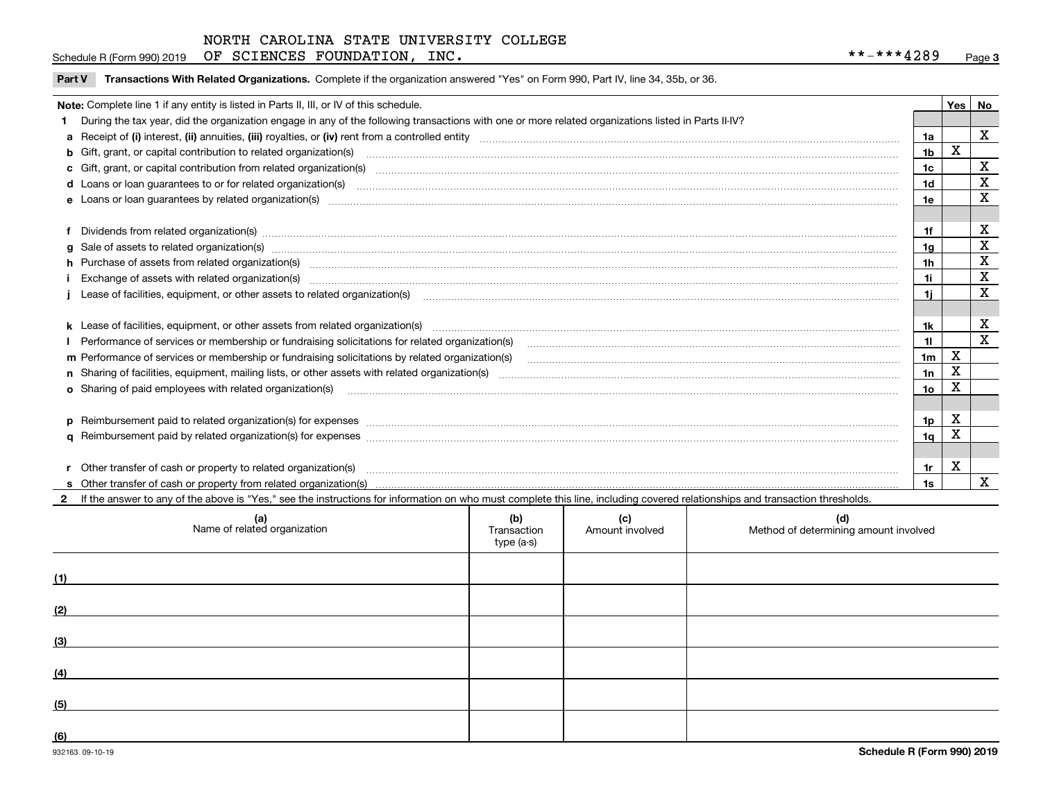Schedule R (Form 990) 2019 Page OF SCIENCES FOUNDATION, INC. \*\*-\*\*\*4289

|  | Part V Transactions With Related Organizations. Complete if the organization answered "Yes" on Form 990, Part IV, line 34, 35b, or 36. |  |  |
|--|----------------------------------------------------------------------------------------------------------------------------------------|--|--|
|--|----------------------------------------------------------------------------------------------------------------------------------------|--|--|

|   | Note: Complete line 1 if any entity is listed in Parts II, III, or IV of this schedule.                                                                                                                                        |                 | Yes   No |                         |
|---|--------------------------------------------------------------------------------------------------------------------------------------------------------------------------------------------------------------------------------|-----------------|----------|-------------------------|
|   | During the tax year, did the organization engage in any of the following transactions with one or more related organizations listed in Parts II-IV?                                                                            |                 |          |                         |
|   |                                                                                                                                                                                                                                | 1a              |          | $\mathbf{x}$            |
|   | b Gift, grant, or capital contribution to related organization(s) manufaction contracts and contribution to related organization(s) manufaction contribution to related organization(s)                                        | 1 <sub>b</sub>  | X        |                         |
|   |                                                                                                                                                                                                                                | 1 <sub>c</sub>  |          | X                       |
|   |                                                                                                                                                                                                                                | 1 <sub>d</sub>  |          | X                       |
|   |                                                                                                                                                                                                                                | 1e              |          | X                       |
|   |                                                                                                                                                                                                                                |                 |          |                         |
|   |                                                                                                                                                                                                                                | 1f              |          | X                       |
| a | Sale of assets to related organization(s) material contents and content and content to the state of assets to related organization(s) material content of the set of assets to related organization(s) material content of the | 1 <sub>q</sub>  |          | $\mathbf X$             |
|   | h Purchase of assets from related organization(s) manufactured content to content the content of the content of the content of the content of the content of the content of the content of the content of the content of the c | 1 <sub>h</sub>  |          | X                       |
|   |                                                                                                                                                                                                                                | 1i              |          | $\mathbf x$             |
|   | Lease of facilities, equipment, or other assets to related organization(s) manufactured content and content and content and content and content and content and content and content and content and content and content and co | 1i.             |          | X                       |
|   |                                                                                                                                                                                                                                |                 |          |                         |
|   |                                                                                                                                                                                                                                | 1k              |          | $\mathbf x$             |
|   |                                                                                                                                                                                                                                | 11              |          | $\overline{\mathbf{x}}$ |
|   |                                                                                                                                                                                                                                | 1 <sub>m</sub>  | X        |                         |
|   |                                                                                                                                                                                                                                | 1n              | X        |                         |
|   | <b>o</b> Sharing of paid employees with related organization(s)                                                                                                                                                                | 10 <sub>o</sub> | х        |                         |
|   |                                                                                                                                                                                                                                |                 |          |                         |
|   |                                                                                                                                                                                                                                | 1p              | X        |                         |
|   |                                                                                                                                                                                                                                | 1q              | x        |                         |
|   |                                                                                                                                                                                                                                |                 |          |                         |
|   | r Other transfer of cash or property to related organization(s)                                                                                                                                                                | 1r              | X        |                         |
|   |                                                                                                                                                                                                                                | 1s              |          | X                       |
|   | 2 If the answer to any of the above is "Yes," see the instructions for information on who must complete this line, including covered relationships and transaction thresholds.                                                 |                 |          |                         |

| (a)<br>Name of related organization | (b)<br>Transaction<br>type (a-s) | (c)<br>Amount involved | (d)<br>Method of determining amount involved |
|-------------------------------------|----------------------------------|------------------------|----------------------------------------------|
| (1)                                 |                                  |                        |                                              |
| (2)                                 |                                  |                        |                                              |
| (3)                                 |                                  |                        |                                              |
| (4)                                 |                                  |                        |                                              |
| (5)                                 |                                  |                        |                                              |
| (6)                                 |                                  |                        |                                              |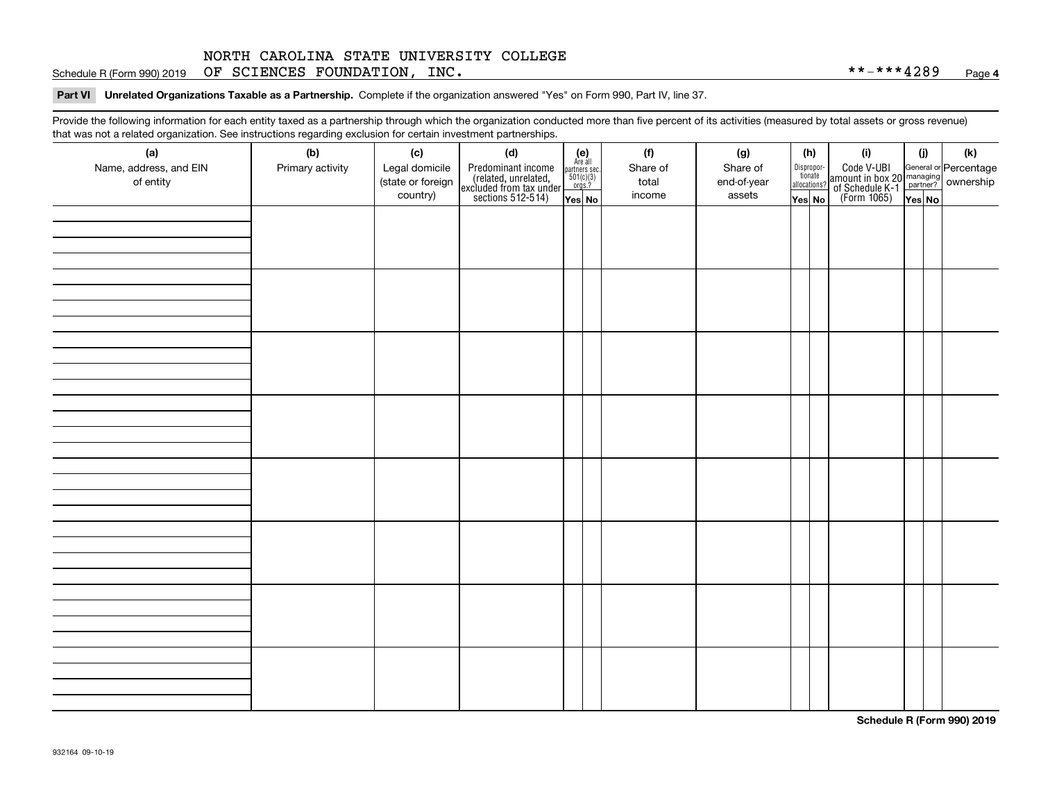Schedule R (Form 990) 2019 Page OF SCIENCES FOUNDATION, INC. \*\*-\*\*\*4289

**Part VI Unrelated Organizations Taxable as a Partnership. Complete if the organization answered "Yes" on Form 990, Part IV, line 37.** 

Provide the following information for each entity taxed as a partnership through which the organization conducted more than five percent of its activities (measured by total assets or gross revenue) that was not a related organization. See instructions regarding exclusion for certain investment partnerships.

| (a)<br>(f)<br>(i)<br>(k)<br>(b)<br>(c)<br>(d)<br>(g)<br>(h)<br>(i)<br>$\begin{array}{c} \textbf{(e)}\\ \text{Are all} \\ \text{partners sec.}\\ 501(c)(3)\\ \text{orgs.?} \end{array}$<br>Code V-UBI<br>  amount in box 20 managing<br>  of Schedule K-1 partner? ownership<br>  of Schedule K-1 partner? ownership<br>  Yes No<br>Name, address, and EIN<br>Legal domicile<br>Share of<br>Primary activity<br>Predominant income<br>(related, unrelated,<br>excluded from tax under<br>sections 512-514)<br>Share of<br>Dispropor-<br>tionate<br>(state or foreign<br>of entity<br>end-of-year<br>total<br>allocations?<br>country)<br>income<br>assets<br>Yes No<br>Yes No |
|------------------------------------------------------------------------------------------------------------------------------------------------------------------------------------------------------------------------------------------------------------------------------------------------------------------------------------------------------------------------------------------------------------------------------------------------------------------------------------------------------------------------------------------------------------------------------------------------------------------------------------------------------------------------------|
|                                                                                                                                                                                                                                                                                                                                                                                                                                                                                                                                                                                                                                                                              |
|                                                                                                                                                                                                                                                                                                                                                                                                                                                                                                                                                                                                                                                                              |
|                                                                                                                                                                                                                                                                                                                                                                                                                                                                                                                                                                                                                                                                              |
|                                                                                                                                                                                                                                                                                                                                                                                                                                                                                                                                                                                                                                                                              |
|                                                                                                                                                                                                                                                                                                                                                                                                                                                                                                                                                                                                                                                                              |
|                                                                                                                                                                                                                                                                                                                                                                                                                                                                                                                                                                                                                                                                              |
|                                                                                                                                                                                                                                                                                                                                                                                                                                                                                                                                                                                                                                                                              |
|                                                                                                                                                                                                                                                                                                                                                                                                                                                                                                                                                                                                                                                                              |
|                                                                                                                                                                                                                                                                                                                                                                                                                                                                                                                                                                                                                                                                              |
|                                                                                                                                                                                                                                                                                                                                                                                                                                                                                                                                                                                                                                                                              |
|                                                                                                                                                                                                                                                                                                                                                                                                                                                                                                                                                                                                                                                                              |
|                                                                                                                                                                                                                                                                                                                                                                                                                                                                                                                                                                                                                                                                              |
|                                                                                                                                                                                                                                                                                                                                                                                                                                                                                                                                                                                                                                                                              |
|                                                                                                                                                                                                                                                                                                                                                                                                                                                                                                                                                                                                                                                                              |
|                                                                                                                                                                                                                                                                                                                                                                                                                                                                                                                                                                                                                                                                              |
|                                                                                                                                                                                                                                                                                                                                                                                                                                                                                                                                                                                                                                                                              |
|                                                                                                                                                                                                                                                                                                                                                                                                                                                                                                                                                                                                                                                                              |
|                                                                                                                                                                                                                                                                                                                                                                                                                                                                                                                                                                                                                                                                              |
|                                                                                                                                                                                                                                                                                                                                                                                                                                                                                                                                                                                                                                                                              |
|                                                                                                                                                                                                                                                                                                                                                                                                                                                                                                                                                                                                                                                                              |
|                                                                                                                                                                                                                                                                                                                                                                                                                                                                                                                                                                                                                                                                              |
|                                                                                                                                                                                                                                                                                                                                                                                                                                                                                                                                                                                                                                                                              |
|                                                                                                                                                                                                                                                                                                                                                                                                                                                                                                                                                                                                                                                                              |
|                                                                                                                                                                                                                                                                                                                                                                                                                                                                                                                                                                                                                                                                              |
|                                                                                                                                                                                                                                                                                                                                                                                                                                                                                                                                                                                                                                                                              |
|                                                                                                                                                                                                                                                                                                                                                                                                                                                                                                                                                                                                                                                                              |
|                                                                                                                                                                                                                                                                                                                                                                                                                                                                                                                                                                                                                                                                              |
|                                                                                                                                                                                                                                                                                                                                                                                                                                                                                                                                                                                                                                                                              |
|                                                                                                                                                                                                                                                                                                                                                                                                                                                                                                                                                                                                                                                                              |
|                                                                                                                                                                                                                                                                                                                                                                                                                                                                                                                                                                                                                                                                              |
|                                                                                                                                                                                                                                                                                                                                                                                                                                                                                                                                                                                                                                                                              |
|                                                                                                                                                                                                                                                                                                                                                                                                                                                                                                                                                                                                                                                                              |
|                                                                                                                                                                                                                                                                                                                                                                                                                                                                                                                                                                                                                                                                              |
|                                                                                                                                                                                                                                                                                                                                                                                                                                                                                                                                                                                                                                                                              |
|                                                                                                                                                                                                                                                                                                                                                                                                                                                                                                                                                                                                                                                                              |
|                                                                                                                                                                                                                                                                                                                                                                                                                                                                                                                                                                                                                                                                              |

**Schedule R (Form 990) 2019**